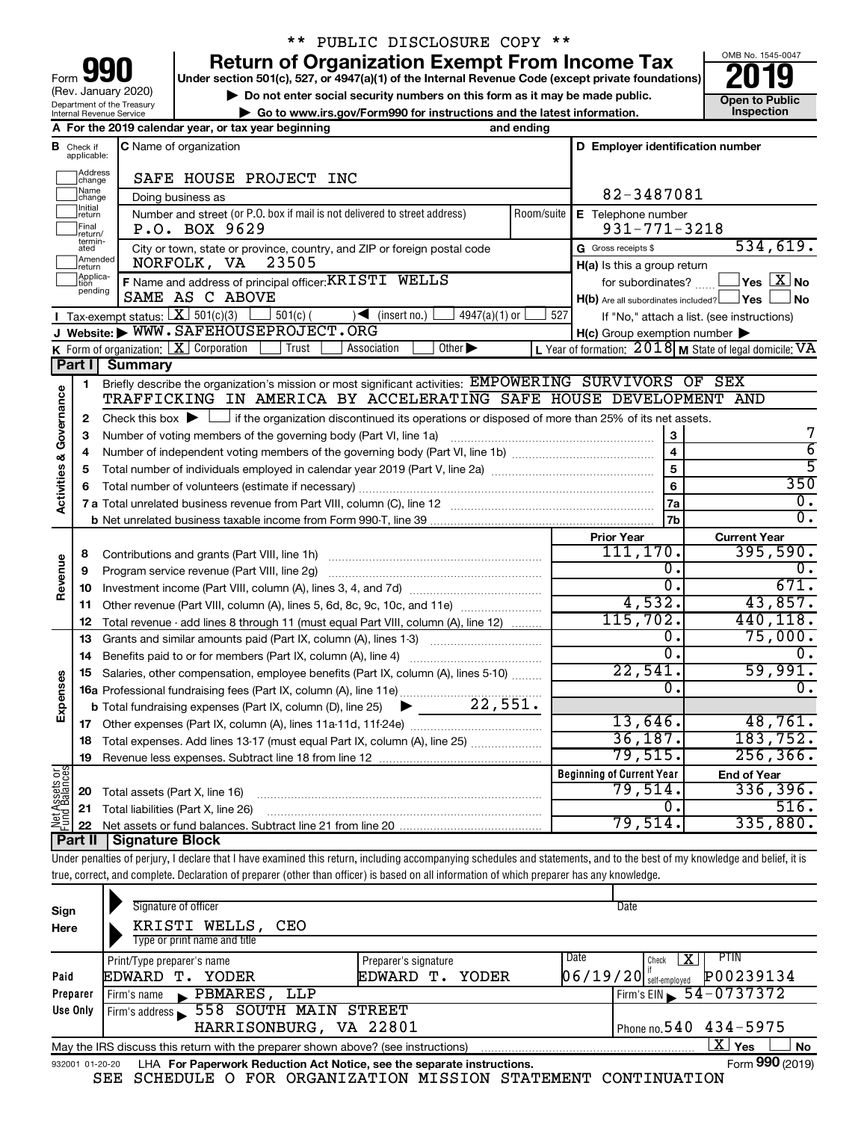| 90<br>Form                                             |
|--------------------------------------------------------|
| (Rev. January 2020)                                    |
| Department of the Treasury<br>Internal Revenue Service |

# \*\* PUBLIC DISCLOSURE COPY \*\*

**your Section 501(c), 527, or 4947(a)(1) of the Internal Revenue Code (except private foundations) 2019** 

**b** Do not enter social security numbers on this form as it may be made public.<br> **Go to www.irs.gov/Form990 for instructions and the latest information. This impection | Go to www.irs.gov/Form990 for instructions and the latest information. Inspection**

**A For the 2019 calendar year, or tax year beginning and ending**



|                                    |                         | A For the 2019 calendar year, or tax year beginning                                                                                         | anu enumy  |                                                     |                                                           |  |  |  |
|------------------------------------|-------------------------|---------------------------------------------------------------------------------------------------------------------------------------------|------------|-----------------------------------------------------|-----------------------------------------------------------|--|--|--|
| в                                  | Check if<br>applicable: | <b>C</b> Name of organization                                                                                                               |            | D Employer identification number                    |                                                           |  |  |  |
|                                    | Address<br>change       | SAFE HOUSE PROJECT INC                                                                                                                      |            |                                                     |                                                           |  |  |  |
|                                    | Name<br>change          | Doing business as                                                                                                                           |            | 82-3487081                                          |                                                           |  |  |  |
|                                    | Initial<br>return       | Number and street (or P.O. box if mail is not delivered to street address)                                                                  | Room/suite | E Telephone number                                  |                                                           |  |  |  |
|                                    | Final<br>return/        | P.O. BOX 9629                                                                                                                               |            | $931 - 771 - 3218$                                  |                                                           |  |  |  |
|                                    | termin-<br>ated         | City or town, state or province, country, and ZIP or foreign postal code                                                                    |            | G Gross receipts \$                                 | 534,619.                                                  |  |  |  |
|                                    | Amended<br>return       | NORFOLK, VA<br>23505                                                                                                                        |            | H(a) Is this a group return                         |                                                           |  |  |  |
|                                    | Applica-                | F Name and address of principal officer: KRISTI WELLS                                                                                       |            | for subordinates?                                   | $\Box$ Yes $\Box X$ No                                    |  |  |  |
|                                    | pending                 | SAME AS C ABOVE                                                                                                                             |            | $H(b)$ Are all subordinates included? $\Box$ Yes    | l No                                                      |  |  |  |
|                                    |                         | Tax-exempt status: $X \over 3$ 501(c)(3)<br>$501(c)$ (<br>$\sqrt{\frac{1}{1}}$ (insert no.)<br>$4947(a)(1)$ or                              | 527        |                                                     | If "No," attach a list. (see instructions)                |  |  |  |
|                                    |                         | J Website: WWW.SAFEHOUSEPROJECT.ORG                                                                                                         |            | $H(c)$ Group exemption number $\blacktriangleright$ |                                                           |  |  |  |
|                                    |                         | <b>K</b> Form of organization: $\boxed{\mathbf{X}}$ Corporation<br>Trust<br>Other $\blacktriangleright$<br>Association                      |            |                                                     | L Year of formation: $2018$ M State of legal domicile: VA |  |  |  |
|                                    | Part I                  | <b>Summary</b>                                                                                                                              |            |                                                     |                                                           |  |  |  |
|                                    | 1                       | Briefly describe the organization's mission or most significant activities: EMPOWERING SURVIVORS OF SEX                                     |            |                                                     |                                                           |  |  |  |
|                                    |                         | TRAFFICKING IN AMERICA BY ACCELERATING SAFE HOUSE DEVELOPMENT AND                                                                           |            |                                                     |                                                           |  |  |  |
| <b>Activities &amp; Governance</b> | 2                       | Check this box $\blacktriangleright$ $\Box$ if the organization discontinued its operations or disposed of more than 25% of its net assets. |            |                                                     |                                                           |  |  |  |
|                                    | з                       | Number of voting members of the governing body (Part VI, line 1a) manufacture of voting members of the governing body (Part VI, line 1a)    |            | 3                                                   | 7                                                         |  |  |  |
|                                    | 4                       |                                                                                                                                             |            | 4                                                   | $\overline{6}$                                            |  |  |  |
|                                    | 5                       |                                                                                                                                             |            | 5                                                   | $\overline{5}$                                            |  |  |  |
|                                    | 6                       |                                                                                                                                             | 6          | 350<br>0.                                           |                                                           |  |  |  |
|                                    |                         |                                                                                                                                             |            |                                                     |                                                           |  |  |  |
|                                    |                         |                                                                                                                                             |            | 7 <sub>b</sub>                                      | $\overline{0}$ .                                          |  |  |  |
|                                    |                         |                                                                                                                                             |            | <b>Prior Year</b>                                   | <b>Current Year</b>                                       |  |  |  |
|                                    | 8                       | Contributions and grants (Part VIII, line 1h)                                                                                               |            | 111, 170.                                           | 395,590.                                                  |  |  |  |
| Revenue                            | 9                       | Program service revenue (Part VIII, line 2g)                                                                                                |            | 0.<br>$\overline{0}$ .                              | 0.                                                        |  |  |  |
|                                    | 10                      |                                                                                                                                             |            |                                                     | 671.                                                      |  |  |  |
|                                    | 11                      | Other revenue (Part VIII, column (A), lines 5, 6d, 8c, 9c, 10c, and 11e)                                                                    |            | 4,532.                                              | 43,857.                                                   |  |  |  |
|                                    | 12                      | Total revenue - add lines 8 through 11 (must equal Part VIII, column (A), line 12)                                                          |            | 115,702.                                            | 440, 118.                                                 |  |  |  |
|                                    | 13                      | Grants and similar amounts paid (Part IX, column (A), lines 1-3)                                                                            |            | 0.<br>$\overline{0}$ .                              | 75,000.<br>Ω.                                             |  |  |  |
|                                    | 14                      |                                                                                                                                             |            | 22,541.                                             | 59,991.                                                   |  |  |  |
|                                    | 15                      | Salaries, other compensation, employee benefits (Part IX, column (A), lines 5-10)                                                           |            |                                                     | О.                                                        |  |  |  |
| Expenses                           |                         | 22,551.                                                                                                                                     |            | $\mathbf 0$ .                                       |                                                           |  |  |  |
|                                    |                         | <b>b</b> Total fundraising expenses (Part IX, column (D), line 25)<br>▶                                                                     |            | 13,646.                                             | 48,761.                                                   |  |  |  |
|                                    |                         |                                                                                                                                             |            | 36,187.                                             | 183, 752.                                                 |  |  |  |
|                                    | 18                      |                                                                                                                                             |            | 79,515.                                             | 256, 366.                                                 |  |  |  |
|                                    | 19                      |                                                                                                                                             |            |                                                     |                                                           |  |  |  |
| $rac{\text{or}}{\text{ces}}$       |                         |                                                                                                                                             |            | <b>Beginning of Current Year</b><br>79,514.         | <b>End of Year</b><br>336,396.                            |  |  |  |
|                                    | 20                      | Total assets (Part X, line 16)                                                                                                              |            | о.                                                  | 516.                                                      |  |  |  |
| Net Assets<br>Fund Balanc          | 21                      | Total liabilities (Part X, line 26)                                                                                                         |            | 79,514.                                             | 335,880.                                                  |  |  |  |
|                                    |                         | Part II   Signature Block                                                                                                                   |            |                                                     |                                                           |  |  |  |
|                                    |                         |                                                                                                                                             |            |                                                     |                                                           |  |  |  |

Under penalties of perjury, I declare that I have examined this return, including accompanying schedules and statements, and to the best of my knowledge and belief, it is true, correct, and complete. Declaration of preparer (other than officer) is based on all information of which preparer has any knowledge.

| Sign<br>Here                                                                                                          | Signature of officer<br>KRISTI WELLS, CEO<br>Type or print name and title                                           |                                            | Date                                           |                              |  |  |  |  |  |  |  |
|-----------------------------------------------------------------------------------------------------------------------|---------------------------------------------------------------------------------------------------------------------|--------------------------------------------|------------------------------------------------|------------------------------|--|--|--|--|--|--|--|
| Paid                                                                                                                  | Print/Type preparer's name<br>EDWARD T.<br>YODER                                                                    | Preparer's signature<br>EDWARD T.<br>YODER | Date<br>x<br>Check<br>$06/19/20$ self-employed | PHN<br>P00239134             |  |  |  |  |  |  |  |
| Preparer                                                                                                              | PBMARES,<br>LLP<br>Firm's name<br>$\mathbf{L}$                                                                      |                                            |                                                | Firm's EIN $\, 54 - 0737372$ |  |  |  |  |  |  |  |
| 558 SOUTH MAIN STREET<br>Use Only<br>Firm's address<br>Phone no. $540$ $434 - 5975$<br>HARRISONBURG, VA 22801         |                                                                                                                     |                                            |                                                |                              |  |  |  |  |  |  |  |
| $\mathbf{X}$<br><b>No</b><br>Yes<br>May the IRS discuss this return with the preparer shown above? (see instructions) |                                                                                                                     |                                            |                                                |                              |  |  |  |  |  |  |  |
|                                                                                                                       | Form 990 (2019)<br>LHA For Paperwork Reduction Act Notice, see the separate instructions.<br>932001 01-20-20<br>~~~ |                                            |                                                |                              |  |  |  |  |  |  |  |

SEE SCHEDULE O FOR ORGANIZATION MISSION STATEMENT CONTINUATION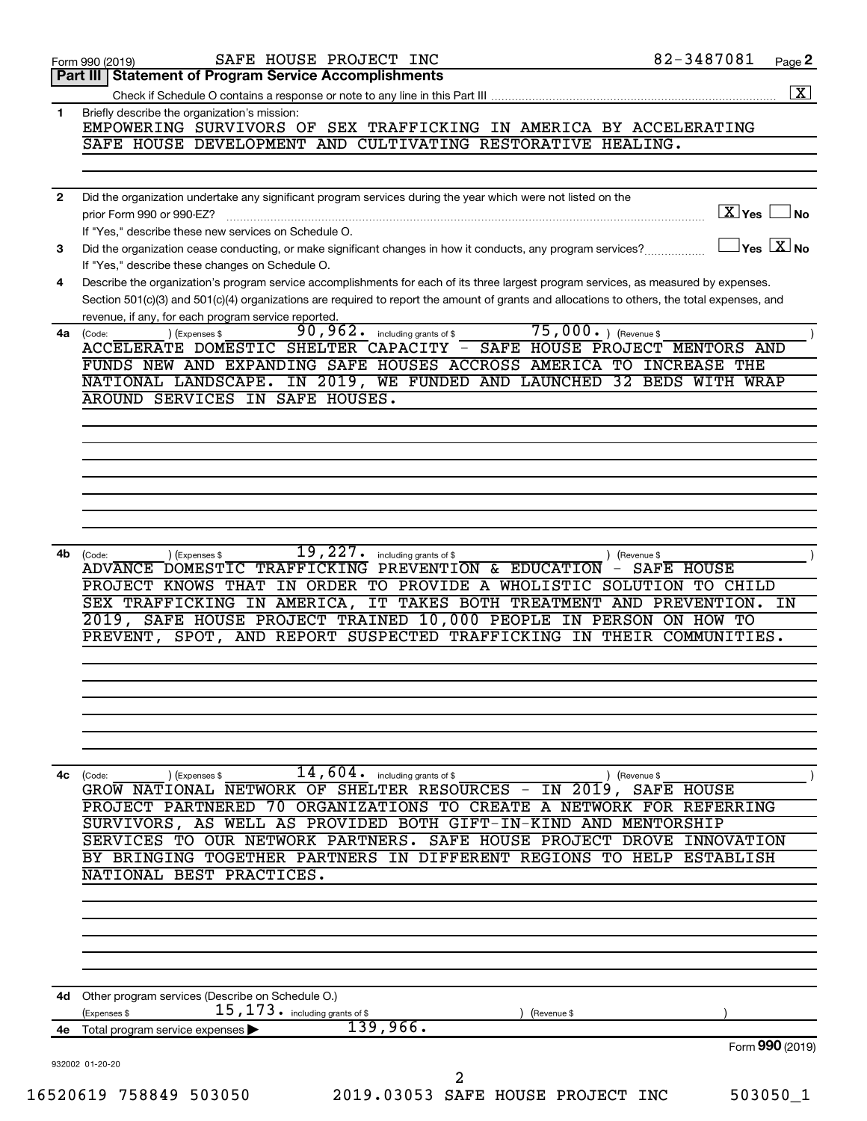|              | SAFE HOUSE PROJECT INC<br>Form 990 (2019)                                                                                                                            | 82-3487081<br>Page 2                |
|--------------|----------------------------------------------------------------------------------------------------------------------------------------------------------------------|-------------------------------------|
|              | <b>Part III   Statement of Program Service Accomplishments</b>                                                                                                       |                                     |
|              |                                                                                                                                                                      | $\overline{\mathbf{x}}$             |
| 1            | Briefly describe the organization's mission:<br>EMPOWERING SURVIVORS OF SEX TRAFFICKING IN AMERICA BY ACCELERATING                                                   |                                     |
|              | SAFE HOUSE DEVELOPMENT AND CULTIVATING RESTORATIVE HEALING.                                                                                                          |                                     |
|              |                                                                                                                                                                      |                                     |
|              |                                                                                                                                                                      |                                     |
| $\mathbf{2}$ | Did the organization undertake any significant program services during the year which were not listed on the                                                         |                                     |
|              | prior Form 990 or 990-EZ?                                                                                                                                            | $\boxed{\text{X}}$ Yes<br><b>No</b> |
| 3            | If "Yes," describe these new services on Schedule O.<br>Did the organization cease conducting, or make significant changes in how it conducts, any program services? | $\exists$ Yes $\boxed{\text{X}}$ No |
|              | If "Yes," describe these changes on Schedule O.                                                                                                                      |                                     |
| 4            | Describe the organization's program service accomplishments for each of its three largest program services, as measured by expenses.                                 |                                     |
|              | Section 501(c)(3) and 501(c)(4) organizations are required to report the amount of grants and allocations to others, the total expenses, and                         |                                     |
|              | revenue, if any, for each program service reported.                                                                                                                  |                                     |
| 4a           | 75,000. ) (Revenue \$<br>$\overline{90}$ , $962$ o including grants of \$<br>) (Expenses \$<br>(Code:                                                                |                                     |
|              | ACCELERATE DOMESTIC SHELTER CAPACITY - SAFE HOUSE PROJECT MENTORS AND<br>FUNDS NEW AND EXPANDING SAFE HOUSES ACCROSS AMERICA TO INCREASE THE                         |                                     |
|              | NATIONAL LANDSCAPE. IN 2019, WE FUNDED AND LAUNCHED 32 BEDS WITH WRAP                                                                                                |                                     |
|              | AROUND SERVICES IN SAFE HOUSES.                                                                                                                                      |                                     |
|              |                                                                                                                                                                      |                                     |
|              |                                                                                                                                                                      |                                     |
|              |                                                                                                                                                                      |                                     |
|              |                                                                                                                                                                      |                                     |
|              |                                                                                                                                                                      |                                     |
|              |                                                                                                                                                                      |                                     |
|              |                                                                                                                                                                      |                                     |
| 4b           | 19,227.<br>including grants of \$<br>(Expenses \$<br>(Code:                                                                                                          | ) (Revenue \$                       |
|              | ADVANCE DOMESTIC TRAFFICKING PREVENTION & EDUCATION                                                                                                                  | - SAFE HOUSE                        |
|              | PROJECT KNOWS THAT IN ORDER TO PROVIDE A WHOLISTIC SOLUTION TO CHILD                                                                                                 |                                     |
|              | SEX TRAFFICKING IN AMERICA, IT TAKES BOTH TREATMENT AND PREVENTION.                                                                                                  | ΙN                                  |
|              | 2019, SAFE HOUSE PROJECT TRAINED 10,000 PEOPLE IN PERSON ON HOW TO                                                                                                   |                                     |
|              | PREVENT, SPOT, AND REPORT SUSPECTED TRAFFICKING IN THEIR COMMUNITIES.                                                                                                |                                     |
|              |                                                                                                                                                                      |                                     |
|              |                                                                                                                                                                      |                                     |
|              |                                                                                                                                                                      |                                     |
|              |                                                                                                                                                                      |                                     |
|              |                                                                                                                                                                      |                                     |
|              |                                                                                                                                                                      |                                     |
| 4c           | 14,604.<br>including grants of \$<br>(Code:<br>) (Expenses \$<br>GROW NATIONAL NETWORK OF SHELTER RESOURCES - IN 2019, SAFE HOUSE                                    | ) (Revenue \$                       |
|              | PROJECT PARTNERED<br>70.<br>ORGANIZATIONS<br>TO<br>CREATE A NETWORK FOR REFERRING                                                                                    |                                     |
|              | SURVIVORS, AS WELL AS PROVIDED BOTH GIFT-IN-KIND AND MENTORSHIP                                                                                                      |                                     |
|              | SERVICES TO OUR NETWORK PARTNERS.<br>SAFE HOUSE PROJECT DROVE                                                                                                        | INNOVATION                          |
|              | BRINGING TOGETHER PARTNERS<br>IN DIFFERENT REGIONS TO HELP                                                                                                           | ESTABLISH                           |
|              | NATIONAL BEST PRACTICES.                                                                                                                                             |                                     |
|              |                                                                                                                                                                      |                                     |
|              |                                                                                                                                                                      |                                     |
|              |                                                                                                                                                                      |                                     |
|              |                                                                                                                                                                      |                                     |
|              |                                                                                                                                                                      |                                     |
|              | 4d Other program services (Describe on Schedule O.)                                                                                                                  |                                     |
|              | 15, 173. including grants of \$<br>(Expenses \$<br>(Revenue \$                                                                                                       |                                     |
| 4е           | 139,966.<br>Total program service expenses                                                                                                                           |                                     |
|              |                                                                                                                                                                      | Form 990 (2019)                     |
|              | 932002 01-20-20                                                                                                                                                      |                                     |
|              | 2                                                                                                                                                                    |                                     |
|              | 16520619 758849 503050<br>2019.03053 SAFE HOUSE PROJECT INC                                                                                                          | 503050_1                            |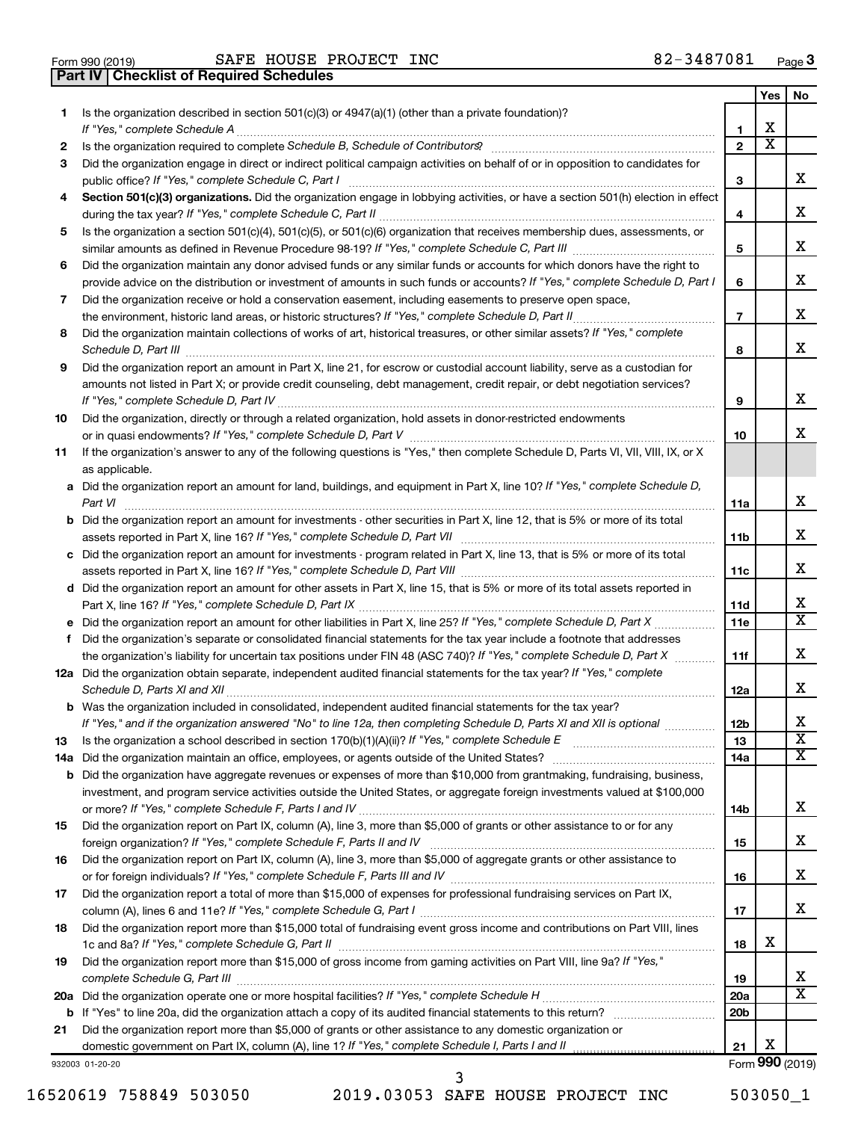|         |                                                                                                                                                                                                                                                           |                        | Yes | No                           |
|---------|-----------------------------------------------------------------------------------------------------------------------------------------------------------------------------------------------------------------------------------------------------------|------------------------|-----|------------------------------|
| 1.      | Is the organization described in section 501(c)(3) or 4947(a)(1) (other than a private foundation)?                                                                                                                                                       |                        |     |                              |
|         | If "Yes," complete Schedule A                                                                                                                                                                                                                             | 1                      | x   |                              |
| 2       |                                                                                                                                                                                                                                                           | $\mathbf{2}$           | X   |                              |
| 3       | Did the organization engage in direct or indirect political campaign activities on behalf of or in opposition to candidates for                                                                                                                           |                        |     |                              |
|         | public office? If "Yes," complete Schedule C, Part I                                                                                                                                                                                                      | З                      |     | х                            |
| 4       | Section 501(c)(3) organizations. Did the organization engage in lobbying activities, or have a section 501(h) election in effect                                                                                                                          |                        |     |                              |
|         |                                                                                                                                                                                                                                                           | 4                      |     | х                            |
| 5       | Is the organization a section 501(c)(4), 501(c)(5), or 501(c)(6) organization that receives membership dues, assessments, or                                                                                                                              |                        |     | х                            |
|         |                                                                                                                                                                                                                                                           | 5                      |     |                              |
| 6       | Did the organization maintain any donor advised funds or any similar funds or accounts for which donors have the right to<br>provide advice on the distribution or investment of amounts in such funds or accounts? If "Yes," complete Schedule D, Part I | 6                      |     | х                            |
| 7       | Did the organization receive or hold a conservation easement, including easements to preserve open space,                                                                                                                                                 |                        |     |                              |
|         |                                                                                                                                                                                                                                                           | $\overline{7}$         |     | х                            |
| 8       | Did the organization maintain collections of works of art, historical treasures, or other similar assets? If "Yes," complete                                                                                                                              |                        |     |                              |
|         |                                                                                                                                                                                                                                                           | 8                      |     | х                            |
| 9       | Did the organization report an amount in Part X, line 21, for escrow or custodial account liability, serve as a custodian for                                                                                                                             |                        |     |                              |
|         | amounts not listed in Part X; or provide credit counseling, debt management, credit repair, or debt negotiation services?                                                                                                                                 |                        |     |                              |
|         |                                                                                                                                                                                                                                                           | 9                      |     | x                            |
| 10      | Did the organization, directly or through a related organization, hold assets in donor-restricted endowments                                                                                                                                              |                        |     |                              |
|         |                                                                                                                                                                                                                                                           | 10                     |     | x                            |
| 11      | If the organization's answer to any of the following questions is "Yes," then complete Schedule D, Parts VI, VII, VIII, IX, or X                                                                                                                          |                        |     |                              |
|         | as applicable.                                                                                                                                                                                                                                            |                        |     |                              |
|         | a Did the organization report an amount for land, buildings, and equipment in Part X, line 10? If "Yes," complete Schedule D,                                                                                                                             |                        |     |                              |
|         |                                                                                                                                                                                                                                                           | 11a                    |     | х                            |
|         | <b>b</b> Did the organization report an amount for investments - other securities in Part X, line 12, that is 5% or more of its total                                                                                                                     |                        |     |                              |
|         |                                                                                                                                                                                                                                                           | 11 <sub>b</sub>        |     | х                            |
|         | c Did the organization report an amount for investments - program related in Part X, line 13, that is 5% or more of its total                                                                                                                             |                        |     |                              |
|         |                                                                                                                                                                                                                                                           | 11c                    |     | х                            |
|         | d Did the organization report an amount for other assets in Part X, line 15, that is 5% or more of its total assets reported in                                                                                                                           |                        |     |                              |
|         |                                                                                                                                                                                                                                                           | 11d                    |     | х<br>$\overline{\textbf{X}}$ |
|         |                                                                                                                                                                                                                                                           | 11e                    |     |                              |
| f       | Did the organization's separate or consolidated financial statements for the tax year include a footnote that addresses<br>the organization's liability for uncertain tax positions under FIN 48 (ASC 740)? If "Yes," complete Schedule D, Part X         | 11f                    |     | х                            |
|         | 12a Did the organization obtain separate, independent audited financial statements for the tax year? If "Yes," complete                                                                                                                                   |                        |     |                              |
|         |                                                                                                                                                                                                                                                           | 12a                    |     | х                            |
|         | <b>b</b> Was the organization included in consolidated, independent audited financial statements for the tax year?                                                                                                                                        |                        |     |                              |
|         | If "Yes," and if the organization answered "No" to line 12a, then completing Schedule D, Parts XI and XII is optional                                                                                                                                     | 12 <sub>b</sub>        |     | х                            |
| 13      |                                                                                                                                                                                                                                                           | 13                     |     | $\overline{\text{x}}$        |
| 14a     |                                                                                                                                                                                                                                                           | 14a                    |     | x                            |
| b       | Did the organization have aggregate revenues or expenses of more than \$10,000 from grantmaking, fundraising, business,                                                                                                                                   |                        |     |                              |
|         | investment, and program service activities outside the United States, or aggregate foreign investments valued at \$100,000                                                                                                                                |                        |     |                              |
|         |                                                                                                                                                                                                                                                           | 14b                    |     | х                            |
| 15      | Did the organization report on Part IX, column (A), line 3, more than \$5,000 of grants or other assistance to or for any                                                                                                                                 |                        |     |                              |
|         |                                                                                                                                                                                                                                                           | 15                     |     | х                            |
| 16      | Did the organization report on Part IX, column (A), line 3, more than \$5,000 of aggregate grants or other assistance to                                                                                                                                  |                        |     |                              |
|         |                                                                                                                                                                                                                                                           | 16                     |     | х                            |
| 17      | Did the organization report a total of more than \$15,000 of expenses for professional fundraising services on Part IX,                                                                                                                                   |                        |     |                              |
|         |                                                                                                                                                                                                                                                           | 17                     |     | х                            |
| 18      | Did the organization report more than \$15,000 total of fundraising event gross income and contributions on Part VIII, lines                                                                                                                              |                        |     |                              |
|         |                                                                                                                                                                                                                                                           | 18                     | х   |                              |
| 19      | Did the organization report more than \$15,000 of gross income from gaming activities on Part VIII, line 9a? If "Yes,"                                                                                                                                    |                        |     |                              |
|         |                                                                                                                                                                                                                                                           | 19                     |     | x<br>х                       |
| 20a     |                                                                                                                                                                                                                                                           | 20a<br>20 <sub>b</sub> |     |                              |
| b<br>21 | Did the organization report more than \$5,000 of grants or other assistance to any domestic organization or                                                                                                                                               |                        |     |                              |
|         |                                                                                                                                                                                                                                                           | 21                     | х   |                              |
|         | 932003 01-20-20                                                                                                                                                                                                                                           |                        |     | Form 990 (2019)              |

16520619 758849 503050 2019.03053 SAFE HOUSE PROJECT INC 503050\_1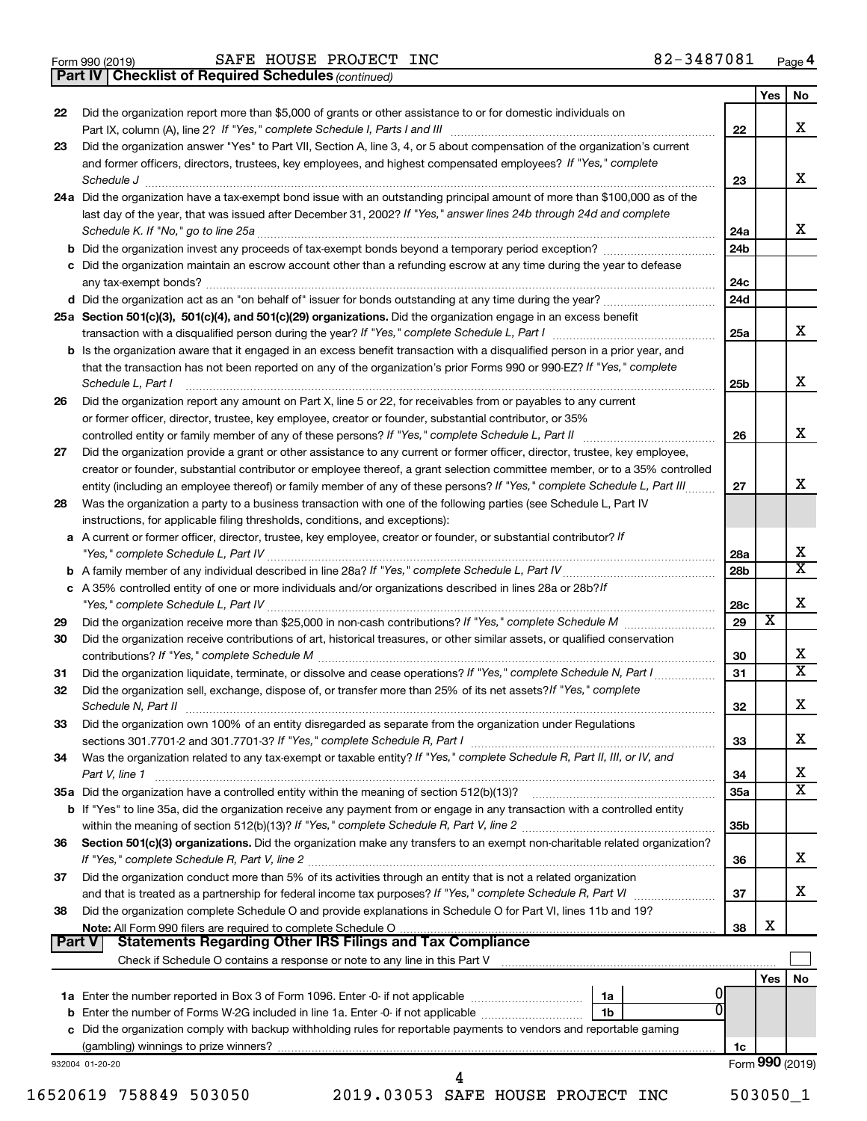- 
- Form 990 (2019) Page SAFE HOUSE PROJECT INC 82-3487081

*(continued)* **Part IV Checklist of Required Schedules**

|               |                                                                                                                                                                                                                            |                 | <b>Yes</b> | No                           |
|---------------|----------------------------------------------------------------------------------------------------------------------------------------------------------------------------------------------------------------------------|-----------------|------------|------------------------------|
| 22            | Did the organization report more than \$5,000 of grants or other assistance to or for domestic individuals on                                                                                                              |                 |            |                              |
|               |                                                                                                                                                                                                                            | 22              |            | x                            |
| 23            | Did the organization answer "Yes" to Part VII, Section A, line 3, 4, or 5 about compensation of the organization's current                                                                                                 |                 |            |                              |
|               | and former officers, directors, trustees, key employees, and highest compensated employees? If "Yes," complete                                                                                                             |                 |            |                              |
|               | Schedule J <b>Execute Schedule J Execute Schedule J</b>                                                                                                                                                                    | 23              |            | x                            |
|               | 24a Did the organization have a tax-exempt bond issue with an outstanding principal amount of more than \$100,000 as of the                                                                                                |                 |            |                              |
|               | last day of the year, that was issued after December 31, 2002? If "Yes," answer lines 24b through 24d and complete                                                                                                         | 24a             |            | x                            |
|               |                                                                                                                                                                                                                            | 24 <sub>b</sub> |            |                              |
|               | c Did the organization maintain an escrow account other than a refunding escrow at any time during the year to defease                                                                                                     |                 |            |                              |
|               |                                                                                                                                                                                                                            | 24c             |            |                              |
|               |                                                                                                                                                                                                                            | 24d             |            |                              |
|               | 25a Section 501(c)(3), 501(c)(4), and 501(c)(29) organizations. Did the organization engage in an excess benefit                                                                                                           |                 |            |                              |
|               |                                                                                                                                                                                                                            | 25a             |            | x                            |
|               | <b>b</b> Is the organization aware that it engaged in an excess benefit transaction with a disqualified person in a prior year, and                                                                                        |                 |            |                              |
|               | that the transaction has not been reported on any of the organization's prior Forms 990 or 990-EZ? If "Yes," complete                                                                                                      |                 |            |                              |
|               | Schedule L, Part I                                                                                                                                                                                                         | 25 <sub>b</sub> |            | x                            |
| 26            | Did the organization report any amount on Part X, line 5 or 22, for receivables from or payables to any current<br>or former officer, director, trustee, key employee, creator or founder, substantial contributor, or 35% |                 |            |                              |
|               |                                                                                                                                                                                                                            | 26              |            | x                            |
| 27            | Did the organization provide a grant or other assistance to any current or former officer, director, trustee, key employee,                                                                                                |                 |            |                              |
|               | creator or founder, substantial contributor or employee thereof, a grant selection committee member, or to a 35% controlled                                                                                                |                 |            |                              |
|               | entity (including an employee thereof) or family member of any of these persons? If "Yes," complete Schedule L, Part III                                                                                                   | 27              |            | x                            |
| 28            | Was the organization a party to a business transaction with one of the following parties (see Schedule L, Part IV                                                                                                          |                 |            |                              |
|               | instructions, for applicable filing thresholds, conditions, and exceptions):                                                                                                                                               |                 |            |                              |
|               | a A current or former officer, director, trustee, key employee, creator or founder, or substantial contributor? If                                                                                                         |                 |            |                              |
|               |                                                                                                                                                                                                                            | 28a             |            | х<br>$\overline{\mathtt{x}}$ |
|               | c A 35% controlled entity of one or more individuals and/or organizations described in lines 28a or 28b?If                                                                                                                 | 28b             |            |                              |
|               |                                                                                                                                                                                                                            | 28c             |            | X                            |
| 29            |                                                                                                                                                                                                                            | 29              | х          |                              |
| 30            | Did the organization receive contributions of art, historical treasures, or other similar assets, or qualified conservation                                                                                                |                 |            |                              |
|               |                                                                                                                                                                                                                            | 30              |            | x                            |
| 31            | Did the organization liquidate, terminate, or dissolve and cease operations? If "Yes," complete Schedule N, Part I                                                                                                         | 31              |            | $\overline{\mathtt{x}}$      |
| 32            | Did the organization sell, exchange, dispose of, or transfer more than 25% of its net assets? If "Yes," complete                                                                                                           |                 |            |                              |
|               |                                                                                                                                                                                                                            | 32              |            | х                            |
| 33            | Did the organization own 100% of an entity disregarded as separate from the organization under Regulations                                                                                                                 | 33              |            | X                            |
| 34            | Was the organization related to any tax-exempt or taxable entity? If "Yes," complete Schedule R, Part II, III, or IV, and                                                                                                  |                 |            |                              |
|               | Part V, line 1                                                                                                                                                                                                             | 34              |            | х                            |
|               | 35a Did the organization have a controlled entity within the meaning of section 512(b)(13)?                                                                                                                                | 35a             |            | $\overline{\mathtt{x}}$      |
|               | b If "Yes" to line 35a, did the organization receive any payment from or engage in any transaction with a controlled entity                                                                                                |                 |            |                              |
|               |                                                                                                                                                                                                                            | 35 <sub>b</sub> |            |                              |
| 36            | Section 501(c)(3) organizations. Did the organization make any transfers to an exempt non-charitable related organization?                                                                                                 |                 |            |                              |
|               |                                                                                                                                                                                                                            | 36              |            | X                            |
| 37            | Did the organization conduct more than 5% of its activities through an entity that is not a related organization                                                                                                           |                 |            |                              |
|               | Did the organization complete Schedule O and provide explanations in Schedule O for Part VI, lines 11b and 19?                                                                                                             | 37              |            | x                            |
| 38            |                                                                                                                                                                                                                            | 38              | X          |                              |
| <b>Part V</b> |                                                                                                                                                                                                                            |                 |            |                              |
|               |                                                                                                                                                                                                                            |                 |            |                              |
|               |                                                                                                                                                                                                                            |                 | <b>Yes</b> | No                           |
|               | 1a                                                                                                                                                                                                                         |                 |            |                              |
|               | b Enter the number of Forms W-2G included in line 1a. Enter -0- if not applicable<br>1b                                                                                                                                    |                 |            |                              |
|               | c Did the organization comply with backup withholding rules for reportable payments to vendors and reportable gaming                                                                                                       |                 |            |                              |
|               | 932004 01-20-20                                                                                                                                                                                                            | 1c              |            | Form 990 (2019)              |
|               | 4                                                                                                                                                                                                                          |                 |            |                              |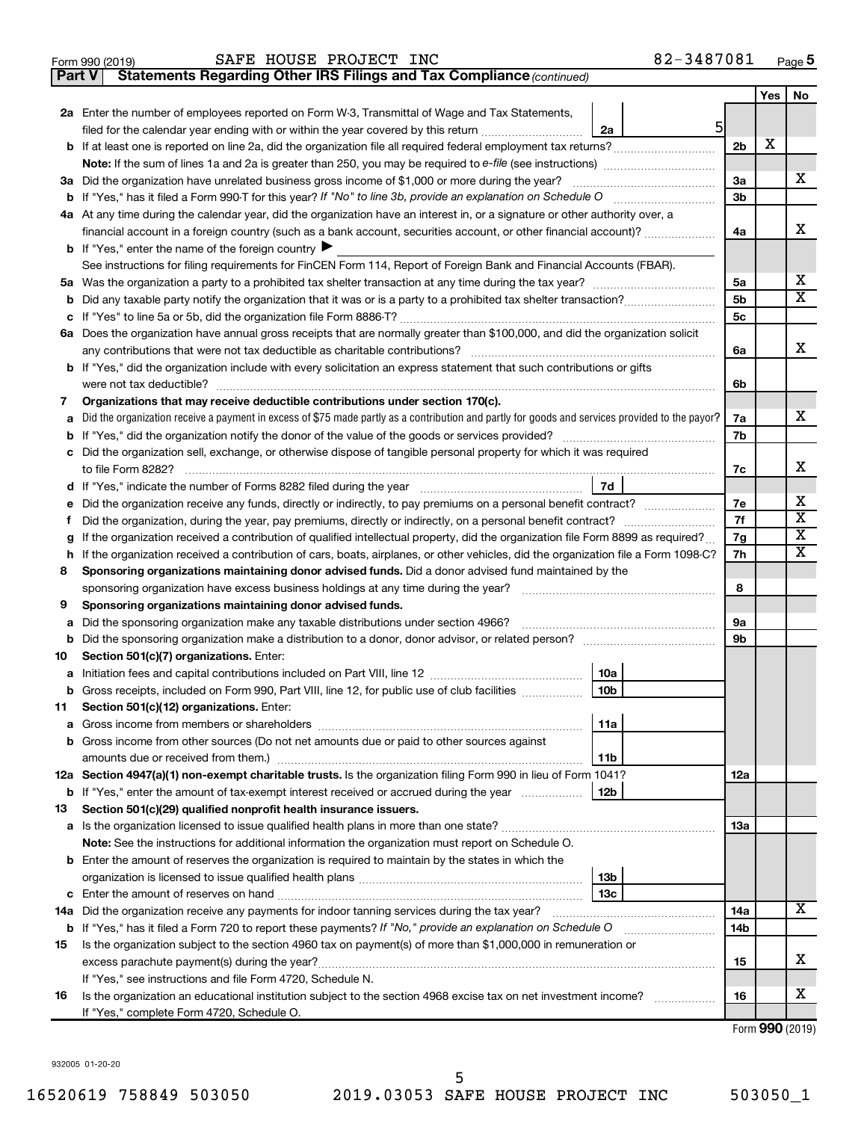| Form 990 (2019) | SAFE HOUSE PROJECT INC | 82-3487081<br>Page |
|-----------------|------------------------|--------------------|
|-----------------|------------------------|--------------------|

**Part V Statements Regarding Other IRS Filings and Tax Compliance**

*(continued)*

|    |                                                                                                                                                                                                                |                      | Yes | No |  |  |  |  |  |
|----|----------------------------------------------------------------------------------------------------------------------------------------------------------------------------------------------------------------|----------------------|-----|----|--|--|--|--|--|
|    | 2a Enter the number of employees reported on Form W-3, Transmittal of Wage and Tax Statements,                                                                                                                 |                      |     |    |  |  |  |  |  |
|    | $5 \mid$<br>filed for the calendar year ending with or within the year covered by this return <i>[[[[[[[[[[[[[[[]]]]</i> ]]<br>2a                                                                              |                      |     |    |  |  |  |  |  |
|    |                                                                                                                                                                                                                | 2 <sub>b</sub>       | X   |    |  |  |  |  |  |
|    |                                                                                                                                                                                                                |                      |     |    |  |  |  |  |  |
|    | 3a Did the organization have unrelated business gross income of \$1,000 or more during the year?                                                                                                               | За                   |     | х  |  |  |  |  |  |
|    |                                                                                                                                                                                                                | 3b                   |     |    |  |  |  |  |  |
|    | 4a At any time during the calendar year, did the organization have an interest in, or a signature or other authority over, a                                                                                   |                      |     |    |  |  |  |  |  |
|    | financial account in a foreign country (such as a bank account, securities account, or other financial account)?                                                                                               | 4a                   |     | х  |  |  |  |  |  |
|    | <b>b</b> If "Yes," enter the name of the foreign country $\blacktriangleright$                                                                                                                                 |                      |     |    |  |  |  |  |  |
|    | See instructions for filing requirements for FinCEN Form 114, Report of Foreign Bank and Financial Accounts (FBAR).                                                                                            |                      |     |    |  |  |  |  |  |
| b  | 5а                                                                                                                                                                                                             |                      |     |    |  |  |  |  |  |
|    |                                                                                                                                                                                                                | 5 <sub>b</sub><br>5c |     | x  |  |  |  |  |  |
|    | 6a Does the organization have annual gross receipts that are normally greater than \$100,000, and did the organization solicit                                                                                 |                      |     |    |  |  |  |  |  |
|    | any contributions that were not tax deductible as charitable contributions?                                                                                                                                    | 6а                   |     | х  |  |  |  |  |  |
|    | b If "Yes," did the organization include with every solicitation an express statement that such contributions or gifts                                                                                         |                      |     |    |  |  |  |  |  |
|    | were not tax deductible?                                                                                                                                                                                       | 6b                   |     |    |  |  |  |  |  |
| 7  | Organizations that may receive deductible contributions under section 170(c).                                                                                                                                  |                      |     |    |  |  |  |  |  |
|    | Did the organization receive a payment in excess of \$75 made partly as a contribution and partly for goods and services provided to the payor?                                                                | 7а                   |     | x. |  |  |  |  |  |
|    |                                                                                                                                                                                                                | 7b                   |     |    |  |  |  |  |  |
|    | Did the organization sell, exchange, or otherwise dispose of tangible personal property for which it was required                                                                                              |                      |     |    |  |  |  |  |  |
|    |                                                                                                                                                                                                                | 7с                   |     | x  |  |  |  |  |  |
|    | 7d<br>d If "Yes," indicate the number of Forms 8282 filed during the year manufactured in the set of the number of Forms 8282 filed during the year                                                            |                      |     |    |  |  |  |  |  |
|    | Did the organization receive any funds, directly or indirectly, to pay premiums on a personal benefit contract?                                                                                                | 7е                   |     | х  |  |  |  |  |  |
| Ť  | Did the organization, during the year, pay premiums, directly or indirectly, on a personal benefit contract?                                                                                                   | 7f                   |     | х  |  |  |  |  |  |
|    | If the organization received a contribution of qualified intellectual property, did the organization file Form 8899 as required?                                                                               | 7g                   |     | х  |  |  |  |  |  |
| h  | If the organization received a contribution of cars, boats, airplanes, or other vehicles, did the organization file a Form 1098-C?                                                                             | 7h                   |     | x  |  |  |  |  |  |
| 8  | Sponsoring organizations maintaining donor advised funds. Did a donor advised fund maintained by the                                                                                                           | 8                    |     |    |  |  |  |  |  |
| 9  | Sponsoring organizations maintaining donor advised funds.                                                                                                                                                      |                      |     |    |  |  |  |  |  |
| а  | Did the sponsoring organization make any taxable distributions under section 4966?                                                                                                                             | 9a                   |     |    |  |  |  |  |  |
| b  |                                                                                                                                                                                                                | 9b                   |     |    |  |  |  |  |  |
| 10 | Section 501(c)(7) organizations. Enter:                                                                                                                                                                        |                      |     |    |  |  |  |  |  |
| а  | 10a                                                                                                                                                                                                            |                      |     |    |  |  |  |  |  |
| b  | 10 <sub>b</sub><br>Gross receipts, included on Form 990, Part VIII, line 12, for public use of club facilities <i></i>                                                                                         |                      |     |    |  |  |  |  |  |
| 11 | Section 501(c)(12) organizations. Enter:                                                                                                                                                                       |                      |     |    |  |  |  |  |  |
|    | 11a                                                                                                                                                                                                            |                      |     |    |  |  |  |  |  |
|    | b Gross income from other sources (Do not net amounts due or paid to other sources against                                                                                                                     |                      |     |    |  |  |  |  |  |
|    | 11b                                                                                                                                                                                                            |                      |     |    |  |  |  |  |  |
|    | 12a Section 4947(a)(1) non-exempt charitable trusts. Is the organization filing Form 990 in lieu of Form 1041?                                                                                                 | 12a                  |     |    |  |  |  |  |  |
|    | <b>b</b> If "Yes," enter the amount of tax-exempt interest received or accrued during the year<br>12b                                                                                                          |                      |     |    |  |  |  |  |  |
| 13 | Section 501(c)(29) qualified nonprofit health insurance issuers.                                                                                                                                               |                      |     |    |  |  |  |  |  |
|    | a Is the organization licensed to issue qualified health plans in more than one state?                                                                                                                         | <b>13a</b>           |     |    |  |  |  |  |  |
|    | Note: See the instructions for additional information the organization must report on Schedule O.<br><b>b</b> Enter the amount of reserves the organization is required to maintain by the states in which the |                      |     |    |  |  |  |  |  |
|    | 13 <sub>b</sub>                                                                                                                                                                                                |                      |     |    |  |  |  |  |  |
|    | 13 <sub>c</sub>                                                                                                                                                                                                |                      |     |    |  |  |  |  |  |
|    | 14a Did the organization receive any payments for indoor tanning services during the tax year?                                                                                                                 | 14a                  |     | x  |  |  |  |  |  |
|    | <b>b</b> If "Yes," has it filed a Form 720 to report these payments? If "No," provide an explanation on Schedule O                                                                                             | 14b                  |     |    |  |  |  |  |  |
| 15 | Is the organization subject to the section 4960 tax on payment(s) of more than \$1,000,000 in remuneration or                                                                                                  |                      |     |    |  |  |  |  |  |
|    |                                                                                                                                                                                                                | 15                   |     | х  |  |  |  |  |  |
|    | If "Yes," see instructions and file Form 4720, Schedule N.                                                                                                                                                     |                      |     |    |  |  |  |  |  |
| 16 | Is the organization an educational institution subject to the section 4968 excise tax on net investment income?                                                                                                | 16                   |     | х  |  |  |  |  |  |
|    | If "Yes," complete Form 4720, Schedule O.                                                                                                                                                                      |                      |     |    |  |  |  |  |  |

Form (2019) **990**

932005 01-20-20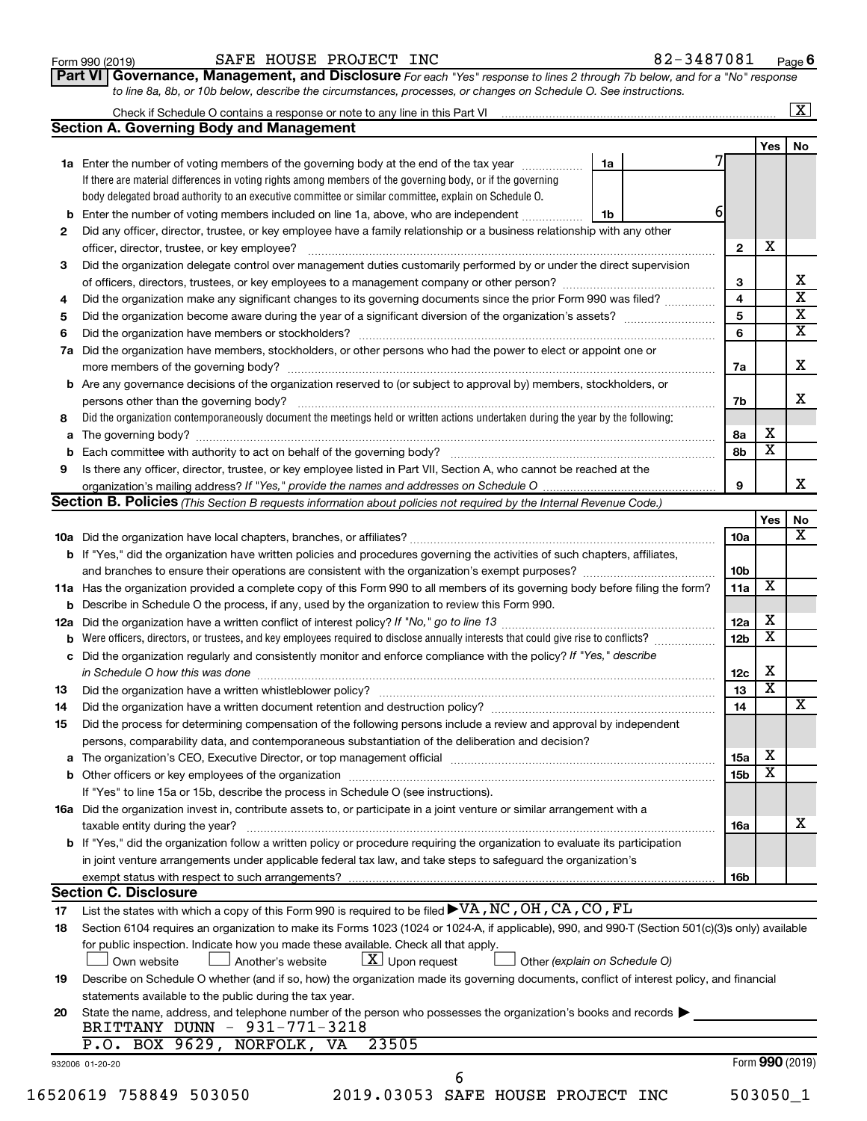| Form 990 (2019) |  |
|-----------------|--|
|-----------------|--|

# Form 990 (2019) Page SAFE HOUSE PROJECT INC 82-3487081

**Part VI** Governance, Management, and Disclosure For each "Yes" response to lines 2 through 7b below, and for a "No" response *to line 8a, 8b, or 10b below, describe the circumstances, processes, or changes on Schedule O. See instructions.*

|     | Check if Schedule O contains a response or note to any line in this Part VI [11] [12] Check if Schedule O contains a response or note to any line in this Part VI |   |                 |                         | $\mathbf{X}$ |
|-----|-------------------------------------------------------------------------------------------------------------------------------------------------------------------|---|-----------------|-------------------------|--------------|
|     | <b>Section A. Governing Body and Management</b>                                                                                                                   |   |                 |                         | No           |
|     | 1a<br>1a Enter the number of voting members of the governing body at the end of the tax year                                                                      |   |                 | Yes                     |              |
|     | If there are material differences in voting rights among members of the governing body, or if the governing                                                       |   |                 |                         |              |
|     |                                                                                                                                                                   |   |                 |                         |              |
|     | body delegated broad authority to an executive committee or similar committee, explain on Schedule O.                                                             | 6 |                 |                         |              |
|     | <b>b</b> Enter the number of voting members included on line 1a, above, who are independent<br>1b                                                                 |   |                 |                         |              |
| 2   | Did any officer, director, trustee, or key employee have a family relationship or a business relationship with any other                                          |   |                 |                         |              |
|     | officer, director, trustee, or key employee?                                                                                                                      |   | $\mathbf{2}$    | х                       |              |
| 3   | Did the organization delegate control over management duties customarily performed by or under the direct supervision                                             |   |                 |                         |              |
|     |                                                                                                                                                                   |   | 3               |                         |              |
| 4   | Did the organization make any significant changes to its governing documents since the prior Form 990 was filed?                                                  |   | 4               |                         |              |
| 5   |                                                                                                                                                                   |   | 5               |                         |              |
| 6   |                                                                                                                                                                   |   | 6               |                         |              |
| 7a  | Did the organization have members, stockholders, or other persons who had the power to elect or appoint one or                                                    |   |                 |                         |              |
|     |                                                                                                                                                                   |   | 7a              |                         |              |
|     | <b>b</b> Are any governance decisions of the organization reserved to (or subject to approval by) members, stockholders, or                                       |   |                 |                         |              |
|     | persons other than the governing body?                                                                                                                            |   | 7b              |                         |              |
| 8   | Did the organization contemporaneously document the meetings held or written actions undertaken during the year by the following:                                 |   |                 |                         |              |
|     |                                                                                                                                                                   |   | 8а              | х                       |              |
|     |                                                                                                                                                                   |   | 8b              | $\overline{\texttt{x}}$ |              |
| 9   | Is there any officer, director, trustee, or key employee listed in Part VII, Section A, who cannot be reached at the                                              |   |                 |                         |              |
|     |                                                                                                                                                                   |   | 9               |                         |              |
|     |                                                                                                                                                                   |   |                 |                         |              |
|     | Section B. Policies (This Section B requests information about policies not required by the Internal Revenue Code.)                                               |   |                 |                         |              |
|     |                                                                                                                                                                   |   |                 | Yes                     |              |
|     |                                                                                                                                                                   |   | 10a             |                         |              |
|     | b If "Yes," did the organization have written policies and procedures governing the activities of such chapters, affiliates,                                      |   |                 |                         |              |
|     | and branches to ensure their operations are consistent with the organization's exempt purposes?                                                                   |   | 10b             |                         |              |
|     | 11a Has the organization provided a complete copy of this Form 990 to all members of its governing body before filing the form?                                   |   | 11a             | $\overline{\mathbf{X}}$ |              |
|     | <b>b</b> Describe in Schedule O the process, if any, used by the organization to review this Form 990.                                                            |   |                 |                         |              |
| 12a |                                                                                                                                                                   |   | 12a             | х                       |              |
|     | Were officers, directors, or trustees, and key employees required to disclose annually interests that could give rise to conflicts? [                             |   | 12 <sub>b</sub> | $\overline{\textbf{x}}$ |              |
|     | c Did the organization regularly and consistently monitor and enforce compliance with the policy? If "Yes," describe                                              |   |                 |                         |              |
|     | in Schedule O how this was done manufactured and continuum and contact the way to be a set of the set of the s                                                    |   | 12c             | х                       |              |
| 13  |                                                                                                                                                                   |   | 13              | $\overline{\text{x}}$   |              |
| 14  | Did the organization have a written document retention and destruction policy? [11] manufaction manufaction in                                                    |   | 14              |                         |              |
| 15  | Did the process for determining compensation of the following persons include a review and approval by independent                                                |   |                 |                         |              |
|     | persons, comparability data, and contemporaneous substantiation of the deliberation and decision?                                                                 |   |                 |                         |              |
|     |                                                                                                                                                                   |   | 15a             | х                       |              |
|     |                                                                                                                                                                   |   |                 | $\overline{\textbf{x}}$ |              |
|     |                                                                                                                                                                   |   | 15b             |                         |              |
|     | If "Yes" to line 15a or 15b, describe the process in Schedule O (see instructions).                                                                               |   |                 |                         |              |
|     | 16a Did the organization invest in, contribute assets to, or participate in a joint venture or similar arrangement with a                                         |   |                 |                         |              |
|     | taxable entity during the year?                                                                                                                                   |   | 16a             |                         |              |
|     | <b>b</b> If "Yes," did the organization follow a written policy or procedure requiring the organization to evaluate its participation                             |   |                 |                         |              |
|     | in joint venture arrangements under applicable federal tax law, and take steps to safeguard the organization's                                                    |   |                 |                         |              |
|     | exempt status with respect to such arrangements?                                                                                                                  |   | 16b             |                         |              |
|     | <b>Section C. Disclosure</b>                                                                                                                                      |   |                 |                         |              |
| 17  | List the states with which a copy of this Form 990 is required to be filed $\blacktriangleright\text{VA}$ , NC, OH, CA, CO, FL                                    |   |                 |                         |              |
| 18  | Section 6104 requires an organization to make its Forms 1023 (1024 or 1024-A, if applicable), 990, and 990-T (Section 501(c)(3)s only) available                  |   |                 |                         |              |
|     | for public inspection. Indicate how you made these available. Check all that apply.                                                                               |   |                 |                         |              |
|     | $X$ Upon request<br>Own website<br>Another's website<br>Other (explain on Schedule O)                                                                             |   |                 |                         |              |
|     | Describe on Schedule O whether (and if so, how) the organization made its governing documents, conflict of interest policy, and financial                         |   |                 |                         |              |
| 19  | statements available to the public during the tax year.                                                                                                           |   |                 |                         |              |
|     |                                                                                                                                                                   |   |                 |                         |              |
|     |                                                                                                                                                                   |   |                 |                         |              |
| 20  | State the name, address, and telephone number of the person who possesses the organization's books and records                                                    |   |                 |                         |              |
|     | BRITTANY DUNN - 931-771-3218                                                                                                                                      |   |                 |                         |              |
|     | P.O. BOX 9629, NORFOLK, VA<br>23505                                                                                                                               |   |                 |                         |              |
|     | 932006 01-20-20<br>6                                                                                                                                              |   |                 | Form 990 (2019)         |              |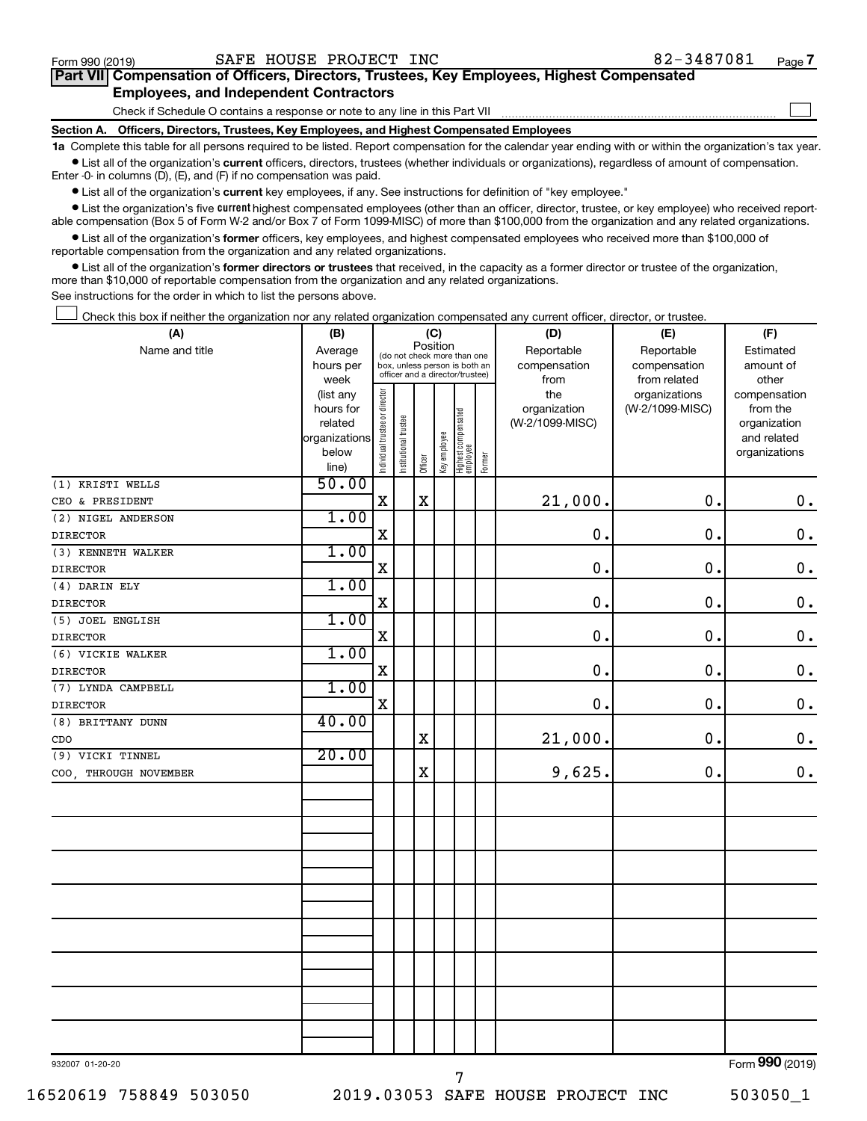$\Box$ 

| Part VII Compensation of Officers, Directors, Trustees, Key Employees, Highest Compensated |  |  |  |
|--------------------------------------------------------------------------------------------|--|--|--|
| <b>Employees, and Independent Contractors</b>                                              |  |  |  |

Check if Schedule O contains a response or note to any line in this Part VII

**Section A. Officers, Directors, Trustees, Key Employees, and Highest Compensated Employees**

**1a**  Complete this table for all persons required to be listed. Report compensation for the calendar year ending with or within the organization's tax year.  $\bullet$  List all of the organization's current officers, directors, trustees (whether individuals or organizations), regardless of amount of compensation.

Enter -0- in columns (D), (E), and (F) if no compensation was paid.

**•** List all of the organization's current key employees, if any. See instructions for definition of "key employee."

• List the organization's five *current* highest compensated employees (other than an officer, director, trustee, or key employee) who received reportable compensation (Box 5 of Form W-2 and/or Box 7 of Form 1099-MISC) of more than \$100,000 from the organization and any related organizations.

 $\bullet$  List all of the organization's former officers, key employees, and highest compensated employees who received more than \$100,000 of reportable compensation from the organization and any related organizations.

**•** List all of the organization's former directors or trustees that received, in the capacity as a former director or trustee of the organization, more than \$10,000 of reportable compensation from the organization and any related organizations.

See instructions for the order in which to list the persons above.

Check this box if neither the organization nor any related organization compensated any current officer, director, or trustee.  $\Box$ 

| (A)                                  | (B)                                                                                                                                 | (C)                            |                       |             |              |                                 |        | (D)             | (E)             | (F)             |
|--------------------------------------|-------------------------------------------------------------------------------------------------------------------------------------|--------------------------------|-----------------------|-------------|--------------|---------------------------------|--------|-----------------|-----------------|-----------------|
| Name and title                       | Position<br>Average<br>(do not check more than one<br>hours per<br>box, unless person is both an<br>officer and a director/trustee) |                                |                       |             |              |                                 |        | Reportable      | Reportable      | Estimated       |
|                                      |                                                                                                                                     |                                |                       |             |              |                                 |        | compensation    | compensation    | amount of       |
|                                      | week                                                                                                                                |                                |                       |             |              |                                 |        | from            | from related    | other           |
|                                      | (list any                                                                                                                           |                                |                       |             |              |                                 |        | the             | organizations   | compensation    |
|                                      | hours for                                                                                                                           |                                |                       |             |              |                                 |        | organization    | (W-2/1099-MISC) | from the        |
|                                      | related                                                                                                                             |                                |                       |             |              |                                 |        | (W-2/1099-MISC) |                 | organization    |
|                                      | organizations                                                                                                                       |                                |                       |             |              |                                 |        |                 |                 | and related     |
|                                      | below<br>line)                                                                                                                      | Individual trustee or director | Institutional trustee | Officer     | Key employee | Highest compensated<br>employee | Former |                 |                 | organizations   |
| (1) KRISTI WELLS                     | 50.00                                                                                                                               |                                |                       |             |              |                                 |        |                 |                 |                 |
| CEO & PRESIDENT                      |                                                                                                                                     | $\mathbf X$                    |                       | $\rm X$     |              |                                 |        | 21,000.         | $\mathbf 0$ .   | $\mathbf 0$ .   |
| (2) NIGEL ANDERSON                   | 1.00                                                                                                                                |                                |                       |             |              |                                 |        |                 |                 |                 |
| <b>DIRECTOR</b>                      |                                                                                                                                     | $\mathbf X$                    |                       |             |              |                                 |        | $\mathbf 0$ .   | 0.              | $\mathbf 0$ .   |
| (3) KENNETH WALKER                   | 1.00                                                                                                                                |                                |                       |             |              |                                 |        |                 |                 |                 |
| <b>DIRECTOR</b>                      |                                                                                                                                     | $\mathbf X$                    |                       |             |              |                                 |        | $\mathbf 0$ .   | $\mathbf 0$ .   | $\mathbf 0$ .   |
| (4) DARIN ELY                        | 1.00                                                                                                                                |                                |                       |             |              |                                 |        |                 |                 |                 |
| <b>DIRECTOR</b>                      |                                                                                                                                     | $\mathbf X$                    |                       |             |              |                                 |        | $\mathbf 0$ .   | 0.              | $\mathbf 0$ .   |
| (5) JOEL ENGLISH                     | 1.00                                                                                                                                |                                |                       |             |              |                                 |        |                 |                 |                 |
| <b>DIRECTOR</b>                      |                                                                                                                                     | $\mathbf X$                    |                       |             |              |                                 |        | $\mathbf 0$ .   | 0.              | $\mathbf 0$ .   |
| (6) VICKIE WALKER                    | 1.00                                                                                                                                |                                |                       |             |              |                                 |        |                 |                 |                 |
| <b>DIRECTOR</b>                      |                                                                                                                                     | $\mathbf X$                    |                       |             |              |                                 |        | $\mathbf 0$ .   | 0.              | $\mathbf 0$ .   |
| (7) LYNDA CAMPBELL                   | 1.00                                                                                                                                |                                |                       |             |              |                                 |        |                 |                 |                 |
| <b>DIRECTOR</b>                      |                                                                                                                                     | $\mathbf X$                    |                       |             |              |                                 |        | 0.              | 0.              | $\mathbf 0$ .   |
| (8) BRITTANY DUNN                    | 40.00                                                                                                                               |                                |                       |             |              |                                 |        |                 |                 |                 |
| $_{\text{CDO}}$                      |                                                                                                                                     |                                |                       | $\mathbf X$ |              |                                 |        | 21,000.         | $\mathbf 0$ .   | $\mathbf 0$ .   |
| (9) VICKI TINNEL                     | 20.00                                                                                                                               |                                |                       |             |              |                                 |        |                 |                 |                 |
| THROUGH NOVEMBER<br>COO <sub>2</sub> |                                                                                                                                     |                                |                       | X           |              |                                 |        | 9,625.          | 0.              | $\mathbf 0$ .   |
|                                      |                                                                                                                                     |                                |                       |             |              |                                 |        |                 |                 |                 |
|                                      |                                                                                                                                     |                                |                       |             |              |                                 |        |                 |                 |                 |
|                                      |                                                                                                                                     |                                |                       |             |              |                                 |        |                 |                 |                 |
|                                      |                                                                                                                                     |                                |                       |             |              |                                 |        |                 |                 |                 |
|                                      |                                                                                                                                     |                                |                       |             |              |                                 |        |                 |                 |                 |
|                                      |                                                                                                                                     |                                |                       |             |              |                                 |        |                 |                 |                 |
|                                      |                                                                                                                                     |                                |                       |             |              |                                 |        |                 |                 |                 |
|                                      |                                                                                                                                     |                                |                       |             |              |                                 |        |                 |                 |                 |
|                                      |                                                                                                                                     |                                |                       |             |              |                                 |        |                 |                 |                 |
|                                      |                                                                                                                                     |                                |                       |             |              |                                 |        |                 |                 |                 |
|                                      |                                                                                                                                     |                                |                       |             |              |                                 |        |                 |                 |                 |
|                                      |                                                                                                                                     |                                |                       |             |              |                                 |        |                 |                 |                 |
|                                      |                                                                                                                                     |                                |                       |             |              |                                 |        |                 |                 |                 |
|                                      |                                                                                                                                     |                                |                       |             |              |                                 |        |                 |                 |                 |
|                                      |                                                                                                                                     |                                |                       |             |              |                                 |        |                 |                 | $000 \approx 0$ |
|                                      |                                                                                                                                     |                                |                       |             |              |                                 |        |                 |                 |                 |

932007 01-20-20

Form (2019) **990**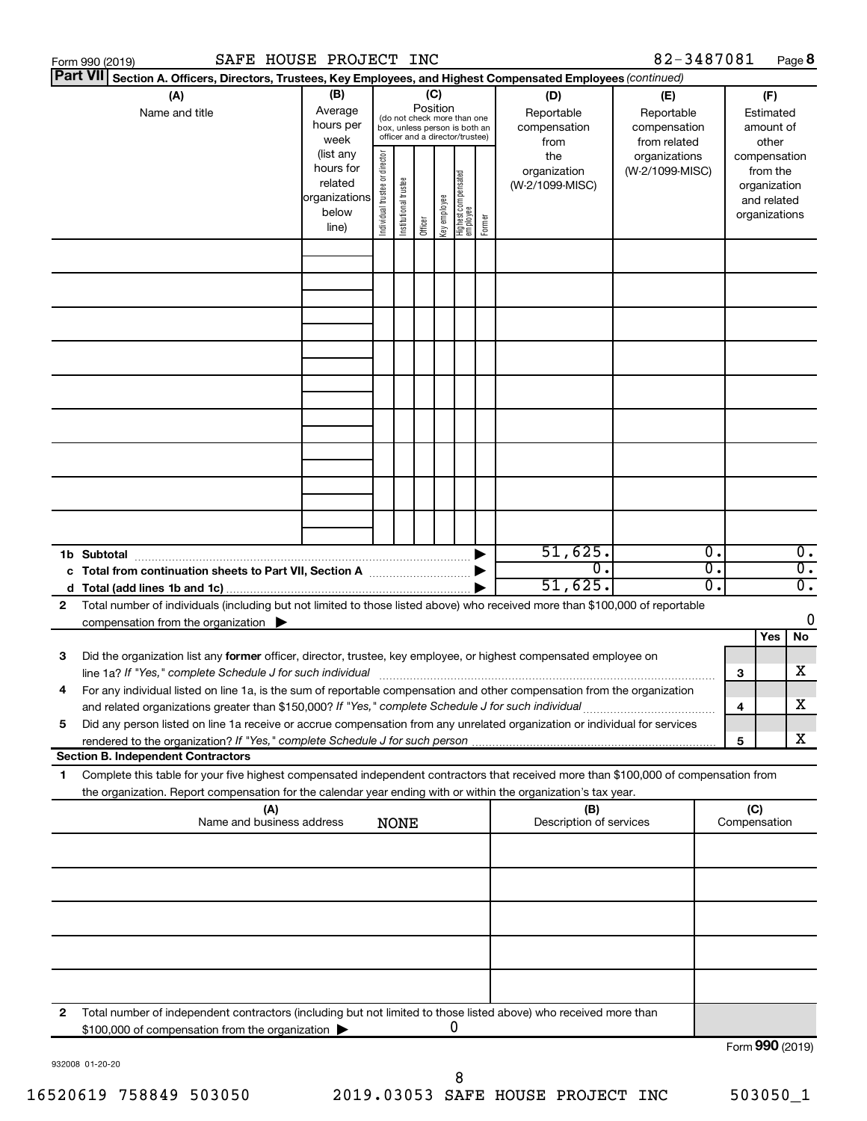|    | SAFE HOUSE PROJECT INC<br>Form 990 (2019)                                                                                                                                                                                           |                                                                      |                                |                       |                 |              |                                                                                                 |        |                                           | 82-3487081                                        |    |                               |                                         | Page 8           |
|----|-------------------------------------------------------------------------------------------------------------------------------------------------------------------------------------------------------------------------------------|----------------------------------------------------------------------|--------------------------------|-----------------------|-----------------|--------------|-------------------------------------------------------------------------------------------------|--------|-------------------------------------------|---------------------------------------------------|----|-------------------------------|-----------------------------------------|------------------|
|    | <b>Part VII</b><br>Section A. Officers, Directors, Trustees, Key Employees, and Highest Compensated Employees (continued)                                                                                                           |                                                                      |                                |                       |                 |              |                                                                                                 |        |                                           |                                                   |    |                               |                                         |                  |
|    | (A)<br>Name and title                                                                                                                                                                                                               | (B)<br>Average<br>hours per<br>week                                  |                                |                       | (C)<br>Position |              | (do not check more than one<br>box, unless person is both an<br>officer and a director/trustee) |        | (D)<br>Reportable<br>compensation<br>from | (E)<br>Reportable<br>compensation<br>from related |    |                               | (F)<br>Estimated<br>amount of<br>other  |                  |
|    |                                                                                                                                                                                                                                     | (list any<br>hours for<br>related<br>organizations<br>below<br>line) | Individual trustee or director | Institutional trustee | Officer         | Key employee | Highest compensated<br>  employee                                                               | Former | the<br>organization<br>(W-2/1099-MISC)    | organizations<br>(W-2/1099-MISC)                  |    | compensation<br>organizations | from the<br>organization<br>and related |                  |
|    |                                                                                                                                                                                                                                     |                                                                      |                                |                       |                 |              |                                                                                                 |        |                                           |                                                   |    |                               |                                         |                  |
|    |                                                                                                                                                                                                                                     |                                                                      |                                |                       |                 |              |                                                                                                 |        |                                           |                                                   |    |                               |                                         |                  |
|    |                                                                                                                                                                                                                                     |                                                                      |                                |                       |                 |              |                                                                                                 |        |                                           |                                                   |    |                               |                                         |                  |
|    |                                                                                                                                                                                                                                     |                                                                      |                                |                       |                 |              |                                                                                                 |        |                                           |                                                   |    |                               |                                         |                  |
|    |                                                                                                                                                                                                                                     |                                                                      |                                |                       |                 |              |                                                                                                 |        |                                           |                                                   |    |                               |                                         |                  |
|    |                                                                                                                                                                                                                                     |                                                                      |                                |                       |                 |              |                                                                                                 |        |                                           |                                                   |    |                               |                                         |                  |
|    | 1b Subtotal                                                                                                                                                                                                                         |                                                                      |                                |                       |                 |              |                                                                                                 |        | 51,625.                                   |                                                   | 0. |                               |                                         | $\overline{0}$ . |
|    | c Total from continuation sheets to Part VII, Section A manufactured by                                                                                                                                                             |                                                                      |                                |                       |                 |              |                                                                                                 |        | $\overline{0}$ .                          |                                                   | σ. |                               |                                         | $\overline{0}$ . |
|    |                                                                                                                                                                                                                                     |                                                                      |                                |                       |                 |              |                                                                                                 |        | 51,625.                                   |                                                   | о. |                               |                                         | $\overline{0}$ . |
| 2  | Total number of individuals (including but not limited to those listed above) who received more than \$100,000 of reportable<br>compensation from the organization $\blacktriangleright$                                            |                                                                      |                                |                       |                 |              |                                                                                                 |        |                                           |                                                   |    |                               |                                         | 0                |
|    |                                                                                                                                                                                                                                     |                                                                      |                                |                       |                 |              |                                                                                                 |        |                                           |                                                   |    |                               | Yes                                     | No               |
| 3  | Did the organization list any former officer, director, trustee, key employee, or highest compensated employee on<br>line 1a? If "Yes," complete Schedule J for such individual manufactured content to the set of the set of the s |                                                                      |                                |                       |                 |              |                                                                                                 |        |                                           |                                                   |    | 3                             |                                         | х                |
|    | For any individual listed on line 1a, is the sum of reportable compensation and other compensation from the organization<br>and related organizations greater than \$150,000? If "Yes," complete Schedule J for such individual     |                                                                      |                                |                       |                 |              |                                                                                                 |        |                                           |                                                   |    | 4                             |                                         | х                |
| 5  | Did any person listed on line 1a receive or accrue compensation from any unrelated organization or individual for services                                                                                                          |                                                                      |                                |                       |                 |              |                                                                                                 |        |                                           |                                                   |    |                               |                                         |                  |
|    | <b>Section B. Independent Contractors</b>                                                                                                                                                                                           |                                                                      |                                |                       |                 |              |                                                                                                 |        |                                           |                                                   |    | 5                             |                                         | х                |
| 1. | Complete this table for your five highest compensated independent contractors that received more than \$100,000 of compensation from                                                                                                |                                                                      |                                |                       |                 |              |                                                                                                 |        |                                           |                                                   |    |                               |                                         |                  |
|    | the organization. Report compensation for the calendar year ending with or within the organization's tax year.                                                                                                                      |                                                                      |                                |                       |                 |              |                                                                                                 |        |                                           |                                                   |    |                               |                                         |                  |
|    | (A)<br>Name and business address                                                                                                                                                                                                    |                                                                      |                                | <b>NONE</b>           |                 |              |                                                                                                 |        | (B)<br>Description of services            |                                                   |    | (C)<br>Compensation           |                                         |                  |
|    |                                                                                                                                                                                                                                     |                                                                      |                                |                       |                 |              |                                                                                                 |        |                                           |                                                   |    |                               |                                         |                  |
|    |                                                                                                                                                                                                                                     |                                                                      |                                |                       |                 |              |                                                                                                 |        |                                           |                                                   |    |                               |                                         |                  |
|    |                                                                                                                                                                                                                                     |                                                                      |                                |                       |                 |              |                                                                                                 |        |                                           |                                                   |    |                               |                                         |                  |
|    |                                                                                                                                                                                                                                     |                                                                      |                                |                       |                 |              |                                                                                                 |        |                                           |                                                   |    |                               |                                         |                  |
| 2  | Total number of independent contractors (including but not limited to those listed above) who received more than<br>\$100,000 of compensation from the organization                                                                 |                                                                      |                                |                       |                 |              | 0                                                                                               |        |                                           |                                                   |    |                               |                                         |                  |
|    |                                                                                                                                                                                                                                     |                                                                      |                                |                       |                 |              |                                                                                                 |        |                                           |                                                   |    | Form 990 (2019)               |                                         |                  |

932008 01-20-20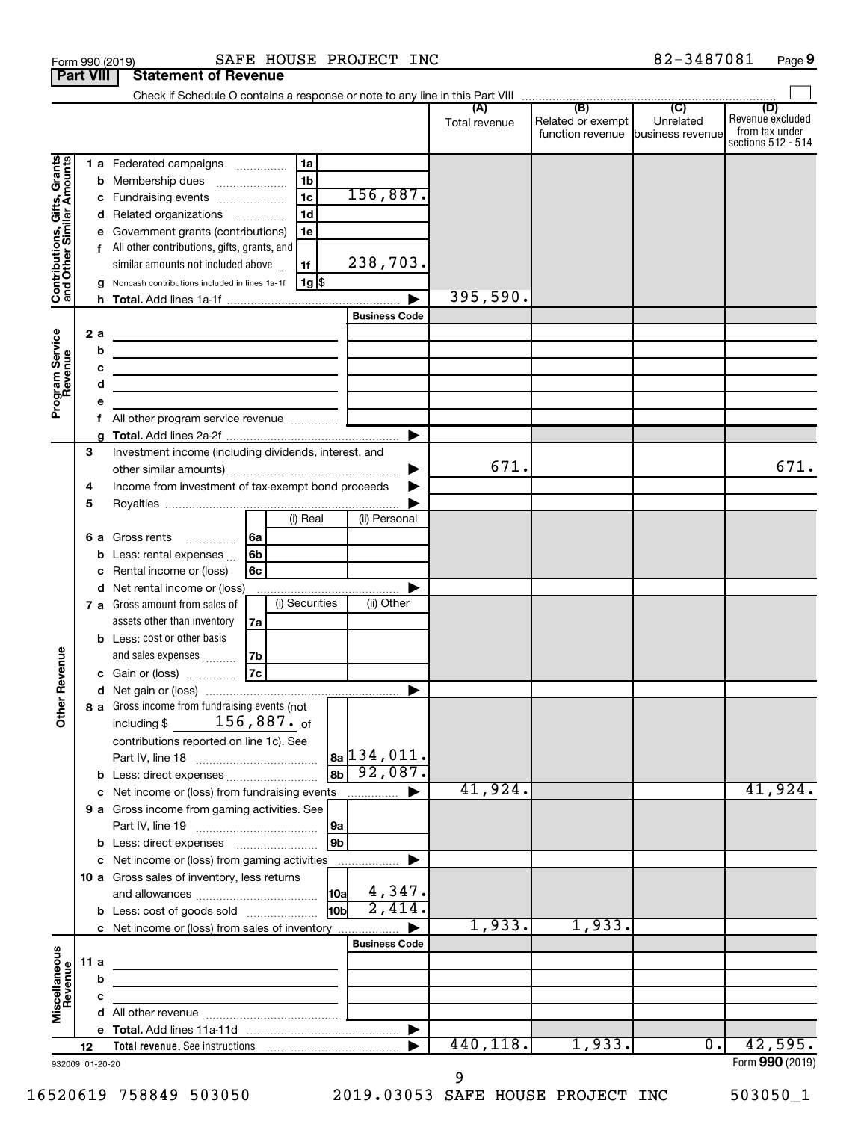|                                                           | <b>Part VIII</b>            | <b>Statement of Revenue</b>                                                                                                                                                                                                                                                                                                                                                                                             |                                                                                                                                                                                  |
|-----------------------------------------------------------|-----------------------------|-------------------------------------------------------------------------------------------------------------------------------------------------------------------------------------------------------------------------------------------------------------------------------------------------------------------------------------------------------------------------------------------------------------------------|----------------------------------------------------------------------------------------------------------------------------------------------------------------------------------|
|                                                           |                             |                                                                                                                                                                                                                                                                                                                                                                                                                         |                                                                                                                                                                                  |
|                                                           |                             |                                                                                                                                                                                                                                                                                                                                                                                                                         | (B)<br>$\overline{C}$<br>(D)<br>Revenue excluded<br>Unrelated<br>Related or exempt<br>Total revenue<br>from tax under<br>function revenue business revenue<br>sections 512 - 514 |
| Contributions, Gifts, Grants<br>and Other Similar Amounts | b<br>с<br>d<br>f<br>h.      | 1 a Federated campaigns<br>1a<br>1 <sub>b</sub><br>Membership dues<br>$\ldots \ldots \ldots \ldots \ldots$<br>156,887.<br>1 <sub>c</sub><br>Fundraising events<br>1 <sub>d</sub><br>Related organizations<br>1e<br>Government grants (contributions)<br>All other contributions, gifts, grants, and<br>238,703.<br>similar amounts not included above<br>1f<br>$1g$ \$<br>Noncash contributions included in lines 1a-1f | 395,590.                                                                                                                                                                         |
|                                                           |                             | <b>Business Code</b>                                                                                                                                                                                                                                                                                                                                                                                                    |                                                                                                                                                                                  |
| Program Service<br>Revenue                                | 2a<br>b<br>c<br>d<br>е<br>f | the control of the control of the control of the control of the control of<br>the contract of the contract of the contract of the contract of the contract of<br>the contract of the contract of the contract of the contract of the contract of<br>the control of the control of the control of the control of the control of                                                                                          |                                                                                                                                                                                  |
|                                                           |                             | ▶                                                                                                                                                                                                                                                                                                                                                                                                                       |                                                                                                                                                                                  |
|                                                           | 3<br>4                      | Investment income (including dividends, interest, and<br>Income from investment of tax-exempt bond proceeds                                                                                                                                                                                                                                                                                                             | 671.<br>671.                                                                                                                                                                     |
|                                                           | 5                           | (i) Real<br>(ii) Personal                                                                                                                                                                                                                                                                                                                                                                                               |                                                                                                                                                                                  |
|                                                           | 6а<br>b<br>с                | Gross rents<br> 6a<br>6 <sub>b</sub><br>Less: rental expenses<br>6c<br>Rental income or (loss)                                                                                                                                                                                                                                                                                                                          |                                                                                                                                                                                  |
|                                                           |                             | d Net rental income or (loss)                                                                                                                                                                                                                                                                                                                                                                                           |                                                                                                                                                                                  |
|                                                           |                             | (i) Securities<br>(ii) Other<br>7 a Gross amount from sales of<br>assets other than inventory<br>7a                                                                                                                                                                                                                                                                                                                     |                                                                                                                                                                                  |
|                                                           |                             | <b>b</b> Less: cost or other basis<br>and sales expenses<br>7b                                                                                                                                                                                                                                                                                                                                                          |                                                                                                                                                                                  |
| Revenue                                                   |                             | 7c <br>Gain or (loss)                                                                                                                                                                                                                                                                                                                                                                                                   |                                                                                                                                                                                  |
|                                                           |                             |                                                                                                                                                                                                                                                                                                                                                                                                                         |                                                                                                                                                                                  |
| ৯<br>$\tilde{\vec{b}}$                                    |                             | 8 a Gross income from fundraising events (not<br>$156,887.$ of<br>including \$<br>contributions reported on line 1c). See<br>$ a_2 134,011$ .                                                                                                                                                                                                                                                                           |                                                                                                                                                                                  |
|                                                           |                             | 92,087.<br>$\overline{\mathbf{a}}$<br><b>b</b> Less: direct expenses                                                                                                                                                                                                                                                                                                                                                    |                                                                                                                                                                                  |
|                                                           |                             | c Net income or (loss) from fundraising events                                                                                                                                                                                                                                                                                                                                                                          | 41,924.<br>41,924.                                                                                                                                                               |
|                                                           |                             | 9 a Gross income from gaming activities. See<br> 9a                                                                                                                                                                                                                                                                                                                                                                     |                                                                                                                                                                                  |
|                                                           |                             | 9 <sub>b</sub><br><b>b</b> Less: direct expenses <b>manually</b>                                                                                                                                                                                                                                                                                                                                                        |                                                                                                                                                                                  |
|                                                           |                             | c Net income or (loss) from gaming activities                                                                                                                                                                                                                                                                                                                                                                           |                                                                                                                                                                                  |
|                                                           |                             | 10 a Gross sales of inventory, less returns<br>4,347.<br><b>10a</b>                                                                                                                                                                                                                                                                                                                                                     |                                                                                                                                                                                  |
|                                                           |                             | 2,414.<br>10bl<br><b>b</b> Less: cost of goods sold                                                                                                                                                                                                                                                                                                                                                                     |                                                                                                                                                                                  |
|                                                           |                             | c Net income or (loss) from sales of inventory                                                                                                                                                                                                                                                                                                                                                                          | 1,933.<br>1,933.                                                                                                                                                                 |
|                                                           |                             | <b>Business Code</b>                                                                                                                                                                                                                                                                                                                                                                                                    |                                                                                                                                                                                  |
| Miscellaneous<br>Revenue                                  | 11a                         | the control of the control of the control of the control of the control of                                                                                                                                                                                                                                                                                                                                              |                                                                                                                                                                                  |
|                                                           | b                           |                                                                                                                                                                                                                                                                                                                                                                                                                         |                                                                                                                                                                                  |
|                                                           | с                           | <u> 1980 - Johann Barbara, martxa alemaniar a</u>                                                                                                                                                                                                                                                                                                                                                                       |                                                                                                                                                                                  |
|                                                           |                             |                                                                                                                                                                                                                                                                                                                                                                                                                         |                                                                                                                                                                                  |
|                                                           | 12                          |                                                                                                                                                                                                                                                                                                                                                                                                                         | 440, 118.<br>42,595.<br>1,933.<br>0.                                                                                                                                             |
|                                                           | 932009 01-20-20             |                                                                                                                                                                                                                                                                                                                                                                                                                         | Form 990 (2019)                                                                                                                                                                  |

Form 990 (2019) Page SAFE HOUSE PROJECT INC 82-3487081

16520619 758849 503050 2019.03053 SAFE HOUSE PROJECT INC 503050\_1

 <sup>9</sup>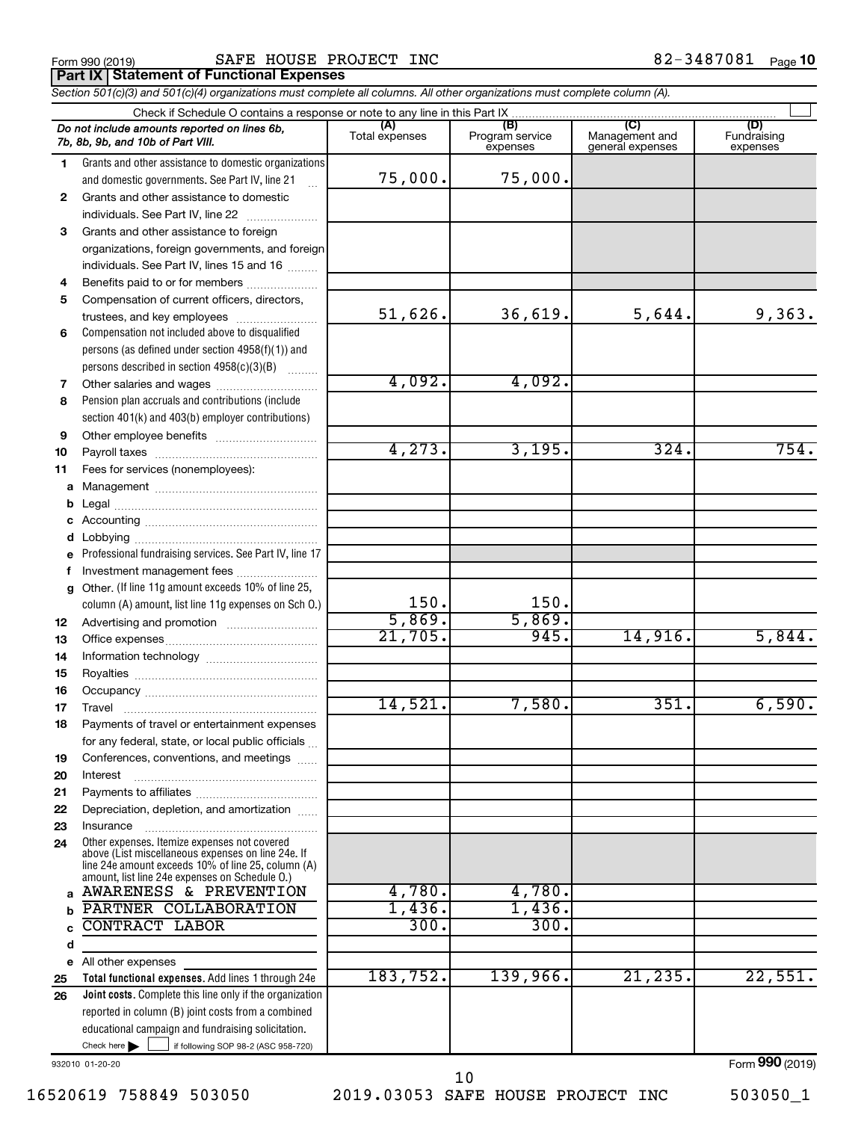Form 990 (2019)  $\begin{array}{cccc} \text{SAFF HOUSE PROJECT INC} \end{array}$ 

*Section 501(c)(3) and 501(c)(4) organizations must complete all columns. All other organizations must complete column (A).* **Part IX Statement of Functional Expenses** 

|              | Do not include amounts reported on lines 6b,<br>7b, 8b, 9b, and 10b of Part VIII.                                                                          | (A)<br>Total expenses | (B)<br>Program service<br>expenses | (C)<br>Management and<br>general expenses | (D)<br>Fundraising<br>expenses      |  |  |  |
|--------------|------------------------------------------------------------------------------------------------------------------------------------------------------------|-----------------------|------------------------------------|-------------------------------------------|-------------------------------------|--|--|--|
| 1.           | Grants and other assistance to domestic organizations                                                                                                      |                       |                                    |                                           |                                     |  |  |  |
|              | and domestic governments. See Part IV, line 21                                                                                                             | 75,000.               | 75,000.                            |                                           |                                     |  |  |  |
| $\mathbf{2}$ | Grants and other assistance to domestic                                                                                                                    |                       |                                    |                                           |                                     |  |  |  |
|              | individuals. See Part IV, line 22<br>$\overline{\phantom{a}}$                                                                                              |                       |                                    |                                           |                                     |  |  |  |
| 3            | Grants and other assistance to foreign                                                                                                                     |                       |                                    |                                           |                                     |  |  |  |
|              | organizations, foreign governments, and foreign                                                                                                            |                       |                                    |                                           |                                     |  |  |  |
|              | individuals. See Part IV, lines 15 and 16                                                                                                                  |                       |                                    |                                           |                                     |  |  |  |
| 4            | Benefits paid to or for members                                                                                                                            |                       |                                    |                                           |                                     |  |  |  |
| 5            | Compensation of current officers, directors,                                                                                                               |                       |                                    |                                           |                                     |  |  |  |
|              | trustees, and key employees                                                                                                                                | 51,626.               | 36,619.                            | 5,644.                                    | 9,363.                              |  |  |  |
| 6            | Compensation not included above to disqualified                                                                                                            |                       |                                    |                                           |                                     |  |  |  |
|              | persons (as defined under section 4958(f)(1)) and                                                                                                          |                       |                                    |                                           |                                     |  |  |  |
|              | persons described in section 4958(c)(3)(B)                                                                                                                 |                       |                                    |                                           |                                     |  |  |  |
| 7            | Other salaries and wages                                                                                                                                   | 4,092.                | 4,092.                             |                                           |                                     |  |  |  |
| 8            | Pension plan accruals and contributions (include                                                                                                           |                       |                                    |                                           |                                     |  |  |  |
|              | section 401(k) and 403(b) employer contributions)                                                                                                          |                       |                                    |                                           |                                     |  |  |  |
| 9            |                                                                                                                                                            |                       |                                    |                                           |                                     |  |  |  |
| 10           |                                                                                                                                                            | 4,273.                | 3,195.                             | 324.                                      | 754.                                |  |  |  |
| 11           | Fees for services (nonemployees):                                                                                                                          |                       |                                    |                                           |                                     |  |  |  |
| a            |                                                                                                                                                            |                       |                                    |                                           |                                     |  |  |  |
| b            |                                                                                                                                                            |                       |                                    |                                           |                                     |  |  |  |
| c            |                                                                                                                                                            |                       |                                    |                                           |                                     |  |  |  |
| d            |                                                                                                                                                            |                       |                                    |                                           |                                     |  |  |  |
| e            | Professional fundraising services. See Part IV, line 17                                                                                                    |                       |                                    |                                           |                                     |  |  |  |
| f            | Investment management fees                                                                                                                                 |                       |                                    |                                           |                                     |  |  |  |
| q            | Other. (If line 11g amount exceeds 10% of line 25,                                                                                                         |                       |                                    |                                           |                                     |  |  |  |
|              | column (A) amount, list line 11g expenses on Sch O.)                                                                                                       | 150.<br>5,869.        | 150.<br>5,869.                     |                                           |                                     |  |  |  |
| 12           |                                                                                                                                                            | 21,705.               | 945.                               | 14,916.                                   | 5,844.                              |  |  |  |
| 13           |                                                                                                                                                            |                       |                                    |                                           |                                     |  |  |  |
| 14           |                                                                                                                                                            |                       |                                    |                                           |                                     |  |  |  |
| 15           |                                                                                                                                                            |                       |                                    |                                           |                                     |  |  |  |
| 16           |                                                                                                                                                            | 14,521.               | 7,580.                             | 351.                                      | 6,590.                              |  |  |  |
| 17           |                                                                                                                                                            |                       |                                    |                                           |                                     |  |  |  |
| 18           | Payments of travel or entertainment expenses                                                                                                               |                       |                                    |                                           |                                     |  |  |  |
|              | for any federal, state, or local public officials                                                                                                          |                       |                                    |                                           |                                     |  |  |  |
| 19           | Conferences, conventions, and meetings                                                                                                                     |                       |                                    |                                           |                                     |  |  |  |
| 20           | Interest                                                                                                                                                   |                       |                                    |                                           |                                     |  |  |  |
| 21<br>22     | Depreciation, depletion, and amortization                                                                                                                  |                       |                                    |                                           |                                     |  |  |  |
| 23           | Insurance                                                                                                                                                  |                       |                                    |                                           |                                     |  |  |  |
| 24           | Other expenses. Itemize expenses not covered                                                                                                               |                       |                                    |                                           |                                     |  |  |  |
|              | above (List miscellaneous expenses on line 24e. If<br>line 24e amount exceeds 10% of line 25, column (A)<br>amount, list line 24e expenses on Schedule O.) |                       |                                    |                                           |                                     |  |  |  |
| a            | AWARENESS & PREVENTION                                                                                                                                     | 4,780.                | 4,780.                             |                                           |                                     |  |  |  |
| b            | PARTNER COLLABORATION                                                                                                                                      | $1,436$ .             | 1,436.                             |                                           |                                     |  |  |  |
| C            | <b>CONTRACT LABOR</b>                                                                                                                                      | 300.                  | 300.                               |                                           |                                     |  |  |  |
| d            |                                                                                                                                                            |                       |                                    |                                           |                                     |  |  |  |
| е            | All other expenses                                                                                                                                         |                       |                                    |                                           |                                     |  |  |  |
| 25           | Total functional expenses. Add lines 1 through 24e                                                                                                         | 183,752.              | 139,966.                           | 21, 235.                                  | 22,551.                             |  |  |  |
| 26           | <b>Joint costs.</b> Complete this line only if the organization                                                                                            |                       |                                    |                                           |                                     |  |  |  |
|              | reported in column (B) joint costs from a combined                                                                                                         |                       |                                    |                                           |                                     |  |  |  |
|              | educational campaign and fundraising solicitation.                                                                                                         |                       |                                    |                                           |                                     |  |  |  |
|              | Check here $\blacktriangleright$<br>if following SOP 98-2 (ASC 958-720)                                                                                    |                       |                                    |                                           |                                     |  |  |  |
|              |                                                                                                                                                            |                       |                                    |                                           | $F_{\alpha r m}$ QQ $\Omega$ (2010) |  |  |  |

932010 01-20-20

16520619 758849 503050 2019.03053 SAFE HOUSE PROJECT INC 503050\_1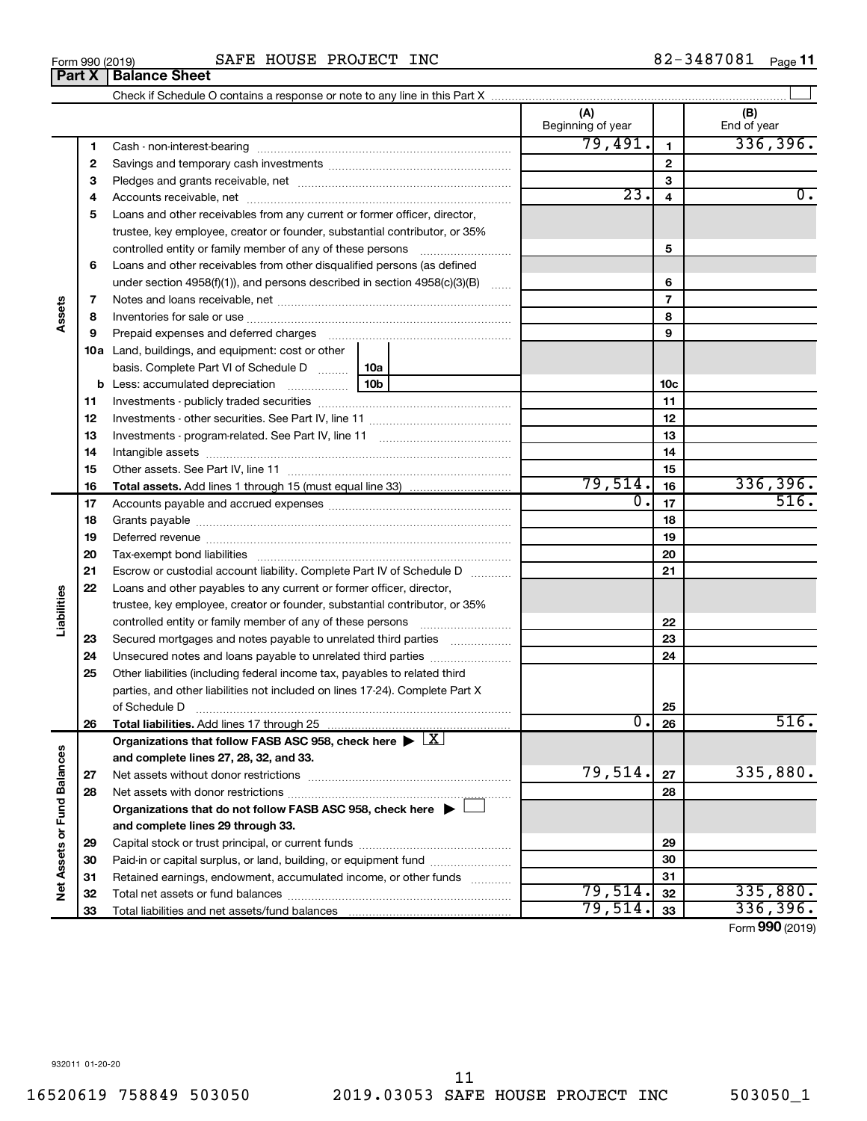**32 33**

Total net assets or fund balances ~~~~~~~~~~~~~~~~~~~~~~

Total liabilities and net assets/fund balances

|                             | З  |                                                                                                        |                  | 3                       |          |
|-----------------------------|----|--------------------------------------------------------------------------------------------------------|------------------|-------------------------|----------|
|                             | 4  |                                                                                                        | $\overline{23}$  | $\overline{\mathbf{4}}$ | Ο.       |
|                             | 5  | Loans and other receivables from any current or former officer, director,                              |                  |                         |          |
|                             |    | trustee, key employee, creator or founder, substantial contributor, or 35%                             |                  |                         |          |
|                             |    | controlled entity or family member of any of these persons                                             |                  | 5                       |          |
| Assets                      | 6  | Loans and other receivables from other disqualified persons (as defined                                |                  |                         |          |
|                             |    | under section 4958(f)(1)), and persons described in section $4958(c)(3)(B)$                            |                  | 6                       |          |
|                             | 7  |                                                                                                        |                  | $\overline{\mathbf{r}}$ |          |
|                             | 8  |                                                                                                        |                  | 8                       |          |
|                             | 9  | Prepaid expenses and deferred charges                                                                  |                  | 9                       |          |
|                             |    | 10a Land, buildings, and equipment: cost or other                                                      |                  |                         |          |
|                             |    | basis. Complete Part VI of Schedule D  10a                                                             |                  |                         |          |
|                             |    |                                                                                                        |                  | 10 <sub>c</sub>         |          |
|                             | 11 |                                                                                                        |                  | 11                      |          |
|                             | 12 |                                                                                                        |                  | 12                      |          |
|                             | 13 |                                                                                                        |                  | 13                      |          |
|                             | 14 |                                                                                                        |                  | 14                      |          |
|                             | 15 |                                                                                                        |                  | 15                      |          |
|                             | 16 |                                                                                                        | 79,514.          | 16                      | 336,396. |
|                             | 17 |                                                                                                        | $\overline{0}$ . | 17                      | 516.     |
|                             | 18 |                                                                                                        |                  | 18                      |          |
|                             | 19 |                                                                                                        |                  | 19                      |          |
|                             | 20 |                                                                                                        |                  | 20                      |          |
|                             | 21 | Escrow or custodial account liability. Complete Part IV of Schedule D                                  |                  | 21                      |          |
|                             | 22 | Loans and other payables to any current or former officer, director,                                   |                  |                         |          |
| Liabilities                 |    | trustee, key employee, creator or founder, substantial contributor, or 35%                             |                  |                         |          |
|                             |    | controlled entity or family member of any of these persons                                             |                  | 22                      |          |
|                             | 23 | Secured mortgages and notes payable to unrelated third parties                                         |                  | 23                      |          |
|                             | 24 | Unsecured notes and loans payable to unrelated third parties                                           |                  | 24                      |          |
|                             | 25 | Other liabilities (including federal income tax, payables to related third                             |                  |                         |          |
|                             |    | parties, and other liabilities not included on lines 17-24). Complete Part X                           |                  |                         |          |
|                             |    | of Schedule D                                                                                          |                  | 25                      |          |
|                             | 26 |                                                                                                        | σ.               | 26                      | 516.     |
|                             |    | Organizations that follow FASB ASC 958, check here $\blacktriangleright \lfloor \underline{X} \rfloor$ |                  |                         |          |
|                             |    | and complete lines 27, 28, 32, and 33.                                                                 |                  |                         |          |
|                             | 27 |                                                                                                        | 79,514.          | 27                      | 335,880. |
|                             | 28 |                                                                                                        |                  | 28                      |          |
|                             |    | Organizations that do not follow FASB ASC 958, check here $\blacktriangleright$                        |                  |                         |          |
| Net Assets or Fund Balances |    | and complete lines 29 through 33.                                                                      |                  |                         |          |
|                             | 29 |                                                                                                        |                  | 29                      |          |
|                             | 30 | Paid-in or capital surplus, or land, building, or equipment fund                                       |                  | 30                      |          |
|                             | 31 | Retained earnings, endowment, accumulated income, or other funds                                       |                  | 31                      |          |
|                             | 32 | Total net assets or fund balances                                                                      | 79,514.          | 32                      | 335,880. |

# Form 990 (2019)  $\begin{array}{cccc} \text{SAFF HOUSE PROJECT INC} \end{array}$

Check if Schedule O contains a response or note to any line in this Part X

Cash - non-interest-bearing ~~~~~~~~~~~~~~~~~~~~~~~~~ Savings and temporary cash investments ~~~~~~~~~~~~~~~~~~ 82-3487081 Page 11

 $\perp$ 

**(A) (B)**

Beginning of year  $\vert$  | End of year

**1 2**

 $79,491.$  1 336,396.

**32 33**

 $79,514.$   $32$   $335,880.$ 79,514. <sub>33</sub> 336,396.

Form (2019) **990**

**Part X Balance Sheet**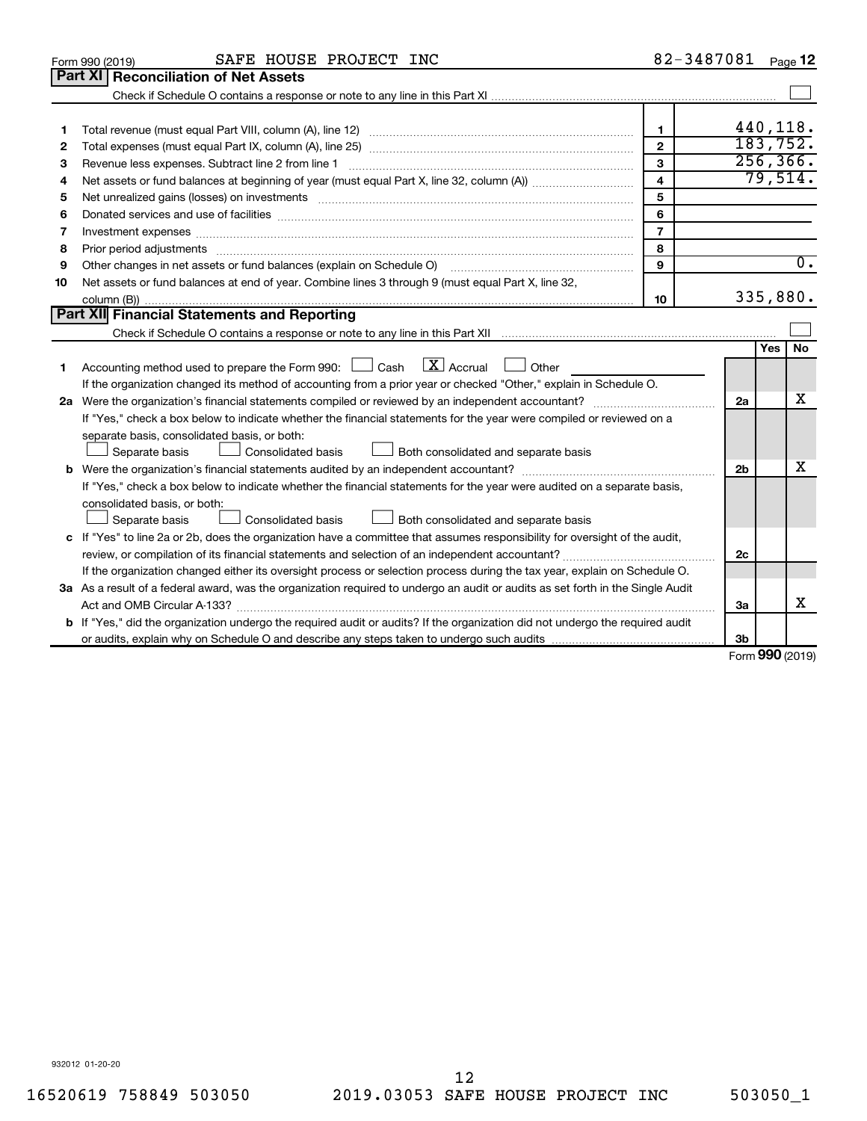|    | SAFE HOUSE PROJECT INC<br>Form 990 (2019)                                                                                       | 82-3487081     |                |            | Page 12   |
|----|---------------------------------------------------------------------------------------------------------------------------------|----------------|----------------|------------|-----------|
|    | <b>Reconciliation of Net Assets</b><br>Part XI                                                                                  |                |                |            |           |
|    |                                                                                                                                 |                |                |            |           |
|    |                                                                                                                                 |                |                |            |           |
| 1  |                                                                                                                                 | $\mathbf{1}$   | 440,118.       |            |           |
| 2  |                                                                                                                                 | $\mathbf{2}$   | 183, 752.      |            |           |
| 3  |                                                                                                                                 | 3              |                |            | 256, 366. |
| 4  |                                                                                                                                 | 4              |                |            | 79,514.   |
| 5  |                                                                                                                                 | 5              |                |            |           |
| 6  |                                                                                                                                 | 6              |                |            |           |
| 7  |                                                                                                                                 | $\overline{7}$ |                |            |           |
| 8  |                                                                                                                                 | 8              |                |            |           |
| 9  |                                                                                                                                 | 9              |                |            | 0.        |
| 10 | Net assets or fund balances at end of year. Combine lines 3 through 9 (must equal Part X, line 32,                              |                |                |            |           |
|    |                                                                                                                                 | 10             |                |            | 335,880.  |
|    | Part XII Financial Statements and Reporting                                                                                     |                |                |            |           |
|    |                                                                                                                                 |                |                |            |           |
|    |                                                                                                                                 |                |                | <b>Yes</b> | <b>No</b> |
| 1  | $\boxed{\mathbf{X}}$ Accrual<br>Accounting method used to prepare the Form 990: [130] Cash<br>Other                             |                |                |            |           |
|    | If the organization changed its method of accounting from a prior year or checked "Other," explain in Schedule O.               |                |                |            |           |
|    |                                                                                                                                 |                | 2a             |            | х         |
|    | If "Yes," check a box below to indicate whether the financial statements for the year were compiled or reviewed on a            |                |                |            |           |
|    | separate basis, consolidated basis, or both:                                                                                    |                |                |            |           |
|    | Consolidated basis<br>Both consolidated and separate basis<br>Separate basis                                                    |                |                |            |           |
|    | <b>b</b> Were the organization's financial statements audited by an independent accountant?                                     |                | 2 <sub>b</sub> |            | х         |
|    | If "Yes," check a box below to indicate whether the financial statements for the year were audited on a separate basis,         |                |                |            |           |
|    | consolidated basis, or both:                                                                                                    |                |                |            |           |
|    | Consolidated basis<br>Both consolidated and separate basis<br>Separate basis                                                    |                |                |            |           |
|    | c If "Yes" to line 2a or 2b, does the organization have a committee that assumes responsibility for oversight of the audit,     |                |                |            |           |
|    | review, or compilation of its financial statements and selection of an independent accountant?                                  |                | 2c             |            |           |
|    | If the organization changed either its oversight process or selection process during the tax year, explain on Schedule O.       |                |                |            |           |
|    | 3a As a result of a federal award, was the organization required to undergo an audit or audits as set forth in the Single Audit |                |                |            |           |
|    |                                                                                                                                 |                | За             |            | X         |
|    | b If "Yes," did the organization undergo the required audit or audits? If the organization did not undergo the required audit   |                |                |            |           |
|    |                                                                                                                                 |                | 3 <sub>b</sub> |            |           |

Form (2019) **990**

932012 01-20-20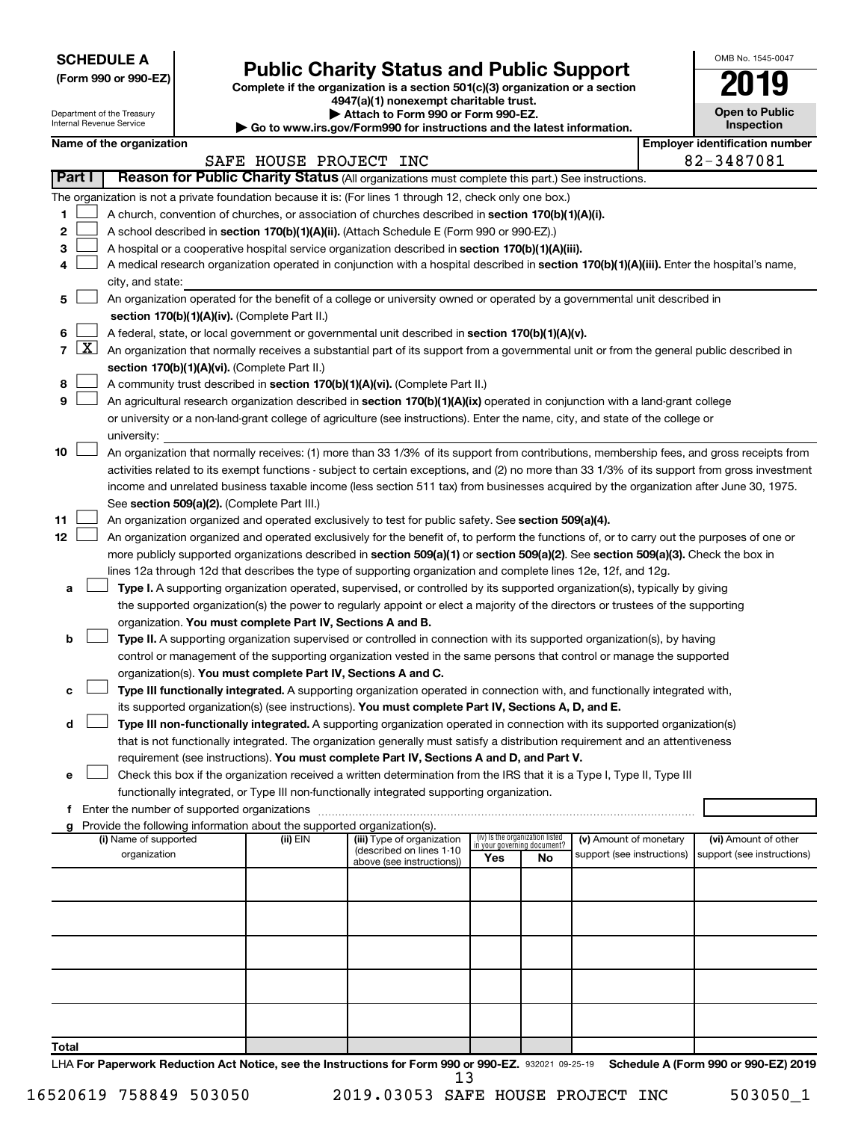**SCHEDULE A**

Department of the Treasury Internal Revenue Service

**12**

# **Public Charity Status and Public Support**

**(Form 990 or 990-EZ) Complete if the organization is a section 501(c)(3) organization or a section**

**Name of the organization Employer is a set of the organization Employer in the organization Employer is a set of the organization** 

**4947(a)(1) nonexempt charitable trust. | Attach to Form 990 or Form 990-EZ.** 

**| Go to www.irs.gov/Form990 for instructions and the latest information.**

|    | <b>Open to Public</b><br>Inspection |
|----|-------------------------------------|
| ١l | entification numi                   |

OMB No. 1545-0047

|        | SAFE HOUSE PROJECT INC                                                                                                                     | 82-3487081 |
|--------|--------------------------------------------------------------------------------------------------------------------------------------------|------------|
| Part I | Reason for Public Charity Status (All organizations must complete this part.) See instructions.                                            |            |
|        | The organization is not a private foundation because it is: (For lines 1 through 12, check only one box.)                                  |            |
|        | A church, convention of churches, or association of churches described in section 170(b)(1)(A)(i).                                         |            |
|        | A school described in section 170(b)(1)(A)(ii). (Attach Schedule E (Form 990 or 990-EZ).)                                                  |            |
| з      | A hospital or a cooperative hospital service organization described in section 170(b)(1)(A)(iii).                                          |            |
|        | A medical research organization operated in conjunction with a hospital described in section 170(b)(1)(A)(iii). Enter the hospital's name, |            |
|        | city, and state:                                                                                                                           |            |
| 5.     | An organization operated for the benefit of a college or university owned or operated by a governmental unit described in                  |            |
|        | section 170(b)(1)(A)(iv). (Complete Part II.)                                                                                              |            |
| 6      | A federal, state, or local government or governmental unit described in section 170(b)(1)(A)(v).                                           |            |
| x      | An organization that normally receives a substantial part of its support from a governmental unit or from the general public described in  |            |
|        | section 170(b)(1)(A)(vi). (Complete Part II.)                                                                                              |            |
|        |                                                                                                                                            |            |

| 8   A community trust described in section 170(b)(1)(A)(vi). (Complete Part II.) |
|----------------------------------------------------------------------------------|
|----------------------------------------------------------------------------------|

#### **9** An agricultural research organization described in **section 170(b)(1)(A)(ix)** operated in conjunction with a land-grant college or university or a non-land-grant college of agriculture (see instructions). Enter the name, city, and state of the college or university:  $\Box$

| 10 $\Box$ | An organization that normally receives: (1) more than 33 1/3% of its support from contributions, membership fees, and gross receipts from     |
|-----------|-----------------------------------------------------------------------------------------------------------------------------------------------|
|           | activities related to its exempt functions - subject to certain exceptions, and (2) no more than 33 1/3% of its support from gross investment |
|           | income and unrelated business taxable income (less section 511 tax) from businesses acquired by the organization after June 30, 1975.         |
|           | See section 509(a)(2). (Complete Part III.)                                                                                                   |

**11** An organization organized and operated exclusively to test for public safety. See **section 509(a)(4).**  $\Box$ 

|  | An organization organized and operated exclusively for the benefit of, to perform the functions of, or to carry out the purposes of one or |
|--|--------------------------------------------------------------------------------------------------------------------------------------------|
|  | more publicly supported organizations described in section 509(a)(1) or section 509(a)(2). See section 509(a)(3). Check the box in         |
|  | lines 12a through 12d that describes the type of supporting organization and complete lines 12e, 12f, and 12g.                             |

| a Li | Type I. A supporting organization operated, supervised, or controlled by its supported organization(s), typically by giving     |
|------|---------------------------------------------------------------------------------------------------------------------------------|
|      | the supported organization(s) the power to regularly appoint or elect a majority of the directors or trustees of the supporting |
|      | organization. You must complete Part IV, Sections A and B.                                                                      |

#### **b Type II.** A supporting organization supervised or controlled in connection with its supported organization(s), by having organization(s). You must complete Part IV, Sections A and C. control or management of the supporting organization vested in the same persons that control or manage the supported

|  | <b>c</b> $\Box$ <b>Type III functionally integrated.</b> A supporting organization operated in connection with, and functionally integrated with, |
|--|---------------------------------------------------------------------------------------------------------------------------------------------------|
|  | its supported organization(s) (see instructions). You must complete Part IV, Sections A, D, and E.                                                |

### **d Type III non-functionally integrated.** A supporting organization operated in connection with its supported organization(s) requirement (see instructions). **You must complete Part IV, Sections A and D, and Part V.** that is not functionally integrated. The organization generally must satisfy a distribution requirement and an attentiveness

|  | e □ Check this box if the organization received a written determination from the IRS that it is a Type I, Type II, Type III |
|--|-----------------------------------------------------------------------------------------------------------------------------|
|  | functionally integrated, or Type III non-functionally integrated supporting organization.                                   |

**f** Enter the number of supported organizations ~~~~~~~~~~~~~~~~~~~~~~~~~~~~~~~~~~~~~

| Provide the following information about the supported organization(s).<br>g |          |                            |                                                                |     |                            |                            |
|-----------------------------------------------------------------------------|----------|----------------------------|----------------------------------------------------------------|-----|----------------------------|----------------------------|
| (i) Name of supported                                                       | (ii) EIN | (iii) Type of organization | (iv) Is the organization listed<br>in your governing document? |     | (v) Amount of monetary     | (vi) Amount of other       |
| organization                                                                |          | (described on lines 1-10   | Yes                                                            | No. | support (see instructions) | support (see instructions) |
|                                                                             |          | above (see instructions))  |                                                                |     |                            |                            |
|                                                                             |          |                            |                                                                |     |                            |                            |
|                                                                             |          |                            |                                                                |     |                            |                            |
|                                                                             |          |                            |                                                                |     |                            |                            |
|                                                                             |          |                            |                                                                |     |                            |                            |
|                                                                             |          |                            |                                                                |     |                            |                            |
|                                                                             |          |                            |                                                                |     |                            |                            |
|                                                                             |          |                            |                                                                |     |                            |                            |
|                                                                             |          |                            |                                                                |     |                            |                            |
|                                                                             |          |                            |                                                                |     |                            |                            |
|                                                                             |          |                            |                                                                |     |                            |                            |
|                                                                             |          |                            |                                                                |     |                            |                            |
|                                                                             |          |                            |                                                                |     |                            |                            |
| Total                                                                       |          |                            |                                                                |     |                            |                            |

LHA For Paperwork Reduction Act Notice, see the Instructions for Form 990 or 990-EZ. 932021 09-25-19 Schedule A (Form 990 or 990-EZ) 2019 13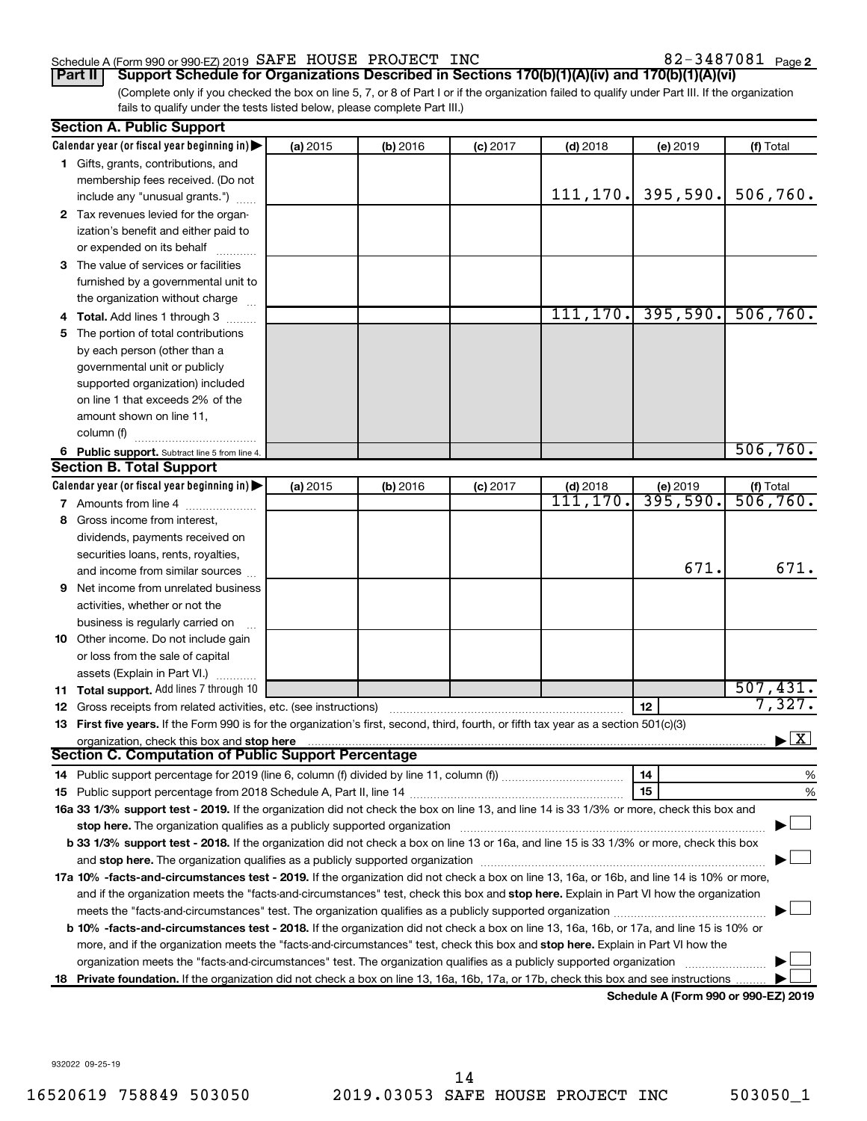# Schedule A (Form 990 or 990-EZ) 2019  $\,$  SAFE HOUSE PROJECT INC  $\,$  82 - 3487081  $\,$  Page

(Complete only if you checked the box on line 5, 7, or 8 of Part I or if the organization failed to qualify under Part III. If the organization fails to qualify under the tests listed below, please complete Part III.) **Part II Support Schedule for Organizations Described in Sections 170(b)(1)(A)(iv) and 170(b)(1)(A)(vi)**

| Calendar year (or fiscal year beginning in)<br>(a) 2015<br>(b) 2016<br>$(c)$ 2017<br>$(d)$ 2018<br>(e) 2019<br>(f) Total<br>1 Gifts, grants, contributions, and<br>membership fees received. (Do not<br>395,590.<br>506,760.<br>111, 170.<br>include any "unusual grants.")<br>2 Tax revenues levied for the organ-<br>ization's benefit and either paid to<br>or expended on its behalf<br>3 The value of services or facilities<br>furnished by a governmental unit to<br>the organization without charge<br>111, 170.<br>395,590.<br>506, 760.<br>4 Total. Add lines 1 through 3<br>5 The portion of total contributions<br>by each person (other than a<br>governmental unit or publicly<br>supported organization) included<br>on line 1 that exceeds 2% of the<br>amount shown on line 11,<br>column (f)<br>506,760.<br>6 Public support. Subtract line 5 from line 4.<br>Calendar year (or fiscal year beginning in)<br>(a) 2015<br>(b) 2016<br>$(c)$ 2017<br>$(d)$ 2018<br>$(f)$ Total<br>506, 760.<br>(e) 2019<br>111,170.<br>395,590.<br>7 Amounts from line 4<br>8 Gross income from interest,<br>dividends, payments received on<br>securities loans, rents, royalties,<br>671.<br>and income from similar sources<br><b>9</b> Net income from unrelated business |                                    |  |  |  |  |  |  |
|-------------------------------------------------------------------------------------------------------------------------------------------------------------------------------------------------------------------------------------------------------------------------------------------------------------------------------------------------------------------------------------------------------------------------------------------------------------------------------------------------------------------------------------------------------------------------------------------------------------------------------------------------------------------------------------------------------------------------------------------------------------------------------------------------------------------------------------------------------------------------------------------------------------------------------------------------------------------------------------------------------------------------------------------------------------------------------------------------------------------------------------------------------------------------------------------------------------------------------------------------------------------------------|------------------------------------|--|--|--|--|--|--|
|                                                                                                                                                                                                                                                                                                                                                                                                                                                                                                                                                                                                                                                                                                                                                                                                                                                                                                                                                                                                                                                                                                                                                                                                                                                                               |                                    |  |  |  |  |  |  |
|                                                                                                                                                                                                                                                                                                                                                                                                                                                                                                                                                                                                                                                                                                                                                                                                                                                                                                                                                                                                                                                                                                                                                                                                                                                                               |                                    |  |  |  |  |  |  |
| <b>Section B. Total Support</b>                                                                                                                                                                                                                                                                                                                                                                                                                                                                                                                                                                                                                                                                                                                                                                                                                                                                                                                                                                                                                                                                                                                                                                                                                                               |                                    |  |  |  |  |  |  |
|                                                                                                                                                                                                                                                                                                                                                                                                                                                                                                                                                                                                                                                                                                                                                                                                                                                                                                                                                                                                                                                                                                                                                                                                                                                                               |                                    |  |  |  |  |  |  |
|                                                                                                                                                                                                                                                                                                                                                                                                                                                                                                                                                                                                                                                                                                                                                                                                                                                                                                                                                                                                                                                                                                                                                                                                                                                                               |                                    |  |  |  |  |  |  |
|                                                                                                                                                                                                                                                                                                                                                                                                                                                                                                                                                                                                                                                                                                                                                                                                                                                                                                                                                                                                                                                                                                                                                                                                                                                                               |                                    |  |  |  |  |  |  |
|                                                                                                                                                                                                                                                                                                                                                                                                                                                                                                                                                                                                                                                                                                                                                                                                                                                                                                                                                                                                                                                                                                                                                                                                                                                                               |                                    |  |  |  |  |  |  |
|                                                                                                                                                                                                                                                                                                                                                                                                                                                                                                                                                                                                                                                                                                                                                                                                                                                                                                                                                                                                                                                                                                                                                                                                                                                                               |                                    |  |  |  |  |  |  |
|                                                                                                                                                                                                                                                                                                                                                                                                                                                                                                                                                                                                                                                                                                                                                                                                                                                                                                                                                                                                                                                                                                                                                                                                                                                                               |                                    |  |  |  |  |  |  |
|                                                                                                                                                                                                                                                                                                                                                                                                                                                                                                                                                                                                                                                                                                                                                                                                                                                                                                                                                                                                                                                                                                                                                                                                                                                                               |                                    |  |  |  |  |  |  |
|                                                                                                                                                                                                                                                                                                                                                                                                                                                                                                                                                                                                                                                                                                                                                                                                                                                                                                                                                                                                                                                                                                                                                                                                                                                                               |                                    |  |  |  |  |  |  |
|                                                                                                                                                                                                                                                                                                                                                                                                                                                                                                                                                                                                                                                                                                                                                                                                                                                                                                                                                                                                                                                                                                                                                                                                                                                                               |                                    |  |  |  |  |  |  |
|                                                                                                                                                                                                                                                                                                                                                                                                                                                                                                                                                                                                                                                                                                                                                                                                                                                                                                                                                                                                                                                                                                                                                                                                                                                                               |                                    |  |  |  |  |  |  |
|                                                                                                                                                                                                                                                                                                                                                                                                                                                                                                                                                                                                                                                                                                                                                                                                                                                                                                                                                                                                                                                                                                                                                                                                                                                                               |                                    |  |  |  |  |  |  |
|                                                                                                                                                                                                                                                                                                                                                                                                                                                                                                                                                                                                                                                                                                                                                                                                                                                                                                                                                                                                                                                                                                                                                                                                                                                                               |                                    |  |  |  |  |  |  |
|                                                                                                                                                                                                                                                                                                                                                                                                                                                                                                                                                                                                                                                                                                                                                                                                                                                                                                                                                                                                                                                                                                                                                                                                                                                                               |                                    |  |  |  |  |  |  |
|                                                                                                                                                                                                                                                                                                                                                                                                                                                                                                                                                                                                                                                                                                                                                                                                                                                                                                                                                                                                                                                                                                                                                                                                                                                                               |                                    |  |  |  |  |  |  |
|                                                                                                                                                                                                                                                                                                                                                                                                                                                                                                                                                                                                                                                                                                                                                                                                                                                                                                                                                                                                                                                                                                                                                                                                                                                                               |                                    |  |  |  |  |  |  |
|                                                                                                                                                                                                                                                                                                                                                                                                                                                                                                                                                                                                                                                                                                                                                                                                                                                                                                                                                                                                                                                                                                                                                                                                                                                                               |                                    |  |  |  |  |  |  |
|                                                                                                                                                                                                                                                                                                                                                                                                                                                                                                                                                                                                                                                                                                                                                                                                                                                                                                                                                                                                                                                                                                                                                                                                                                                                               |                                    |  |  |  |  |  |  |
|                                                                                                                                                                                                                                                                                                                                                                                                                                                                                                                                                                                                                                                                                                                                                                                                                                                                                                                                                                                                                                                                                                                                                                                                                                                                               |                                    |  |  |  |  |  |  |
|                                                                                                                                                                                                                                                                                                                                                                                                                                                                                                                                                                                                                                                                                                                                                                                                                                                                                                                                                                                                                                                                                                                                                                                                                                                                               |                                    |  |  |  |  |  |  |
|                                                                                                                                                                                                                                                                                                                                                                                                                                                                                                                                                                                                                                                                                                                                                                                                                                                                                                                                                                                                                                                                                                                                                                                                                                                                               |                                    |  |  |  |  |  |  |
|                                                                                                                                                                                                                                                                                                                                                                                                                                                                                                                                                                                                                                                                                                                                                                                                                                                                                                                                                                                                                                                                                                                                                                                                                                                                               |                                    |  |  |  |  |  |  |
|                                                                                                                                                                                                                                                                                                                                                                                                                                                                                                                                                                                                                                                                                                                                                                                                                                                                                                                                                                                                                                                                                                                                                                                                                                                                               |                                    |  |  |  |  |  |  |
|                                                                                                                                                                                                                                                                                                                                                                                                                                                                                                                                                                                                                                                                                                                                                                                                                                                                                                                                                                                                                                                                                                                                                                                                                                                                               | 671.                               |  |  |  |  |  |  |
|                                                                                                                                                                                                                                                                                                                                                                                                                                                                                                                                                                                                                                                                                                                                                                                                                                                                                                                                                                                                                                                                                                                                                                                                                                                                               |                                    |  |  |  |  |  |  |
|                                                                                                                                                                                                                                                                                                                                                                                                                                                                                                                                                                                                                                                                                                                                                                                                                                                                                                                                                                                                                                                                                                                                                                                                                                                                               |                                    |  |  |  |  |  |  |
| activities, whether or not the                                                                                                                                                                                                                                                                                                                                                                                                                                                                                                                                                                                                                                                                                                                                                                                                                                                                                                                                                                                                                                                                                                                                                                                                                                                |                                    |  |  |  |  |  |  |
| business is regularly carried on                                                                                                                                                                                                                                                                                                                                                                                                                                                                                                                                                                                                                                                                                                                                                                                                                                                                                                                                                                                                                                                                                                                                                                                                                                              |                                    |  |  |  |  |  |  |
| 10 Other income. Do not include gain                                                                                                                                                                                                                                                                                                                                                                                                                                                                                                                                                                                                                                                                                                                                                                                                                                                                                                                                                                                                                                                                                                                                                                                                                                          |                                    |  |  |  |  |  |  |
| or loss from the sale of capital                                                                                                                                                                                                                                                                                                                                                                                                                                                                                                                                                                                                                                                                                                                                                                                                                                                                                                                                                                                                                                                                                                                                                                                                                                              |                                    |  |  |  |  |  |  |
| assets (Explain in Part VI.)                                                                                                                                                                                                                                                                                                                                                                                                                                                                                                                                                                                                                                                                                                                                                                                                                                                                                                                                                                                                                                                                                                                                                                                                                                                  |                                    |  |  |  |  |  |  |
| 507,431.<br>11 Total support. Add lines 7 through 10                                                                                                                                                                                                                                                                                                                                                                                                                                                                                                                                                                                                                                                                                                                                                                                                                                                                                                                                                                                                                                                                                                                                                                                                                          | 7,327.                             |  |  |  |  |  |  |
| 12<br><b>12</b> Gross receipts from related activities, etc. (see instructions)                                                                                                                                                                                                                                                                                                                                                                                                                                                                                                                                                                                                                                                                                                                                                                                                                                                                                                                                                                                                                                                                                                                                                                                               |                                    |  |  |  |  |  |  |
| 13 First five years. If the Form 990 is for the organization's first, second, third, fourth, or fifth tax year as a section 501(c)(3)                                                                                                                                                                                                                                                                                                                                                                                                                                                                                                                                                                                                                                                                                                                                                                                                                                                                                                                                                                                                                                                                                                                                         |                                    |  |  |  |  |  |  |
| organization, check this box and stop here<br>Section C. Computation of Public Support Percentage                                                                                                                                                                                                                                                                                                                                                                                                                                                                                                                                                                                                                                                                                                                                                                                                                                                                                                                                                                                                                                                                                                                                                                             | $\blacktriangleright$ $\mathbf{X}$ |  |  |  |  |  |  |
|                                                                                                                                                                                                                                                                                                                                                                                                                                                                                                                                                                                                                                                                                                                                                                                                                                                                                                                                                                                                                                                                                                                                                                                                                                                                               |                                    |  |  |  |  |  |  |
| 14                                                                                                                                                                                                                                                                                                                                                                                                                                                                                                                                                                                                                                                                                                                                                                                                                                                                                                                                                                                                                                                                                                                                                                                                                                                                            | %                                  |  |  |  |  |  |  |
| 15                                                                                                                                                                                                                                                                                                                                                                                                                                                                                                                                                                                                                                                                                                                                                                                                                                                                                                                                                                                                                                                                                                                                                                                                                                                                            | %                                  |  |  |  |  |  |  |
| 16a 33 1/3% support test - 2019. If the organization did not check the box on line 13, and line 14 is 33 1/3% or more, check this box and                                                                                                                                                                                                                                                                                                                                                                                                                                                                                                                                                                                                                                                                                                                                                                                                                                                                                                                                                                                                                                                                                                                                     |                                    |  |  |  |  |  |  |
| stop here. The organization qualifies as a publicly supported organization manufaction manufacture or the organization manufacture or the state of the state of the state of the state of the state of the state of the state                                                                                                                                                                                                                                                                                                                                                                                                                                                                                                                                                                                                                                                                                                                                                                                                                                                                                                                                                                                                                                                 |                                    |  |  |  |  |  |  |
| b 33 1/3% support test - 2018. If the organization did not check a box on line 13 or 16a, and line 15 is 33 1/3% or more, check this box                                                                                                                                                                                                                                                                                                                                                                                                                                                                                                                                                                                                                                                                                                                                                                                                                                                                                                                                                                                                                                                                                                                                      |                                    |  |  |  |  |  |  |
|                                                                                                                                                                                                                                                                                                                                                                                                                                                                                                                                                                                                                                                                                                                                                                                                                                                                                                                                                                                                                                                                                                                                                                                                                                                                               |                                    |  |  |  |  |  |  |
| 17a 10% -facts-and-circumstances test - 2019. If the organization did not check a box on line 13, 16a, or 16b, and line 14 is 10% or more,                                                                                                                                                                                                                                                                                                                                                                                                                                                                                                                                                                                                                                                                                                                                                                                                                                                                                                                                                                                                                                                                                                                                    |                                    |  |  |  |  |  |  |
| and if the organization meets the "facts-and-circumstances" test, check this box and stop here. Explain in Part VI how the organization                                                                                                                                                                                                                                                                                                                                                                                                                                                                                                                                                                                                                                                                                                                                                                                                                                                                                                                                                                                                                                                                                                                                       |                                    |  |  |  |  |  |  |
|                                                                                                                                                                                                                                                                                                                                                                                                                                                                                                                                                                                                                                                                                                                                                                                                                                                                                                                                                                                                                                                                                                                                                                                                                                                                               |                                    |  |  |  |  |  |  |
| <b>b 10%</b> -facts-and-circumstances test - 2018. If the organization did not check a box on line 13, 16a, 16b, or 17a, and line 15 is 10% or                                                                                                                                                                                                                                                                                                                                                                                                                                                                                                                                                                                                                                                                                                                                                                                                                                                                                                                                                                                                                                                                                                                                |                                    |  |  |  |  |  |  |
| more, and if the organization meets the "facts-and-circumstances" test, check this box and stop here. Explain in Part VI how the                                                                                                                                                                                                                                                                                                                                                                                                                                                                                                                                                                                                                                                                                                                                                                                                                                                                                                                                                                                                                                                                                                                                              |                                    |  |  |  |  |  |  |
| organization meets the "facts-and-circumstances" test. The organization qualifies as a publicly supported organization                                                                                                                                                                                                                                                                                                                                                                                                                                                                                                                                                                                                                                                                                                                                                                                                                                                                                                                                                                                                                                                                                                                                                        |                                    |  |  |  |  |  |  |
| 18 Private foundation. If the organization did not check a box on line 13, 16a, 16b, 17a, or 17b, check this box and see instructions.<br>Schodule A (Form 000 or 000 EZ) 2010                                                                                                                                                                                                                                                                                                                                                                                                                                                                                                                                                                                                                                                                                                                                                                                                                                                                                                                                                                                                                                                                                                |                                    |  |  |  |  |  |  |

**Schedule A (Form 990 or 990-EZ) 2019**

932022 09-25-19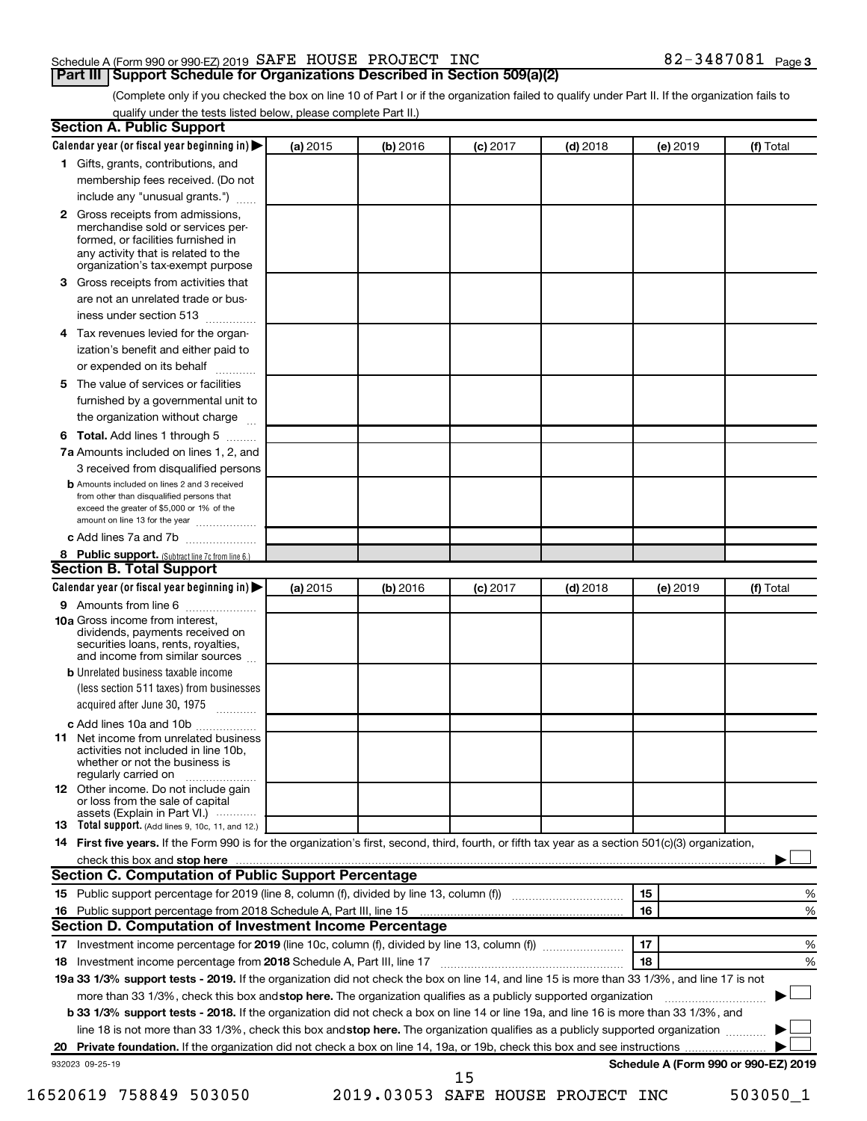# Schedule A (Form 990 or 990-EZ) 2019  $\,$  SAFE HOUSE PROJECT INC  $\,$  82 - 3487081  $\,$  Page

(Complete only if you checked the box on line 10 of Part I or if the organization failed to qualify under Part II. If the organization fails to qualify under the tests listed below, please complete Part II.)

| Calendar year (or fiscal year beginning in)                                                                                                                                                                                    | (a) 2015 | (b) 2016 | $(c)$ 2017 | $(d)$ 2018 | (e) 2019 | (f) Total                            |   |
|--------------------------------------------------------------------------------------------------------------------------------------------------------------------------------------------------------------------------------|----------|----------|------------|------------|----------|--------------------------------------|---|
| 1 Gifts, grants, contributions, and                                                                                                                                                                                            |          |          |            |            |          |                                      |   |
| membership fees received. (Do not                                                                                                                                                                                              |          |          |            |            |          |                                      |   |
| include any "unusual grants.")                                                                                                                                                                                                 |          |          |            |            |          |                                      |   |
| Gross receipts from admissions,<br>$\mathbf{2}$<br>merchandise sold or services per-<br>formed, or facilities furnished in<br>any activity that is related to the<br>organization's tax-exempt purpose                         |          |          |            |            |          |                                      |   |
| Gross receipts from activities that<br>3                                                                                                                                                                                       |          |          |            |            |          |                                      |   |
| are not an unrelated trade or bus-                                                                                                                                                                                             |          |          |            |            |          |                                      |   |
| iness under section 513                                                                                                                                                                                                        |          |          |            |            |          |                                      |   |
| Tax revenues levied for the organ-<br>4                                                                                                                                                                                        |          |          |            |            |          |                                      |   |
| ization's benefit and either paid to<br>or expended on its behalf<br>.                                                                                                                                                         |          |          |            |            |          |                                      |   |
| The value of services or facilities<br>5                                                                                                                                                                                       |          |          |            |            |          |                                      |   |
| furnished by a governmental unit to<br>the organization without charge                                                                                                                                                         |          |          |            |            |          |                                      |   |
| Total. Add lines 1 through 5<br>6                                                                                                                                                                                              |          |          |            |            |          |                                      |   |
| 7a Amounts included on lines 1, 2, and                                                                                                                                                                                         |          |          |            |            |          |                                      |   |
| 3 received from disqualified persons                                                                                                                                                                                           |          |          |            |            |          |                                      |   |
| <b>b</b> Amounts included on lines 2 and 3 received                                                                                                                                                                            |          |          |            |            |          |                                      |   |
| from other than disqualified persons that<br>exceed the greater of \$5,000 or 1% of the<br>amount on line 13 for the year                                                                                                      |          |          |            |            |          |                                      |   |
| c Add lines 7a and 7b                                                                                                                                                                                                          |          |          |            |            |          |                                      |   |
| 8 Public support. (Subtract line 7c from line 6.)                                                                                                                                                                              |          |          |            |            |          |                                      |   |
| <b>Section B. Total Support</b>                                                                                                                                                                                                |          |          |            |            |          |                                      |   |
| Calendar year (or fiscal year beginning in)                                                                                                                                                                                    | (a) 2015 | (b) 2016 | $(c)$ 2017 | $(d)$ 2018 | (e) 2019 | (f) Total                            |   |
| 9 Amounts from line 6                                                                                                                                                                                                          |          |          |            |            |          |                                      |   |
| <b>10a</b> Gross income from interest,<br>dividends, payments received on<br>securities loans, rents, royalties,<br>and income from similar sources                                                                            |          |          |            |            |          |                                      |   |
| <b>b</b> Unrelated business taxable income                                                                                                                                                                                     |          |          |            |            |          |                                      |   |
| (less section 511 taxes) from businesses<br>acquired after June 30, 1975                                                                                                                                                       |          |          |            |            |          |                                      |   |
| c Add lines 10a and 10b                                                                                                                                                                                                        |          |          |            |            |          |                                      |   |
| Net income from unrelated business<br>11<br>activities not included in line 10b.<br>whether or not the business is<br>regularly carried on                                                                                     |          |          |            |            |          |                                      |   |
| <b>12</b> Other income. Do not include gain<br>or loss from the sale of capital<br>assets (Explain in Part VI.)                                                                                                                |          |          |            |            |          |                                      |   |
| <b>13</b> Total support. (Add lines 9, 10c, 11, and 12.)                                                                                                                                                                       |          |          |            |            |          |                                      |   |
| 14 First five years. If the Form 990 is for the organization's first, second, third, fourth, or fifth tax year as a section 501(c)(3) organization,                                                                            |          |          |            |            |          |                                      |   |
| check this box and stop here measurements and stop here and stop here measurement and stop here measurement and stop here and stop here and stop here and stop here and stop here and stop here and stop here are all the stop |          |          |            |            |          |                                      |   |
| Section C. Computation of Public Support Percentage                                                                                                                                                                            |          |          |            |            |          |                                      |   |
|                                                                                                                                                                                                                                |          |          |            |            | 15       |                                      | % |
|                                                                                                                                                                                                                                |          |          |            |            | 16       |                                      | % |
| Section D. Computation of Investment Income Percentage                                                                                                                                                                         |          |          |            |            |          |                                      |   |
|                                                                                                                                                                                                                                |          |          |            |            | 17       |                                      | % |
|                                                                                                                                                                                                                                |          |          |            |            | 18       |                                      | % |
| 19a 33 1/3% support tests - 2019. If the organization did not check the box on line 14, and line 15 is more than 33 1/3%, and line 17 is not                                                                                   |          |          |            |            |          |                                      |   |
| more than 33 1/3%, check this box and stop here. The organization qualifies as a publicly supported organization                                                                                                               |          |          |            |            |          |                                      |   |
| <b>b 33 1/3% support tests - 2018.</b> If the organization did not check a box on line 14 or line 19a, and line 16 is more than 33 1/3%, and                                                                                   |          |          |            |            |          |                                      |   |
|                                                                                                                                                                                                                                |          |          |            |            |          |                                      |   |
| line 18 is not more than 33 1/3%, check this box and stop here. The organization qualifies as a publicly supported organization                                                                                                |          |          |            |            |          |                                      |   |
|                                                                                                                                                                                                                                |          |          |            |            |          |                                      |   |
| 932023 09-25-19                                                                                                                                                                                                                |          |          | 15         |            |          | Schedule A (Form 990 or 990-EZ) 2019 |   |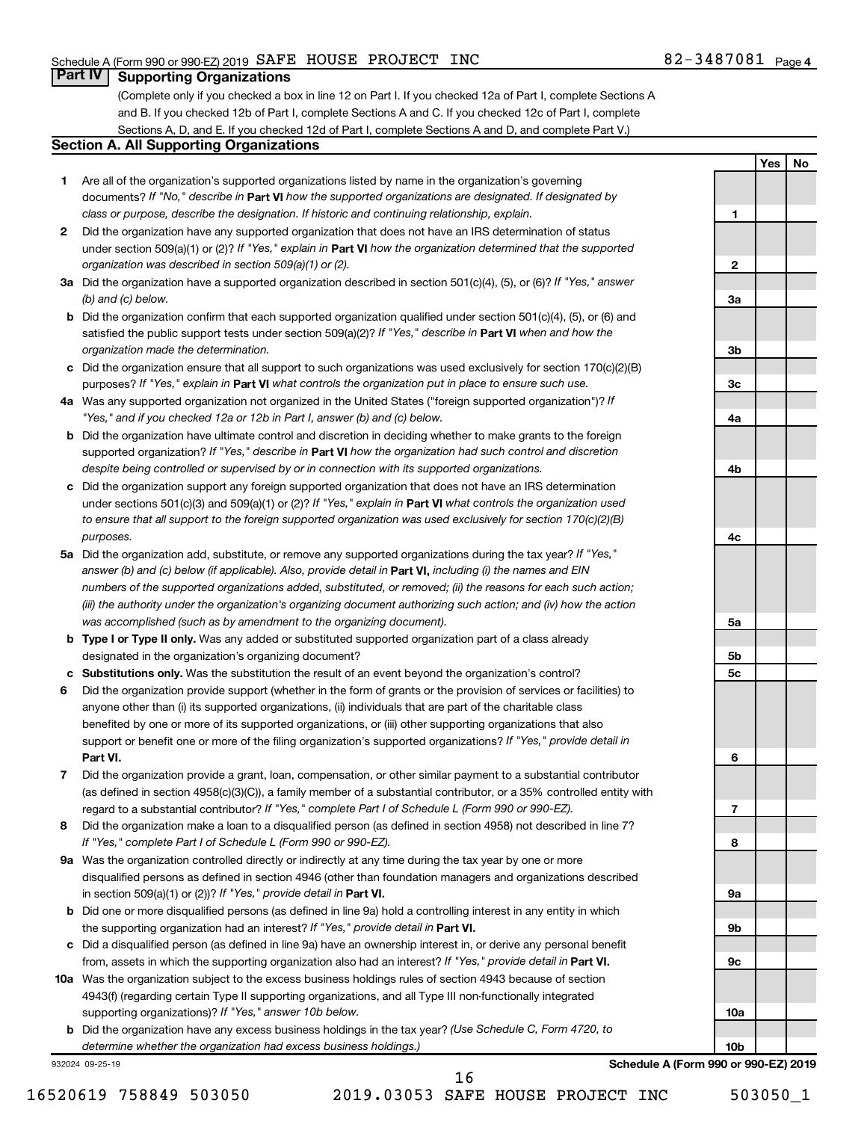**1**

**2**

**3a**

**3b**

**3c**

**4a**

**4b**

**4c**

**5a**

**5b 5c**

**6**

**7**

**8**

**9a**

**9b**

**9c**

**10a**

**10b**

**Yes No**

# **Part IV Supporting Organizations**

(Complete only if you checked a box in line 12 on Part I. If you checked 12a of Part I, complete Sections A and B. If you checked 12b of Part I, complete Sections A and C. If you checked 12c of Part I, complete Sections A, D, and E. If you checked 12d of Part I, complete Sections A and D, and complete Part V.)

# **Section A. All Supporting Organizations**

- **1** Are all of the organization's supported organizations listed by name in the organization's governing documents? If "No," describe in Part VI how the supported organizations are designated. If designated by *class or purpose, describe the designation. If historic and continuing relationship, explain.*
- **2** Did the organization have any supported organization that does not have an IRS determination of status under section 509(a)(1) or (2)? If "Yes," explain in Part **VI** how the organization determined that the supported *organization was described in section 509(a)(1) or (2).*
- **3a** Did the organization have a supported organization described in section 501(c)(4), (5), or (6)? If "Yes," answer *(b) and (c) below.*
- **b** Did the organization confirm that each supported organization qualified under section 501(c)(4), (5), or (6) and satisfied the public support tests under section 509(a)(2)? If "Yes," describe in Part VI when and how the *organization made the determination.*
- **c** Did the organization ensure that all support to such organizations was used exclusively for section 170(c)(2)(B) purposes? If "Yes," explain in Part VI what controls the organization put in place to ensure such use.
- **4 a** *If* Was any supported organization not organized in the United States ("foreign supported organization")? *"Yes," and if you checked 12a or 12b in Part I, answer (b) and (c) below.*
- **b** Did the organization have ultimate control and discretion in deciding whether to make grants to the foreign supported organization? If "Yes," describe in Part VI how the organization had such control and discretion *despite being controlled or supervised by or in connection with its supported organizations.*
- **c** Did the organization support any foreign supported organization that does not have an IRS determination under sections 501(c)(3) and 509(a)(1) or (2)? If "Yes," explain in Part VI what controls the organization used *to ensure that all support to the foreign supported organization was used exclusively for section 170(c)(2)(B) purposes.*
- **5a** Did the organization add, substitute, or remove any supported organizations during the tax year? If "Yes," answer (b) and (c) below (if applicable). Also, provide detail in **Part VI,** including (i) the names and EIN *numbers of the supported organizations added, substituted, or removed; (ii) the reasons for each such action; (iii) the authority under the organization's organizing document authorizing such action; and (iv) how the action was accomplished (such as by amendment to the organizing document).*
- **b** Type I or Type II only. Was any added or substituted supported organization part of a class already designated in the organization's organizing document?
- **c Substitutions only.**  Was the substitution the result of an event beyond the organization's control?
- **6** Did the organization provide support (whether in the form of grants or the provision of services or facilities) to **Part VI.** support or benefit one or more of the filing organization's supported organizations? If "Yes," provide detail in anyone other than (i) its supported organizations, (ii) individuals that are part of the charitable class benefited by one or more of its supported organizations, or (iii) other supporting organizations that also
- **7** Did the organization provide a grant, loan, compensation, or other similar payment to a substantial contributor regard to a substantial contributor? If "Yes," complete Part I of Schedule L (Form 990 or 990-EZ). (as defined in section 4958(c)(3)(C)), a family member of a substantial contributor, or a 35% controlled entity with
- **8** Did the organization make a loan to a disqualified person (as defined in section 4958) not described in line 7? *If "Yes," complete Part I of Schedule L (Form 990 or 990-EZ).*
- **9 a** Was the organization controlled directly or indirectly at any time during the tax year by one or more in section 509(a)(1) or (2))? If "Yes," provide detail in **Part VI.** disqualified persons as defined in section 4946 (other than foundation managers and organizations described
- **b** Did one or more disqualified persons (as defined in line 9a) hold a controlling interest in any entity in which the supporting organization had an interest? If "Yes," provide detail in Part VI.
- **c** Did a disqualified person (as defined in line 9a) have an ownership interest in, or derive any personal benefit from, assets in which the supporting organization also had an interest? If "Yes," provide detail in Part VI.
- **10 a** Was the organization subject to the excess business holdings rules of section 4943 because of section supporting organizations)? If "Yes," answer 10b below. 4943(f) (regarding certain Type II supporting organizations, and all Type III non-functionally integrated
	- **b** Did the organization have any excess business holdings in the tax year? (Use Schedule C, Form 4720, to *determine whether the organization had excess business holdings.)*

932024 09-25-19

**Schedule A (Form 990 or 990-EZ) 2019**

16520619 758849 503050 2019.03053 SAFE HOUSE PROJECT INC 503050\_1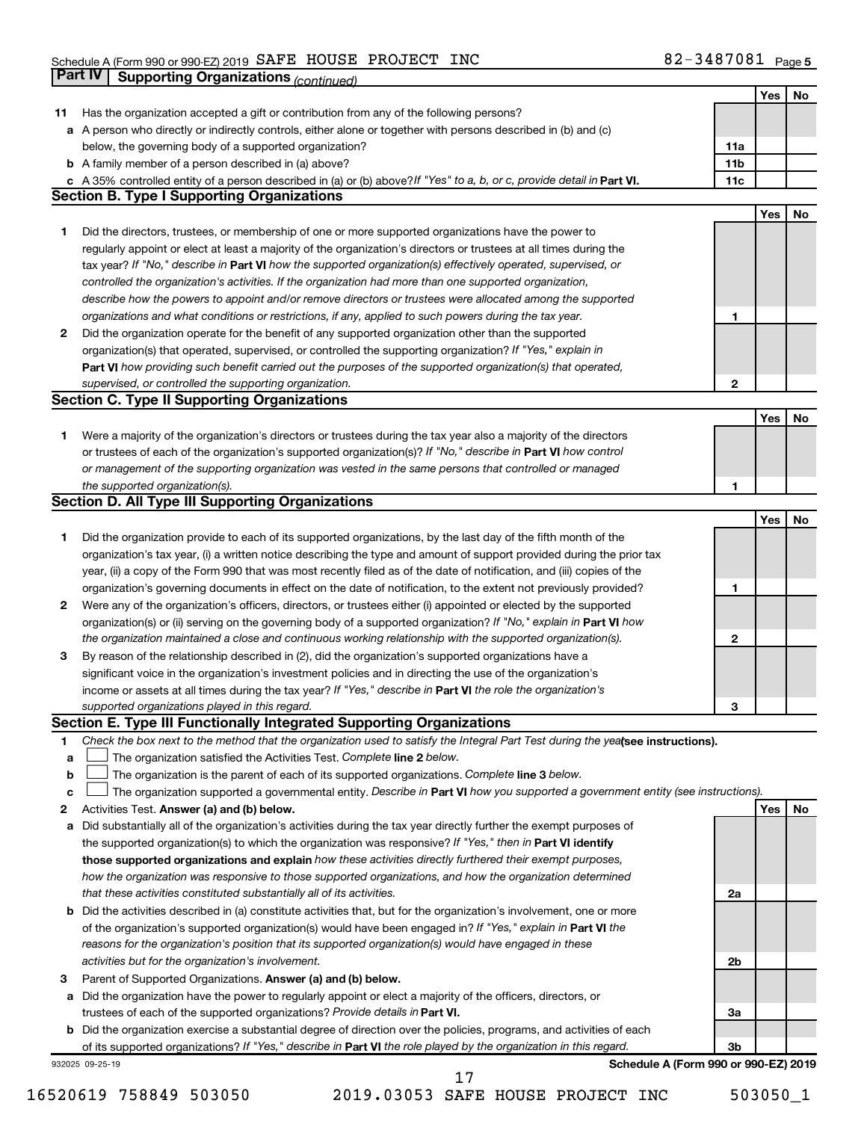|    | Part IV<br><b>Supporting Organizations (continued)</b>                                                                          |                 |     |    |
|----|---------------------------------------------------------------------------------------------------------------------------------|-----------------|-----|----|
|    |                                                                                                                                 |                 | Yes | No |
| 11 | Has the organization accepted a gift or contribution from any of the following persons?                                         |                 |     |    |
|    | a A person who directly or indirectly controls, either alone or together with persons described in (b) and (c)                  |                 |     |    |
|    | below, the governing body of a supported organization?                                                                          | 11a             |     |    |
|    | <b>b</b> A family member of a person described in (a) above?                                                                    | 11 <sub>b</sub> |     |    |
|    | c A 35% controlled entity of a person described in (a) or (b) above? If "Yes" to a, b, or c, provide detail in Part VI.         | 11c             |     |    |
|    | <b>Section B. Type I Supporting Organizations</b>                                                                               |                 |     |    |
|    |                                                                                                                                 |                 | Yes | No |
| 1  | Did the directors, trustees, or membership of one or more supported organizations have the power to                             |                 |     |    |
|    | regularly appoint or elect at least a majority of the organization's directors or trustees at all times during the              |                 |     |    |
|    | tax year? If "No," describe in Part VI how the supported organization(s) effectively operated, supervised, or                   |                 |     |    |
|    | controlled the organization's activities. If the organization had more than one supported organization,                         |                 |     |    |
|    | describe how the powers to appoint and/or remove directors or trustees were allocated among the supported                       |                 |     |    |
|    | organizations and what conditions or restrictions, if any, applied to such powers during the tax year.                          | 1               |     |    |
| 2  | Did the organization operate for the benefit of any supported organization other than the supported                             |                 |     |    |
|    | organization(s) that operated, supervised, or controlled the supporting organization? If "Yes," explain in                      |                 |     |    |
|    | Part VI how providing such benefit carried out the purposes of the supported organization(s) that operated,                     |                 |     |    |
|    | supervised, or controlled the supporting organization.                                                                          | 2               |     |    |
|    | <b>Section C. Type II Supporting Organizations</b>                                                                              |                 |     |    |
|    |                                                                                                                                 |                 | Yes | No |
| 1. | Were a majority of the organization's directors or trustees during the tax year also a majority of the directors                |                 |     |    |
|    | or trustees of each of the organization's supported organization(s)? If "No," describe in Part VI how control                   |                 |     |    |
|    | or management of the supporting organization was vested in the same persons that controlled or managed                          |                 |     |    |
|    | the supported organization(s).                                                                                                  | 1               |     |    |
|    | <b>Section D. All Type III Supporting Organizations</b>                                                                         |                 |     |    |
|    |                                                                                                                                 |                 | Yes | No |
| 1  | Did the organization provide to each of its supported organizations, by the last day of the fifth month of the                  |                 |     |    |
|    | organization's tax year, (i) a written notice describing the type and amount of support provided during the prior tax           |                 |     |    |
|    | year, (ii) a copy of the Form 990 that was most recently filed as of the date of notification, and (iii) copies of the          |                 |     |    |
|    | organization's governing documents in effect on the date of notification, to the extent not previously provided?                | 1               |     |    |
| 2  | Were any of the organization's officers, directors, or trustees either (i) appointed or elected by the supported                |                 |     |    |
|    | organization(s) or (ii) serving on the governing body of a supported organization? If "No," explain in Part VI how              |                 |     |    |
|    | the organization maintained a close and continuous working relationship with the supported organization(s).                     | 2               |     |    |
| 3  | By reason of the relationship described in (2), did the organization's supported organizations have a                           |                 |     |    |
|    | significant voice in the organization's investment policies and in directing the use of the organization's                      |                 |     |    |
|    | income or assets at all times during the tax year? If "Yes," describe in Part VI the role the organization's                    |                 |     |    |
|    | supported organizations played in this regard.                                                                                  | з               |     |    |
|    | Section E. Type III Functionally Integrated Supporting Organizations                                                            |                 |     |    |
| 1  | Check the box next to the method that the organization used to satisfy the Integral Part Test during the yealsee instructions). |                 |     |    |
| a  | The organization satisfied the Activities Test. Complete line 2 below.                                                          |                 |     |    |
| b  | The organization is the parent of each of its supported organizations. Complete line 3 below.                                   |                 |     |    |
| с  | The organization supported a governmental entity. Describe in Part VI how you supported a government entity (see instructions). |                 |     |    |
| 2  | Activities Test. Answer (a) and (b) below.                                                                                      |                 | Yes | No |
| а  | Did substantially all of the organization's activities during the tax year directly further the exempt purposes of              |                 |     |    |
|    | the supported organization(s) to which the organization was responsive? If "Yes," then in Part VI identify                      |                 |     |    |
|    | those supported organizations and explain how these activities directly furthered their exempt purposes,                        |                 |     |    |
|    | how the organization was responsive to those supported organizations, and how the organization determined                       |                 |     |    |
|    | that these activities constituted substantially all of its activities.                                                          | 2a              |     |    |
| b  | Did the activities described in (a) constitute activities that, but for the organization's involvement, one or more             |                 |     |    |
|    | of the organization's supported organization(s) would have been engaged in? If "Yes," explain in Part VI the                    |                 |     |    |
|    | reasons for the organization's position that its supported organization(s) would have engaged in these                          |                 |     |    |
|    | activities but for the organization's involvement.                                                                              | 2b              |     |    |
| 3  | Parent of Supported Organizations. Answer (a) and (b) below.                                                                    |                 |     |    |
| а  | Did the organization have the power to regularly appoint or elect a majority of the officers, directors, or                     |                 |     |    |
|    | trustees of each of the supported organizations? Provide details in Part VI.                                                    | За              |     |    |
|    | <b>b</b> Did the organization exercise a substantial degree of direction over the policies, programs, and activities of each    |                 |     |    |
|    | of its supported organizations? If "Yes," describe in Part VI the role played by the organization in this regard.               | 3b              |     |    |
|    | Schedule A (Form 990 or 990-EZ) 2019<br>932025 09-25-19                                                                         |                 |     |    |

16520619 758849 503050 2019.03053 SAFE HOUSE PROJECT INC 503050\_1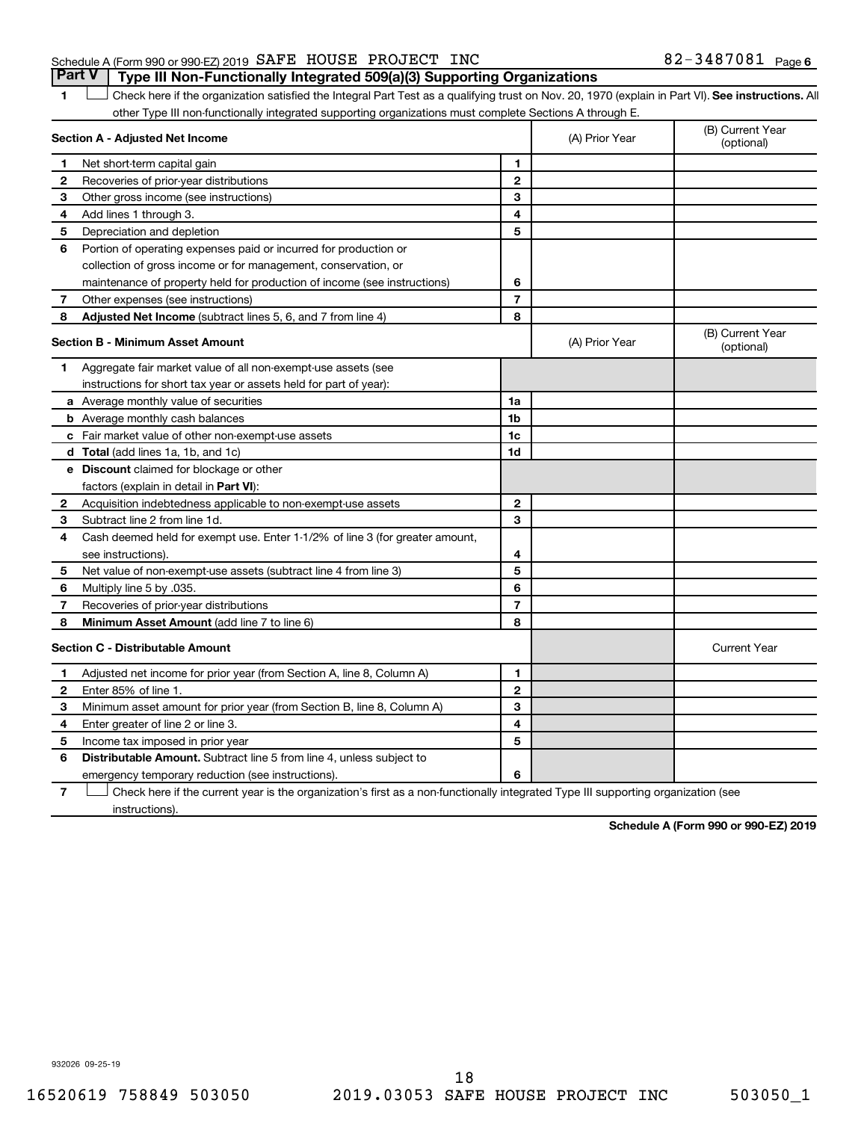# Schedule A (Form 990 or 990-EZ) 2019  $\,$  SAFE HOUSE PROJECT INC  $\,$  82 - 3487081  $\,$  Page **Part V Type III Non-Functionally Integrated 509(a)(3) Supporting Organizations**

1 **Letter See instructions.** All Check here if the organization satisfied the Integral Part Test as a qualifying trust on Nov. 20, 1970 (explain in Part VI). See instructions. All other Type III non-functionally integrated supporting organizations must complete Sections A through E.

|   | Section A - Adjusted Net Income                                                                                                   | (A) Prior Year | (B) Current Year<br>(optional) |                                |
|---|-----------------------------------------------------------------------------------------------------------------------------------|----------------|--------------------------------|--------------------------------|
| 1 | Net short-term capital gain                                                                                                       | 1              |                                |                                |
| 2 | Recoveries of prior-year distributions                                                                                            | $\mathbf{2}$   |                                |                                |
| З | Other gross income (see instructions)                                                                                             | 3              |                                |                                |
| 4 | Add lines 1 through 3.                                                                                                            | 4              |                                |                                |
| 5 | Depreciation and depletion                                                                                                        | 5              |                                |                                |
| 6 | Portion of operating expenses paid or incurred for production or                                                                  |                |                                |                                |
|   | collection of gross income or for management, conservation, or                                                                    |                |                                |                                |
|   | maintenance of property held for production of income (see instructions)                                                          | 6              |                                |                                |
| 7 | Other expenses (see instructions)                                                                                                 | $\overline{7}$ |                                |                                |
| 8 | Adjusted Net Income (subtract lines 5, 6, and 7 from line 4)                                                                      | 8              |                                |                                |
|   | <b>Section B - Minimum Asset Amount</b>                                                                                           |                | (A) Prior Year                 | (B) Current Year<br>(optional) |
| 1 | Aggregate fair market value of all non-exempt-use assets (see                                                                     |                |                                |                                |
|   | instructions for short tax year or assets held for part of year):                                                                 |                |                                |                                |
|   | <b>a</b> Average monthly value of securities                                                                                      | 1a             |                                |                                |
|   | <b>b</b> Average monthly cash balances                                                                                            | 1 <sub>b</sub> |                                |                                |
|   | c Fair market value of other non-exempt-use assets                                                                                | 1 <sub>c</sub> |                                |                                |
|   | d Total (add lines 1a, 1b, and 1c)                                                                                                | 1d             |                                |                                |
|   | <b>e</b> Discount claimed for blockage or other                                                                                   |                |                                |                                |
|   | factors (explain in detail in Part VI):                                                                                           |                |                                |                                |
| 2 | Acquisition indebtedness applicable to non-exempt-use assets                                                                      | $\mathbf{2}$   |                                |                                |
| 3 | Subtract line 2 from line 1d.                                                                                                     | 3              |                                |                                |
| 4 | Cash deemed held for exempt use. Enter 1-1/2% of line 3 (for greater amount,                                                      |                |                                |                                |
|   | see instructions)                                                                                                                 | 4              |                                |                                |
| 5 | Net value of non-exempt-use assets (subtract line 4 from line 3)                                                                  | 5              |                                |                                |
| 6 | Multiply line 5 by .035.                                                                                                          | 6              |                                |                                |
| 7 | Recoveries of prior-year distributions                                                                                            | $\overline{7}$ |                                |                                |
| 8 | <b>Minimum Asset Amount (add line 7 to line 6)</b>                                                                                | 8              |                                |                                |
|   | <b>Section C - Distributable Amount</b>                                                                                           |                |                                | <b>Current Year</b>            |
| 1 | Adjusted net income for prior year (from Section A, line 8, Column A)                                                             | 1              |                                |                                |
| 2 | Enter 85% of line 1.                                                                                                              | $\mathbf{2}$   |                                |                                |
| з | Minimum asset amount for prior year (from Section B, line 8, Column A)                                                            | 3              |                                |                                |
| 4 | Enter greater of line 2 or line 3.                                                                                                | 4              |                                |                                |
| 5 | Income tax imposed in prior year                                                                                                  | 5              |                                |                                |
| 6 | <b>Distributable Amount.</b> Subtract line 5 from line 4, unless subject to                                                       |                |                                |                                |
|   | emergency temporary reduction (see instructions).                                                                                 | 6              |                                |                                |
| 7 | Check here if the current year is the organization's first as a non-functionally integrated Type III supporting organization (see |                |                                |                                |

**7** instructions).

**Schedule A (Form 990 or 990-EZ) 2019**

932026 09-25-19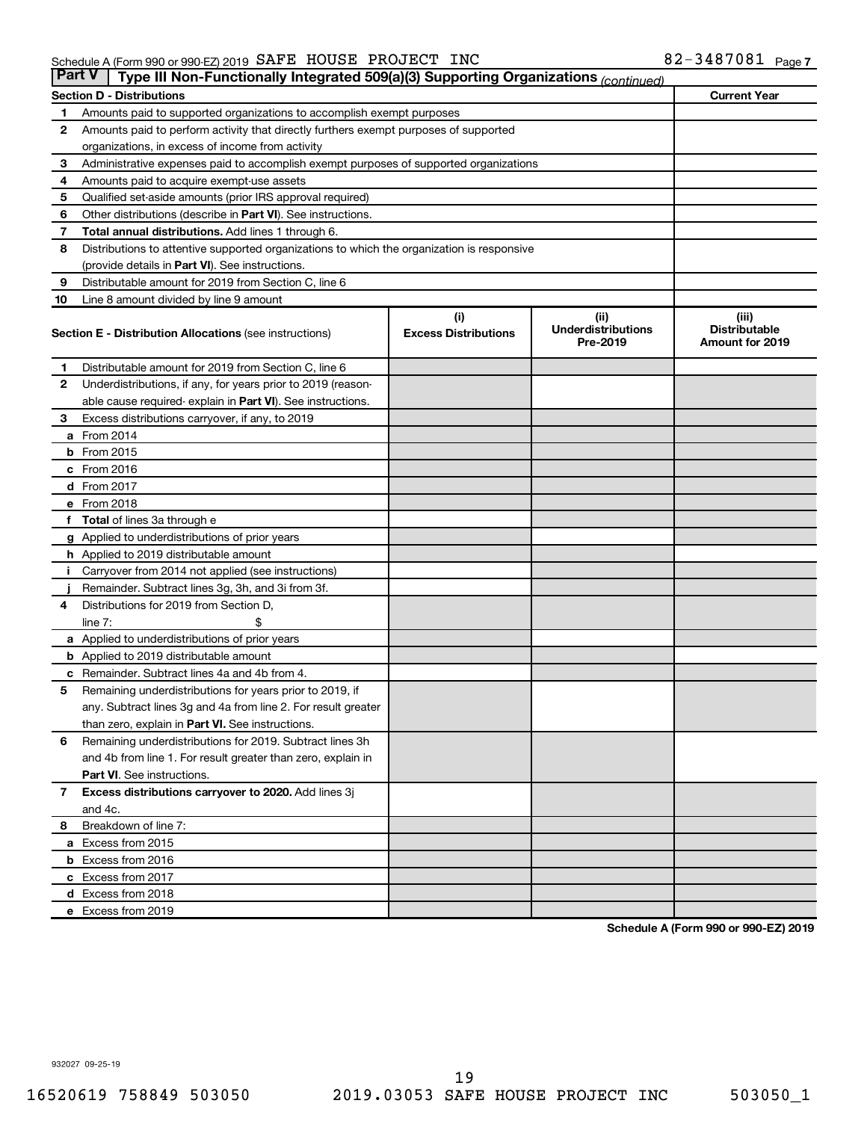| <b>Part V</b>  | Type III Non-Functionally Integrated 509(a)(3) Supporting Organizations (continued)        |                                    |                                   |                               |  |  |  |  |  |
|----------------|--------------------------------------------------------------------------------------------|------------------------------------|-----------------------------------|-------------------------------|--|--|--|--|--|
|                | <b>Section D - Distributions</b>                                                           |                                    |                                   | <b>Current Year</b>           |  |  |  |  |  |
| 1              | Amounts paid to supported organizations to accomplish exempt purposes                      |                                    |                                   |                               |  |  |  |  |  |
| $\mathbf{2}$   | Amounts paid to perform activity that directly furthers exempt purposes of supported       |                                    |                                   |                               |  |  |  |  |  |
|                | organizations, in excess of income from activity                                           |                                    |                                   |                               |  |  |  |  |  |
| 3              | Administrative expenses paid to accomplish exempt purposes of supported organizations      |                                    |                                   |                               |  |  |  |  |  |
| 4              | Amounts paid to acquire exempt-use assets                                                  |                                    |                                   |                               |  |  |  |  |  |
| 5              | Qualified set-aside amounts (prior IRS approval required)                                  |                                    |                                   |                               |  |  |  |  |  |
| 6              | Other distributions (describe in <b>Part VI</b> ). See instructions.                       |                                    |                                   |                               |  |  |  |  |  |
| 7              | Total annual distributions. Add lines 1 through 6.                                         |                                    |                                   |                               |  |  |  |  |  |
| 8              | Distributions to attentive supported organizations to which the organization is responsive |                                    |                                   |                               |  |  |  |  |  |
|                | (provide details in Part VI). See instructions.                                            |                                    |                                   |                               |  |  |  |  |  |
| 9              | Distributable amount for 2019 from Section C, line 6                                       |                                    |                                   |                               |  |  |  |  |  |
| 10             | Line 8 amount divided by line 9 amount                                                     |                                    |                                   |                               |  |  |  |  |  |
|                | <b>Section E - Distribution Allocations (see instructions)</b>                             | (i)<br><b>Excess Distributions</b> | (ii)<br><b>Underdistributions</b> | (iii)<br><b>Distributable</b> |  |  |  |  |  |
|                |                                                                                            |                                    | Pre-2019                          | <b>Amount for 2019</b>        |  |  |  |  |  |
| 1              | Distributable amount for 2019 from Section C, line 6                                       |                                    |                                   |                               |  |  |  |  |  |
| $\mathbf{2}$   | Underdistributions, if any, for years prior to 2019 (reason-                               |                                    |                                   |                               |  |  |  |  |  |
|                | able cause required- explain in Part VI). See instructions.                                |                                    |                                   |                               |  |  |  |  |  |
| 3              | Excess distributions carryover, if any, to 2019                                            |                                    |                                   |                               |  |  |  |  |  |
|                | a From 2014                                                                                |                                    |                                   |                               |  |  |  |  |  |
|                | $b$ From 2015                                                                              |                                    |                                   |                               |  |  |  |  |  |
|                | c From 2016                                                                                |                                    |                                   |                               |  |  |  |  |  |
|                | <b>d</b> From 2017                                                                         |                                    |                                   |                               |  |  |  |  |  |
|                | e From 2018                                                                                |                                    |                                   |                               |  |  |  |  |  |
|                | f Total of lines 3a through e                                                              |                                    |                                   |                               |  |  |  |  |  |
|                | <b>g</b> Applied to underdistributions of prior years                                      |                                    |                                   |                               |  |  |  |  |  |
|                | <b>h</b> Applied to 2019 distributable amount                                              |                                    |                                   |                               |  |  |  |  |  |
| Ť.             | Carryover from 2014 not applied (see instructions)                                         |                                    |                                   |                               |  |  |  |  |  |
|                | Remainder. Subtract lines 3g, 3h, and 3i from 3f.                                          |                                    |                                   |                               |  |  |  |  |  |
| 4              | Distributions for 2019 from Section D,                                                     |                                    |                                   |                               |  |  |  |  |  |
|                | line $7:$                                                                                  |                                    |                                   |                               |  |  |  |  |  |
|                | <b>a</b> Applied to underdistributions of prior years                                      |                                    |                                   |                               |  |  |  |  |  |
|                | <b>b</b> Applied to 2019 distributable amount                                              |                                    |                                   |                               |  |  |  |  |  |
| c              | Remainder. Subtract lines 4a and 4b from 4.                                                |                                    |                                   |                               |  |  |  |  |  |
| 5              | Remaining underdistributions for years prior to 2019, if                                   |                                    |                                   |                               |  |  |  |  |  |
|                | any. Subtract lines 3g and 4a from line 2. For result greater                              |                                    |                                   |                               |  |  |  |  |  |
|                | than zero, explain in Part VI. See instructions.                                           |                                    |                                   |                               |  |  |  |  |  |
| 6              | Remaining underdistributions for 2019. Subtract lines 3h                                   |                                    |                                   |                               |  |  |  |  |  |
|                | and 4b from line 1. For result greater than zero, explain in                               |                                    |                                   |                               |  |  |  |  |  |
|                | <b>Part VI.</b> See instructions.                                                          |                                    |                                   |                               |  |  |  |  |  |
| $\overline{7}$ | Excess distributions carryover to 2020. Add lines 3j                                       |                                    |                                   |                               |  |  |  |  |  |
|                | and 4c.                                                                                    |                                    |                                   |                               |  |  |  |  |  |
| 8              | Breakdown of line 7:                                                                       |                                    |                                   |                               |  |  |  |  |  |
|                | a Excess from 2015                                                                         |                                    |                                   |                               |  |  |  |  |  |
|                | <b>b</b> Excess from 2016                                                                  |                                    |                                   |                               |  |  |  |  |  |
|                | c Excess from 2017                                                                         |                                    |                                   |                               |  |  |  |  |  |
|                | d Excess from 2018                                                                         |                                    |                                   |                               |  |  |  |  |  |
|                | e Excess from 2019                                                                         |                                    |                                   |                               |  |  |  |  |  |

**Schedule A (Form 990 or 990-EZ) 2019**

932027 09-25-19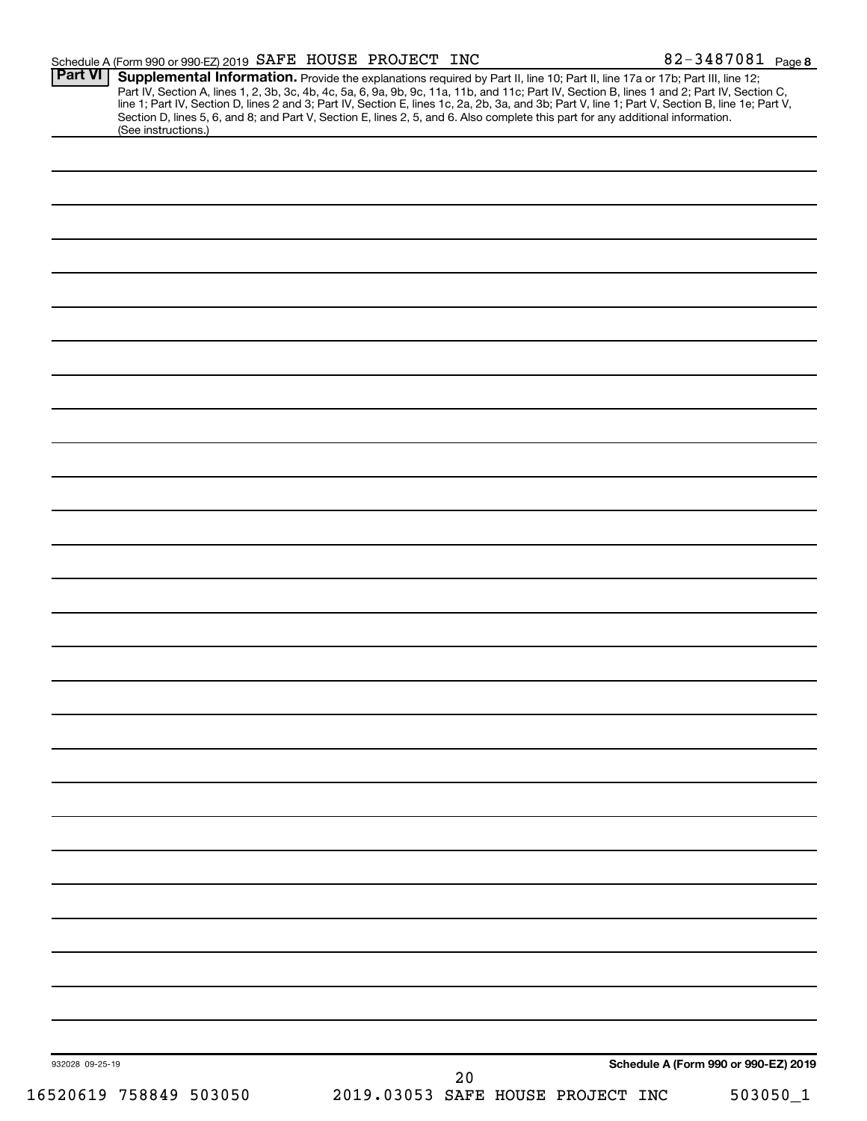|                 |                        | Schedule A (Form 990 or 990-EZ) 2019 SAFE HOUSE PROJECT INC                                                                                                                                                                                                                                                                                                                                                                                                                                          |                                   |    |  | 82-3487081 Page 8                    |
|-----------------|------------------------|------------------------------------------------------------------------------------------------------------------------------------------------------------------------------------------------------------------------------------------------------------------------------------------------------------------------------------------------------------------------------------------------------------------------------------------------------------------------------------------------------|-----------------------------------|----|--|--------------------------------------|
| <b>Part VI</b>  | (See instructions.)    | Supplemental Information. Provide the explanations required by Part II, line 10; Part II, line 17a or 17b; Part III, line 12;<br>Part IV, Section A, lines 1, 2, 3b, 3c, 4b, 4c, 5a, 6, 9a, 9b, 9c, 11a, 11b, and 11c; Part IV, Section B, lines 1 and 2; Part IV, Section C,<br>line 1; Part IV, Section D, lines 2 and 3; Part IV, Section E, lines 1c, 2a, 2b,<br>Section D, lines 5, 6, and 8; and Part V, Section E, lines 2, 5, and 6. Also complete this part for any additional information. |                                   |    |  |                                      |
|                 |                        |                                                                                                                                                                                                                                                                                                                                                                                                                                                                                                      |                                   |    |  |                                      |
|                 |                        |                                                                                                                                                                                                                                                                                                                                                                                                                                                                                                      |                                   |    |  |                                      |
|                 |                        |                                                                                                                                                                                                                                                                                                                                                                                                                                                                                                      |                                   |    |  |                                      |
|                 |                        |                                                                                                                                                                                                                                                                                                                                                                                                                                                                                                      |                                   |    |  |                                      |
|                 |                        |                                                                                                                                                                                                                                                                                                                                                                                                                                                                                                      |                                   |    |  |                                      |
|                 |                        |                                                                                                                                                                                                                                                                                                                                                                                                                                                                                                      |                                   |    |  |                                      |
|                 |                        |                                                                                                                                                                                                                                                                                                                                                                                                                                                                                                      |                                   |    |  |                                      |
|                 |                        |                                                                                                                                                                                                                                                                                                                                                                                                                                                                                                      |                                   |    |  |                                      |
|                 |                        |                                                                                                                                                                                                                                                                                                                                                                                                                                                                                                      |                                   |    |  |                                      |
|                 |                        |                                                                                                                                                                                                                                                                                                                                                                                                                                                                                                      |                                   |    |  |                                      |
|                 |                        |                                                                                                                                                                                                                                                                                                                                                                                                                                                                                                      |                                   |    |  |                                      |
|                 |                        |                                                                                                                                                                                                                                                                                                                                                                                                                                                                                                      |                                   |    |  |                                      |
|                 |                        |                                                                                                                                                                                                                                                                                                                                                                                                                                                                                                      |                                   |    |  |                                      |
|                 |                        |                                                                                                                                                                                                                                                                                                                                                                                                                                                                                                      |                                   |    |  |                                      |
|                 |                        |                                                                                                                                                                                                                                                                                                                                                                                                                                                                                                      |                                   |    |  |                                      |
|                 |                        |                                                                                                                                                                                                                                                                                                                                                                                                                                                                                                      |                                   |    |  |                                      |
|                 |                        |                                                                                                                                                                                                                                                                                                                                                                                                                                                                                                      |                                   |    |  |                                      |
|                 |                        |                                                                                                                                                                                                                                                                                                                                                                                                                                                                                                      |                                   |    |  |                                      |
|                 |                        |                                                                                                                                                                                                                                                                                                                                                                                                                                                                                                      |                                   |    |  |                                      |
|                 |                        |                                                                                                                                                                                                                                                                                                                                                                                                                                                                                                      |                                   |    |  |                                      |
|                 |                        |                                                                                                                                                                                                                                                                                                                                                                                                                                                                                                      |                                   |    |  |                                      |
|                 |                        |                                                                                                                                                                                                                                                                                                                                                                                                                                                                                                      |                                   |    |  |                                      |
|                 |                        |                                                                                                                                                                                                                                                                                                                                                                                                                                                                                                      |                                   |    |  |                                      |
|                 |                        |                                                                                                                                                                                                                                                                                                                                                                                                                                                                                                      |                                   |    |  |                                      |
|                 |                        |                                                                                                                                                                                                                                                                                                                                                                                                                                                                                                      |                                   |    |  |                                      |
|                 |                        |                                                                                                                                                                                                                                                                                                                                                                                                                                                                                                      |                                   |    |  |                                      |
|                 |                        |                                                                                                                                                                                                                                                                                                                                                                                                                                                                                                      |                                   |    |  |                                      |
|                 |                        |                                                                                                                                                                                                                                                                                                                                                                                                                                                                                                      |                                   |    |  |                                      |
|                 |                        |                                                                                                                                                                                                                                                                                                                                                                                                                                                                                                      |                                   |    |  |                                      |
|                 |                        |                                                                                                                                                                                                                                                                                                                                                                                                                                                                                                      |                                   |    |  |                                      |
|                 |                        |                                                                                                                                                                                                                                                                                                                                                                                                                                                                                                      |                                   |    |  |                                      |
|                 |                        |                                                                                                                                                                                                                                                                                                                                                                                                                                                                                                      |                                   |    |  |                                      |
|                 |                        |                                                                                                                                                                                                                                                                                                                                                                                                                                                                                                      |                                   |    |  |                                      |
|                 |                        |                                                                                                                                                                                                                                                                                                                                                                                                                                                                                                      |                                   |    |  |                                      |
|                 |                        |                                                                                                                                                                                                                                                                                                                                                                                                                                                                                                      |                                   |    |  |                                      |
|                 |                        |                                                                                                                                                                                                                                                                                                                                                                                                                                                                                                      |                                   |    |  |                                      |
| 932028 09-25-19 |                        |                                                                                                                                                                                                                                                                                                                                                                                                                                                                                                      |                                   | 20 |  | Schedule A (Form 990 or 990-EZ) 2019 |
|                 | 16520619 758849 503050 |                                                                                                                                                                                                                                                                                                                                                                                                                                                                                                      | 2019.03053 SAFE HOUSE PROJECT INC |    |  | 503050_1                             |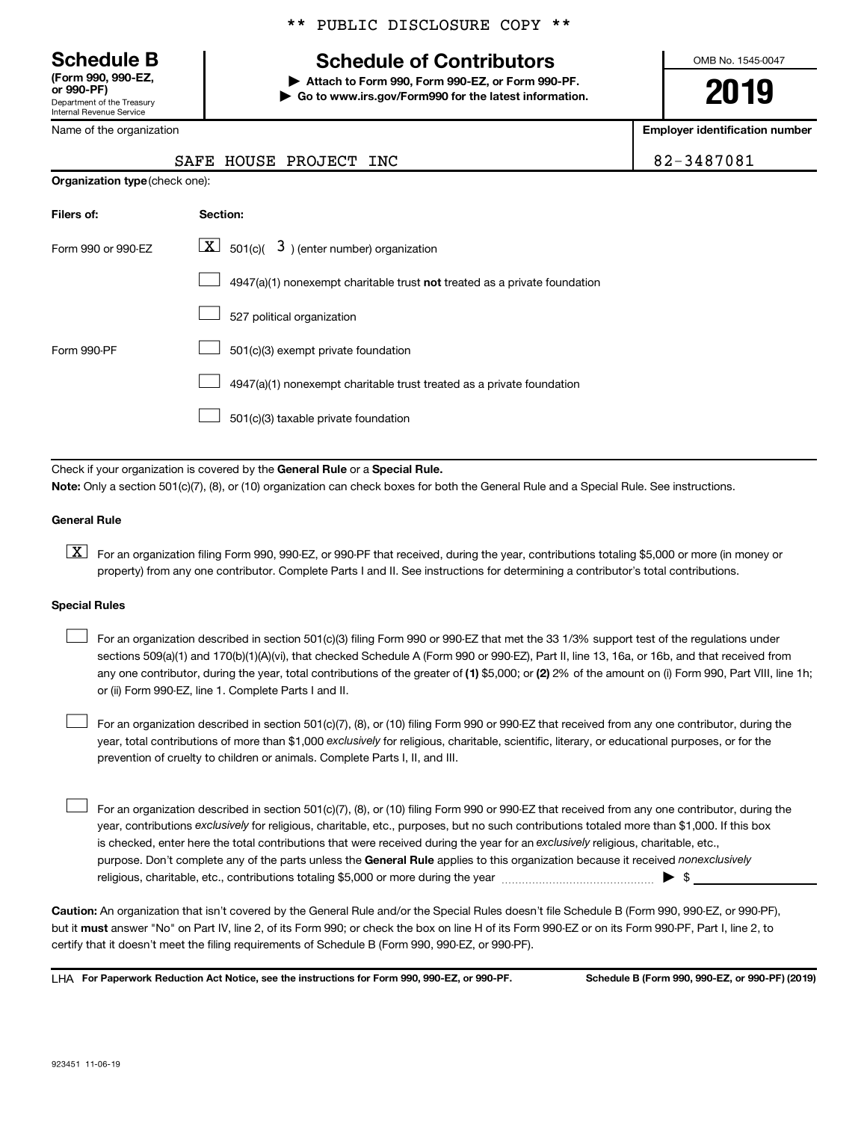Department of the Treasury Internal Revenue Service **(Form 990, 990-EZ,**

Name of the organization

**Organization type** (check one):

# \*\* PUBLIC DISCLOSURE COPY \*\*

# **Schedule B Schedule of Contributors**

**or 990-PF) | Attach to Form 990, Form 990-EZ, or Form 990-PF. | Go to www.irs.gov/Form990 for the latest information.** OMB No. 1545-0047

**2019**

**Employer identification number**

|  |  | $2 - 3487081$ |
|--|--|---------------|
|--|--|---------------|

|  | SAFE HOUSE PROJECT INC | 82-3487081 |
|--|------------------------|------------|
|  |                        |            |

| Filers of:         | Section:                                                                           |
|--------------------|------------------------------------------------------------------------------------|
| Form 990 or 990-FZ | $\lfloor x \rfloor$ 501(c)( 3) (enter number) organization                         |
|                    | $4947(a)(1)$ nonexempt charitable trust <b>not</b> treated as a private foundation |
|                    | 527 political organization                                                         |
| Form 990-PF        | 501(c)(3) exempt private foundation                                                |
|                    | 4947(a)(1) nonexempt charitable trust treated as a private foundation              |
|                    | 501(c)(3) taxable private foundation                                               |

Check if your organization is covered by the General Rule or a Special Rule. **Note:**  Only a section 501(c)(7), (8), or (10) organization can check boxes for both the General Rule and a Special Rule. See instructions.

### **General Rule**

**K** For an organization filing Form 990, 990-EZ, or 990-PF that received, during the year, contributions totaling \$5,000 or more (in money or property) from any one contributor. Complete Parts I and II. See instructions for determining a contributor's total contributions.

### **Special Rules**

 $\Box$ 

any one contributor, during the year, total contributions of the greater of (1) \$5,000; or (2) 2% of the amount on (i) Form 990, Part VIII, line 1h; For an organization described in section 501(c)(3) filing Form 990 or 990-EZ that met the 33 1/3% support test of the regulations under sections 509(a)(1) and 170(b)(1)(A)(vi), that checked Schedule A (Form 990 or 990-EZ), Part II, line 13, 16a, or 16b, and that received from or (ii) Form 990-EZ, line 1. Complete Parts I and II.  $\Box$ 

year, total contributions of more than \$1,000 *exclusively* for religious, charitable, scientific, literary, or educational purposes, or for the For an organization described in section 501(c)(7), (8), or (10) filing Form 990 or 990-EZ that received from any one contributor, during the prevention of cruelty to children or animals. Complete Parts I, II, and III.  $\Box$ 

purpose. Don't complete any of the parts unless the General Rule applies to this organization because it received nonexclusively year, contributions exclusively for religious, charitable, etc., purposes, but no such contributions totaled more than \$1,000. If this box is checked, enter here the total contributions that were received during the year for an exclusively religious, charitable, etc., For an organization described in section 501(c)(7), (8), or (10) filing Form 990 or 990-EZ that received from any one contributor, during the religious, charitable, etc., contributions totaling \$5,000 or more during the year  $\ldots$  $\ldots$  $\ldots$  $\ldots$  $\ldots$  $\ldots$ 

**Caution:**  An organization that isn't covered by the General Rule and/or the Special Rules doesn't file Schedule B (Form 990, 990-EZ, or 990-PF),  **must** but it answer "No" on Part IV, line 2, of its Form 990; or check the box on line H of its Form 990-EZ or on its Form 990-PF, Part I, line 2, to certify that it doesn't meet the filing requirements of Schedule B (Form 990, 990-EZ, or 990-PF).

**For Paperwork Reduction Act Notice, see the instructions for Form 990, 990-EZ, or 990-PF. Schedule B (Form 990, 990-EZ, or 990-PF) (2019)** LHA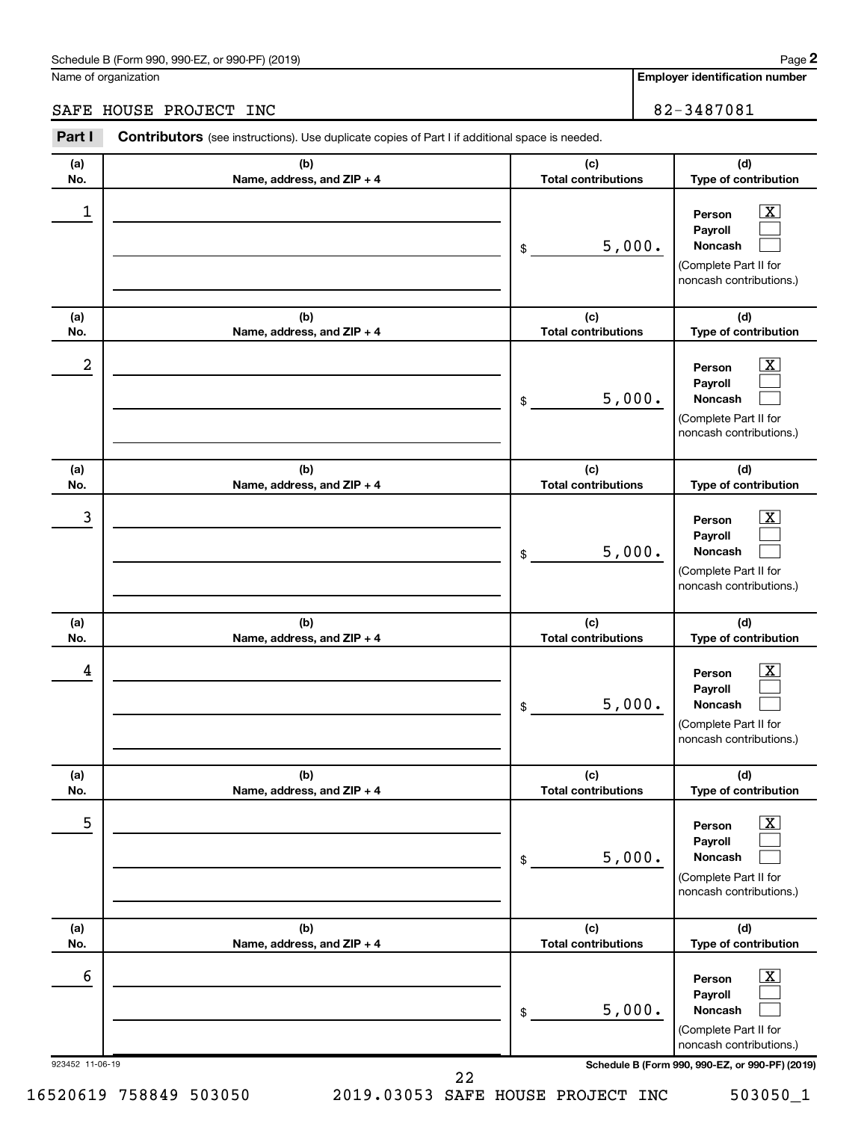Name of organization

**Employer identification number**

# SAFE HOUSE PROJECT INC<br>
82-3487081

| Part I               | <b>Contributors</b> (see instructions). Use duplicate copies of Part I if additional space is needed. |                                   |                                                                                                                                                                |
|----------------------|-------------------------------------------------------------------------------------------------------|-----------------------------------|----------------------------------------------------------------------------------------------------------------------------------------------------------------|
| (a)<br>No.           | (b)<br>Name, address, and ZIP + 4                                                                     | (c)<br><b>Total contributions</b> | (d)<br>Type of contribution                                                                                                                                    |
| 1                    |                                                                                                       | 5,000.<br>\$                      | $\overline{\mathbf{X}}$<br>Person<br>Payroll<br><b>Noncash</b><br>(Complete Part II for<br>noncash contributions.)                                             |
| (a)<br>No.           | (b)<br>Name, address, and ZIP + 4                                                                     | (c)<br><b>Total contributions</b> | (d)<br>Type of contribution                                                                                                                                    |
| 2                    |                                                                                                       | 5,000.<br>\$                      | $\overline{\mathbf{X}}$<br>Person<br>Payroll<br><b>Noncash</b><br>(Complete Part II for<br>noncash contributions.)                                             |
| (a)<br>No.           | (b)<br>Name, address, and ZIP + 4                                                                     | (c)<br><b>Total contributions</b> | (d)<br>Type of contribution                                                                                                                                    |
| 3                    |                                                                                                       | 5,000.<br>\$                      | $\overline{\mathbf{X}}$<br>Person<br>Payroll<br><b>Noncash</b><br>(Complete Part II for<br>noncash contributions.)                                             |
| (a)<br>No.           | (b)<br>Name, address, and ZIP + 4                                                                     | (c)<br><b>Total contributions</b> | (d)<br>Type of contribution                                                                                                                                    |
| 4                    |                                                                                                       | 5,000.<br>\$                      | $\overline{\mathbf{X}}$<br>Person<br>Payroll<br><b>Noncash</b><br>(Complete Part II for<br>noncash contributions.)                                             |
| (a)<br>No.           | (b)<br>Name, address, and ZIP + 4                                                                     | (c)<br><b>Total contributions</b> | (d)<br>Type of contribution                                                                                                                                    |
| 5                    |                                                                                                       | 5,000.<br>\$                      | $\overline{\text{X}}$<br>Person<br>Payroll<br><b>Noncash</b><br>(Complete Part II for<br>noncash contributions.)                                               |
| (a)<br>No.           | (b)<br>Name, address, and ZIP + 4                                                                     | (c)<br><b>Total contributions</b> | (d)<br>Type of contribution                                                                                                                                    |
| 6<br>923452 11-06-19 |                                                                                                       | 5,000.<br>\$                      | $\overline{\mathbf{X}}$<br>Person<br>Payroll<br>Noncash<br>(Complete Part II for<br>noncash contributions.)<br>Schedule B (Form 990, 990-EZ, or 990-PF) (2019) |

22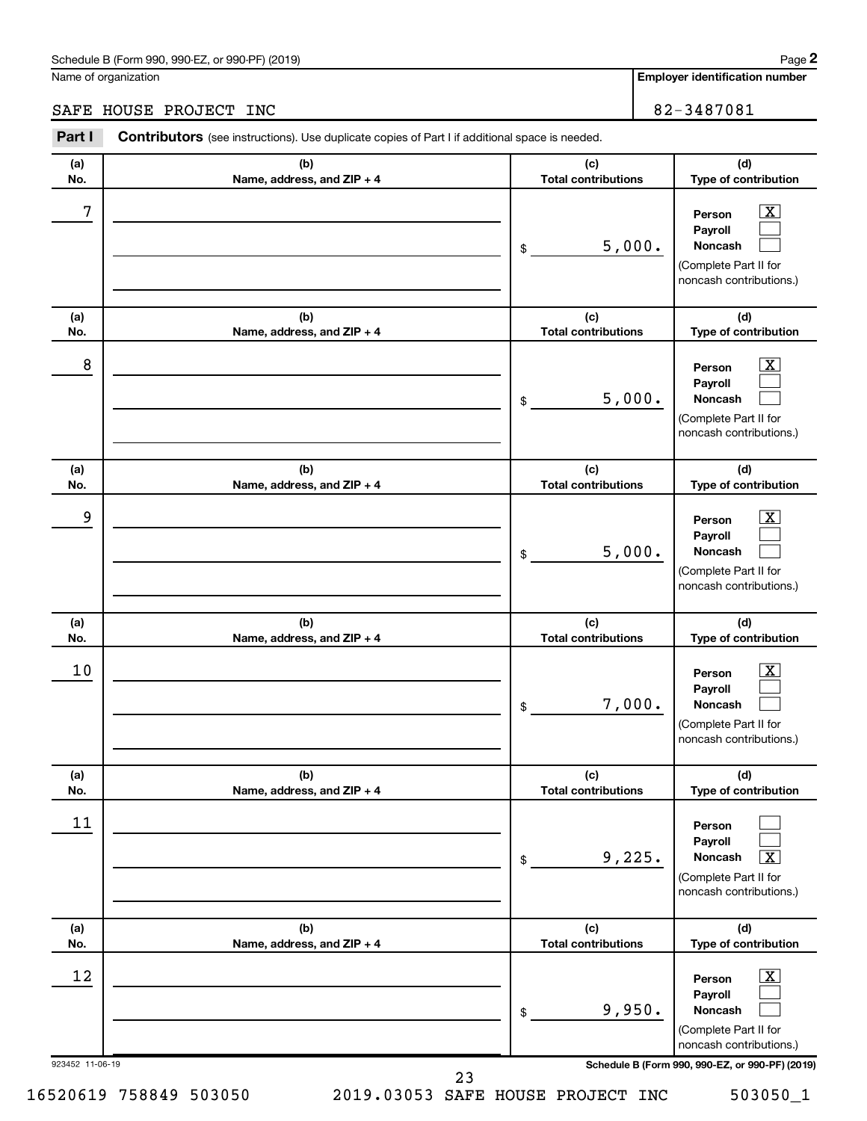Name of organization

**Employer identification number**

# SAFE HOUSE PROJECT INC<br>
82-3487081

| Part I          | <b>Contributors</b> (see instructions). Use duplicate copies of Part I if additional space is needed. |                                   |                                                                                                           |
|-----------------|-------------------------------------------------------------------------------------------------------|-----------------------------------|-----------------------------------------------------------------------------------------------------------|
| (a)<br>No.      | (b)<br>Name, address, and ZIP + 4                                                                     | (c)<br><b>Total contributions</b> | (d)<br>Type of contribution                                                                               |
| 7               |                                                                                                       | 5,000.<br>\$                      | $\boxed{\textbf{X}}$<br>Person<br>Payroll<br>Noncash<br>(Complete Part II for<br>noncash contributions.)  |
| (a)<br>No.      | (b)<br>Name, address, and ZIP + 4                                                                     | (c)<br><b>Total contributions</b> | (d)<br>Type of contribution                                                                               |
| 8               |                                                                                                       | 5,000.<br>\$                      | $\boxed{\text{X}}$<br>Person<br>Payroll<br>Noncash<br>(Complete Part II for<br>noncash contributions.)    |
| (a)<br>No.      | (b)<br>Name, address, and ZIP + 4                                                                     | (c)<br><b>Total contributions</b> | (d)<br>Type of contribution                                                                               |
| 9               |                                                                                                       | 5,000.<br>\$                      | $\boxed{\textbf{X}}$<br>Person<br>Payroll<br>Noncash<br>(Complete Part II for<br>noncash contributions.)  |
| (a)<br>No.      | (b)<br>Name, address, and ZIP + 4                                                                     | (c)<br><b>Total contributions</b> | (d)<br>Type of contribution                                                                               |
| 10              |                                                                                                       | 7,000.<br>\$                      | $\boxed{\textbf{X}}$<br>Person<br>Payroll<br>Noncash<br>(Complete Part II for<br>noncash contributions.)  |
| (a)<br>No.      | (b)<br>Name, address, and ZIP + 4                                                                     | (c)<br><b>Total contributions</b> | (d)<br>Type of contribution                                                                               |
| 11              |                                                                                                       | 9,225.<br>\$                      | Person<br>Payroll<br>Noncash<br>$\overline{\text{X}}$<br>(Complete Part II for<br>noncash contributions.) |
| (a)<br>No.      | (b)<br>Name, address, and ZIP + 4                                                                     | (c)<br><b>Total contributions</b> | (d)<br>Type of contribution                                                                               |
| 12              |                                                                                                       | 9,950.<br>\$                      | $\mathbf{X}$<br>Person<br>Payroll<br>Noncash<br>(Complete Part II for<br>noncash contributions.)          |
| 923452 11-06-19 |                                                                                                       |                                   | Schedule B (Form 990, 990-EZ, or 990-PF) (2019)                                                           |

23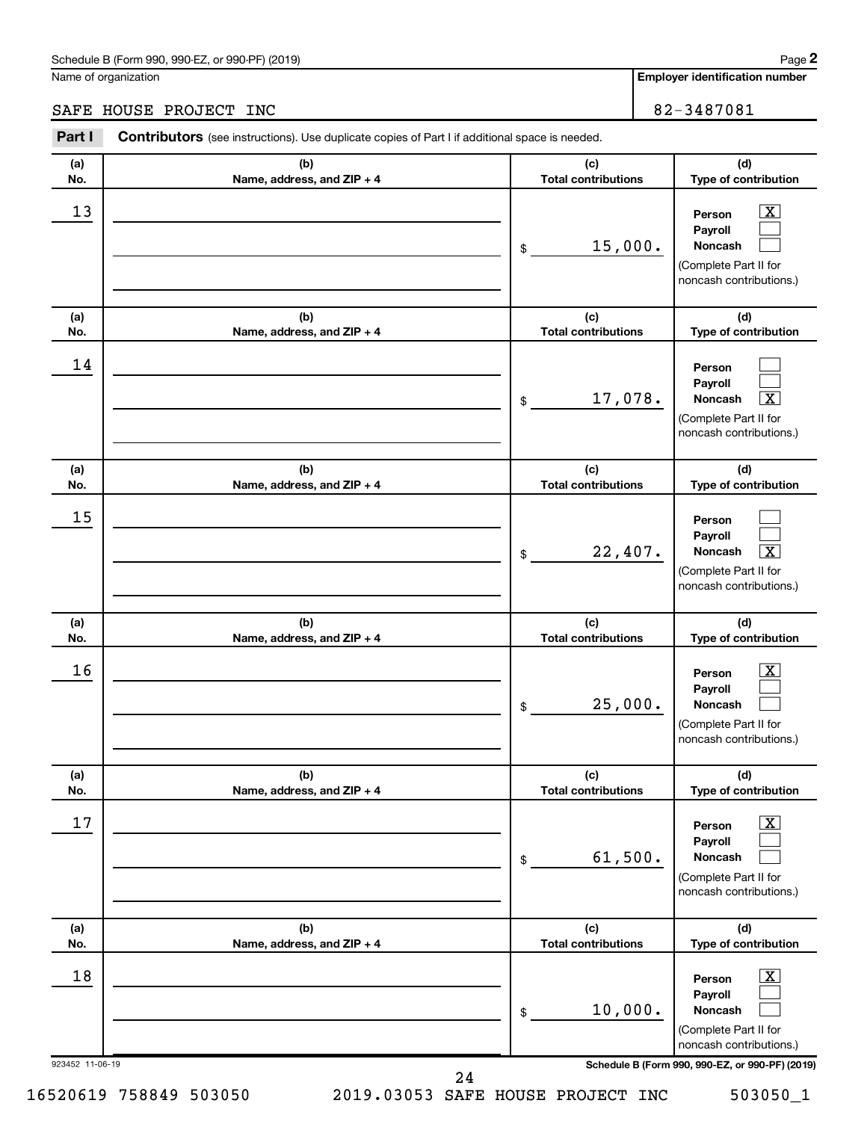# Schedule B (Form 990, 990-EZ, or 990-PF) (2019)

Name of organization

**Employer identification number**

# SAFE HOUSE PROJECT INC<br>
82-3487081

| Part I                | Contributors (see instructions). Use duplicate copies of Part I if additional space is needed. |                                   |                                                                                                                                                                |
|-----------------------|------------------------------------------------------------------------------------------------|-----------------------------------|----------------------------------------------------------------------------------------------------------------------------------------------------------------|
| (a)<br>No.            | (b)<br>Name, address, and ZIP + 4                                                              | (c)<br><b>Total contributions</b> | (d)<br>Type of contribution                                                                                                                                    |
| 13                    |                                                                                                | 15,000.<br>\$                     | $\overline{\text{X}}$<br>Person<br>Payroll<br>Noncash<br>(Complete Part II for<br>noncash contributions.)                                                      |
| (a)<br>No.            | (b)<br>Name, address, and ZIP + 4                                                              | (c)<br><b>Total contributions</b> | (d)<br>Type of contribution                                                                                                                                    |
| 14                    |                                                                                                | 17,078.<br>\$                     | Person<br>Payroll<br>Noncash<br>х<br>(Complete Part II for<br>noncash contributions.)                                                                          |
| (a)<br>No.            | (b)<br>Name, address, and ZIP + 4                                                              | (c)<br><b>Total contributions</b> | (d)<br>Type of contribution                                                                                                                                    |
| 15                    |                                                                                                | 22,407.<br>\$                     | Person<br>Payroll<br>$\overline{\texttt{x}}$<br>Noncash<br>(Complete Part II for<br>noncash contributions.)                                                    |
| (a)<br>No.            | (b)<br>Name, address, and ZIP + 4                                                              | (c)<br><b>Total contributions</b> | (d)<br>Type of contribution                                                                                                                                    |
| 16                    |                                                                                                | 25,000.<br>\$                     | x<br>Person<br>Payroll<br>Noncash<br>(Complete Part II for<br>noncash contributions.)                                                                          |
| (a)<br>No.            | (b)<br>Name, address, and ZIP + 4                                                              | (c)<br><b>Total contributions</b> | (d)<br>Type of contribution                                                                                                                                    |
| $17\,$                |                                                                                                | 61,500.<br>\$                     | $\overline{\mathbf{X}}$<br>Person<br>Payroll<br>Noncash<br>(Complete Part II for<br>noncash contributions.)                                                    |
| (a)<br>No.            | (b)<br>Name, address, and ZIP + 4                                                              | (c)<br><b>Total contributions</b> | (d)<br>Type of contribution                                                                                                                                    |
| 18<br>923452 11-06-19 |                                                                                                | 10,000.<br>\$                     | $\overline{\mathbf{X}}$<br>Person<br>Payroll<br>Noncash<br>(Complete Part II for<br>noncash contributions.)<br>Schedule B (Form 990, 990-EZ, or 990-PF) (2019) |

24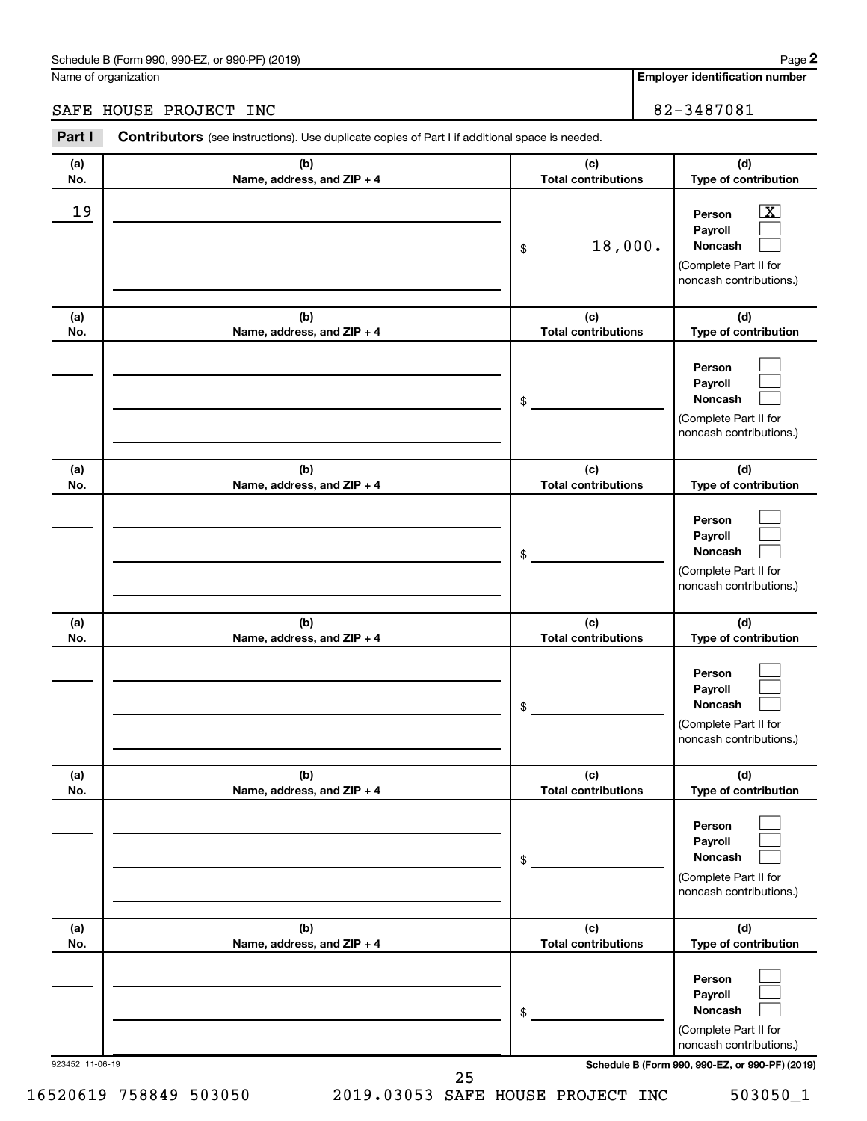# Schedule B (Form 990, 990-EZ, or 990-PF) (2019)

Name of organization

**Employer identification number**

# SAFE HOUSE PROJECT INC<br>
82-3487081

| Part I          | <b>Contributors</b> (see instructions). Use duplicate copies of Part I if additional space is needed. |                                   |                                                                                                          |
|-----------------|-------------------------------------------------------------------------------------------------------|-----------------------------------|----------------------------------------------------------------------------------------------------------|
| (a)<br>No.      | (b)<br>Name, address, and ZIP + 4                                                                     | (c)<br><b>Total contributions</b> | (d)<br>Type of contribution                                                                              |
| 19              |                                                                                                       | 18,000.<br>\$                     | $\boxed{\mathbf{X}}$<br>Person<br>Payroll<br>Noncash<br>(Complete Part II for<br>noncash contributions.) |
| (a)<br>No.      | (b)<br>Name, address, and ZIP + 4                                                                     | (c)<br><b>Total contributions</b> | (d)<br>Type of contribution                                                                              |
|                 |                                                                                                       | \$                                | Person<br>Payroll<br>Noncash<br>(Complete Part II for<br>noncash contributions.)                         |
| (a)<br>No.      | (b)<br>Name, address, and ZIP + 4                                                                     | (c)<br><b>Total contributions</b> | (d)<br>Type of contribution                                                                              |
|                 |                                                                                                       | \$                                | Person<br>Payroll<br>Noncash<br>(Complete Part II for<br>noncash contributions.)                         |
| (a)<br>No.      | (b)<br>Name, address, and ZIP + 4                                                                     | (c)<br><b>Total contributions</b> | (d)<br>Type of contribution                                                                              |
|                 |                                                                                                       | \$                                | Person<br>Payroll<br>Noncash<br>(Complete Part II for<br>noncash contributions.)                         |
| (a)<br>No.      | (b)<br>Name, address, and ZIP + 4                                                                     | (c)<br><b>Total contributions</b> | (d)<br>Type of contribution                                                                              |
|                 |                                                                                                       | \$                                | Person<br>Payroll<br>Noncash<br>(Complete Part II for<br>noncash contributions.)                         |
| (a)<br>No.      | (b)<br>Name, address, and ZIP + 4                                                                     | (c)<br><b>Total contributions</b> | (d)<br>Type of contribution                                                                              |
|                 |                                                                                                       | \$                                | Person<br>Payroll<br>Noncash<br>(Complete Part II for<br>noncash contributions.)                         |
| 923452 11-06-19 |                                                                                                       | 25                                | Schedule B (Form 990, 990-EZ, or 990-PF) (2019)                                                          |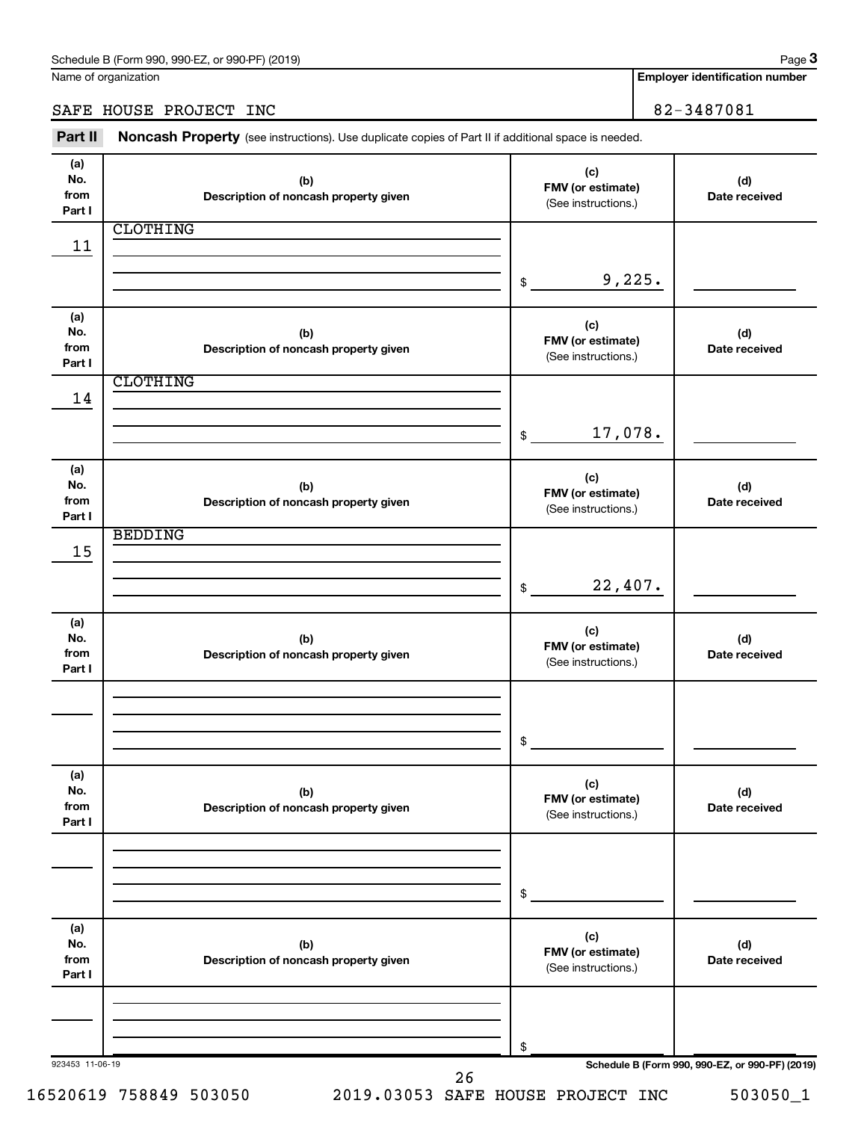Name of organization

**Employer identification number**

SAFE HOUSE PROJECT INC<br>
82-3487081

Part II Noncash Property (see instructions). Use duplicate copies of Part II if additional space is needed.

| (a)<br>No.<br>from<br>Part I | (b)<br>Description of noncash property given | (c)<br>FMV (or estimate)<br>(See instructions.) | (d)<br>Date received                            |
|------------------------------|----------------------------------------------|-------------------------------------------------|-------------------------------------------------|
|                              | <b>CLOTHING</b>                              |                                                 |                                                 |
| 11                           |                                              |                                                 |                                                 |
|                              |                                              |                                                 |                                                 |
|                              |                                              | 9,225.<br>\$                                    |                                                 |
|                              |                                              |                                                 |                                                 |
| (a)                          |                                              | (c)                                             |                                                 |
| No.                          | (b)                                          | FMV (or estimate)                               | (d)                                             |
| from                         | Description of noncash property given        | (See instructions.)                             | Date received                                   |
| Part I                       |                                              |                                                 |                                                 |
|                              | <b>CLOTHING</b>                              |                                                 |                                                 |
| 14                           |                                              |                                                 |                                                 |
|                              |                                              |                                                 |                                                 |
|                              |                                              | 17,078.<br>$\frac{1}{2}$                        |                                                 |
|                              |                                              |                                                 |                                                 |
| (a)<br>No.                   | (b)                                          | (c)                                             | (d)                                             |
| from                         | Description of noncash property given        | FMV (or estimate)                               | Date received                                   |
| Part I                       |                                              | (See instructions.)                             |                                                 |
|                              | <b>BEDDING</b>                               |                                                 |                                                 |
| 15                           |                                              |                                                 |                                                 |
|                              |                                              |                                                 |                                                 |
|                              |                                              | 22,407.<br>$$\tilde{\phantom{a}}$$              |                                                 |
|                              |                                              |                                                 |                                                 |
| (a)                          |                                              | (c)                                             |                                                 |
| No.                          | (b)                                          | FMV (or estimate)                               | (d)                                             |
| from<br>Part I               | Description of noncash property given        | (See instructions.)                             | Date received                                   |
|                              |                                              |                                                 |                                                 |
|                              |                                              |                                                 |                                                 |
|                              |                                              |                                                 |                                                 |
|                              |                                              | \$                                              |                                                 |
|                              |                                              |                                                 |                                                 |
| (a)                          |                                              |                                                 |                                                 |
| No.                          | (b)                                          | (c)                                             | (d)                                             |
| from                         | Description of noncash property given        | FMV (or estimate)<br>(See instructions.)        | Date received                                   |
| Part I                       |                                              |                                                 |                                                 |
|                              |                                              |                                                 |                                                 |
|                              |                                              |                                                 |                                                 |
|                              |                                              |                                                 |                                                 |
|                              |                                              | \$                                              |                                                 |
|                              |                                              |                                                 |                                                 |
| (a)<br>No.                   | (b)                                          | (c)                                             | (d)                                             |
| from                         | Description of noncash property given        | FMV (or estimate)                               | Date received                                   |
| Part I                       |                                              | (See instructions.)                             |                                                 |
|                              |                                              |                                                 |                                                 |
|                              |                                              |                                                 |                                                 |
|                              |                                              |                                                 |                                                 |
|                              |                                              | \$                                              |                                                 |
| 923453 11-06-19              |                                              |                                                 | Schedule B (Form 990, 990-EZ, or 990-PF) (2019) |
|                              | 26                                           |                                                 |                                                 |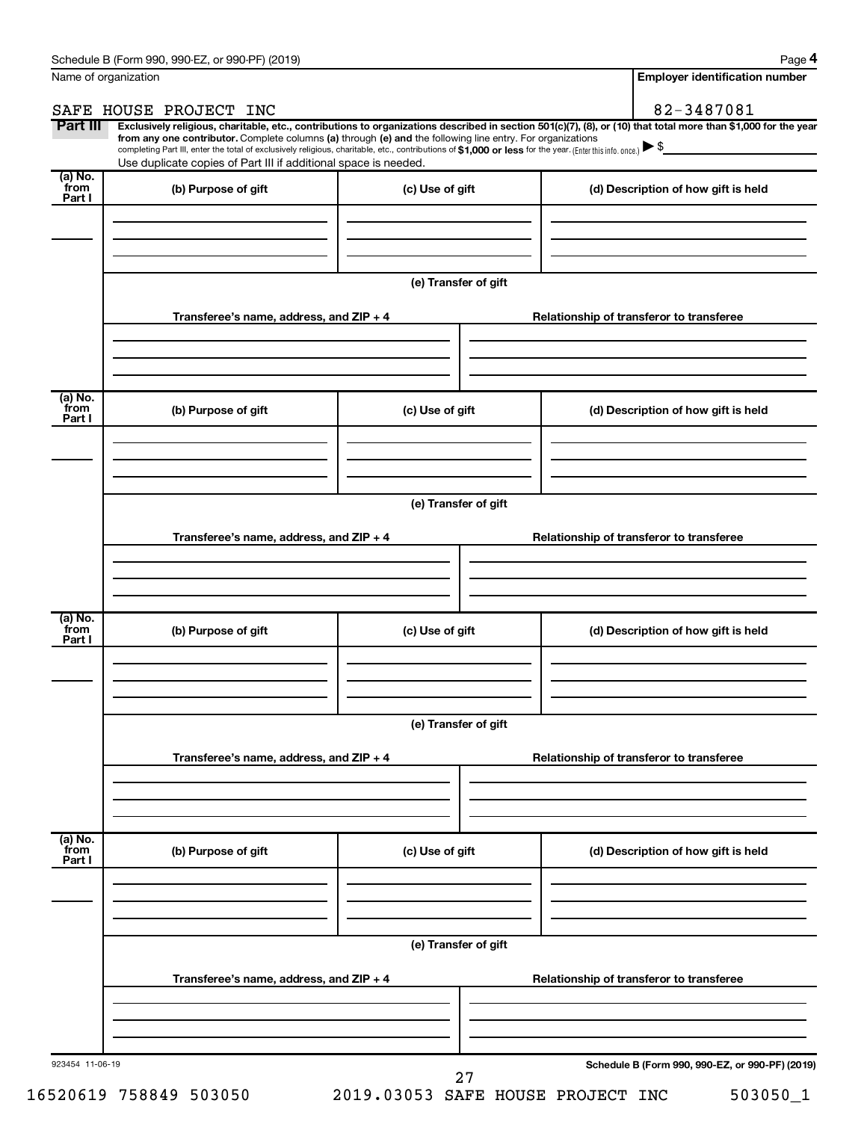**4**

|                            | Name of organization                                                                                                                                                                                                                                                                                                                                                                                                                                                                                        |                      |  | <b>Employer identification number</b>           |  |  |  |  |
|----------------------------|-------------------------------------------------------------------------------------------------------------------------------------------------------------------------------------------------------------------------------------------------------------------------------------------------------------------------------------------------------------------------------------------------------------------------------------------------------------------------------------------------------------|----------------------|--|-------------------------------------------------|--|--|--|--|
|                            | SAFE HOUSE PROJECT INC                                                                                                                                                                                                                                                                                                                                                                                                                                                                                      |                      |  | 82-3487081                                      |  |  |  |  |
| Part III                   | Exclusively religious, charitable, etc., contributions to organizations described in section 501(c)(7), (8), or (10) that total more than \$1,000 for the year<br>from any one contributor. Complete columns (a) through (e) and the following line entry. For organizations<br>completing Part III, enter the total of exclusively religious, charitable, etc., contributions of \$1,000 or less for the year. (Enter this info. once.)<br>Use duplicate copies of Part III if additional space is needed. |                      |  |                                                 |  |  |  |  |
| (a) No.<br>from<br>Part I  | (b) Purpose of gift                                                                                                                                                                                                                                                                                                                                                                                                                                                                                         | (c) Use of gift      |  | (d) Description of how gift is held             |  |  |  |  |
|                            |                                                                                                                                                                                                                                                                                                                                                                                                                                                                                                             |                      |  |                                                 |  |  |  |  |
|                            |                                                                                                                                                                                                                                                                                                                                                                                                                                                                                                             | (e) Transfer of gift |  |                                                 |  |  |  |  |
|                            | Transferee's name, address, and ZIP + 4                                                                                                                                                                                                                                                                                                                                                                                                                                                                     |                      |  | Relationship of transferor to transferee        |  |  |  |  |
|                            |                                                                                                                                                                                                                                                                                                                                                                                                                                                                                                             |                      |  |                                                 |  |  |  |  |
| (a) No.<br>`from<br>Part I | (b) Purpose of gift                                                                                                                                                                                                                                                                                                                                                                                                                                                                                         | (c) Use of gift      |  | (d) Description of how gift is held             |  |  |  |  |
|                            |                                                                                                                                                                                                                                                                                                                                                                                                                                                                                                             |                      |  |                                                 |  |  |  |  |
|                            |                                                                                                                                                                                                                                                                                                                                                                                                                                                                                                             | (e) Transfer of gift |  |                                                 |  |  |  |  |
|                            | Transferee's name, address, and ZIP + 4                                                                                                                                                                                                                                                                                                                                                                                                                                                                     |                      |  | Relationship of transferor to transferee        |  |  |  |  |
|                            |                                                                                                                                                                                                                                                                                                                                                                                                                                                                                                             |                      |  |                                                 |  |  |  |  |
| (a) No.<br>`from<br>Part I | (b) Purpose of gift                                                                                                                                                                                                                                                                                                                                                                                                                                                                                         | (c) Use of gift      |  | (d) Description of how gift is held             |  |  |  |  |
|                            |                                                                                                                                                                                                                                                                                                                                                                                                                                                                                                             |                      |  |                                                 |  |  |  |  |
|                            | (e) Transfer of gift                                                                                                                                                                                                                                                                                                                                                                                                                                                                                        |                      |  |                                                 |  |  |  |  |
|                            | Transferee's name, address, and ZIP + 4                                                                                                                                                                                                                                                                                                                                                                                                                                                                     |                      |  | Relationship of transferor to transferee        |  |  |  |  |
|                            |                                                                                                                                                                                                                                                                                                                                                                                                                                                                                                             |                      |  |                                                 |  |  |  |  |
| (a) No.<br>from<br>Part I  | (b) Purpose of gift                                                                                                                                                                                                                                                                                                                                                                                                                                                                                         | (c) Use of gift      |  | (d) Description of how gift is held             |  |  |  |  |
|                            |                                                                                                                                                                                                                                                                                                                                                                                                                                                                                                             |                      |  |                                                 |  |  |  |  |
|                            |                                                                                                                                                                                                                                                                                                                                                                                                                                                                                                             | (e) Transfer of gift |  |                                                 |  |  |  |  |
|                            | Transferee's name, address, and ZIP + 4                                                                                                                                                                                                                                                                                                                                                                                                                                                                     |                      |  | Relationship of transferor to transferee        |  |  |  |  |
|                            |                                                                                                                                                                                                                                                                                                                                                                                                                                                                                                             |                      |  |                                                 |  |  |  |  |
| 923454 11-06-19            |                                                                                                                                                                                                                                                                                                                                                                                                                                                                                                             | 27                   |  | Schedule B (Form 990, 990-EZ, or 990-PF) (2019) |  |  |  |  |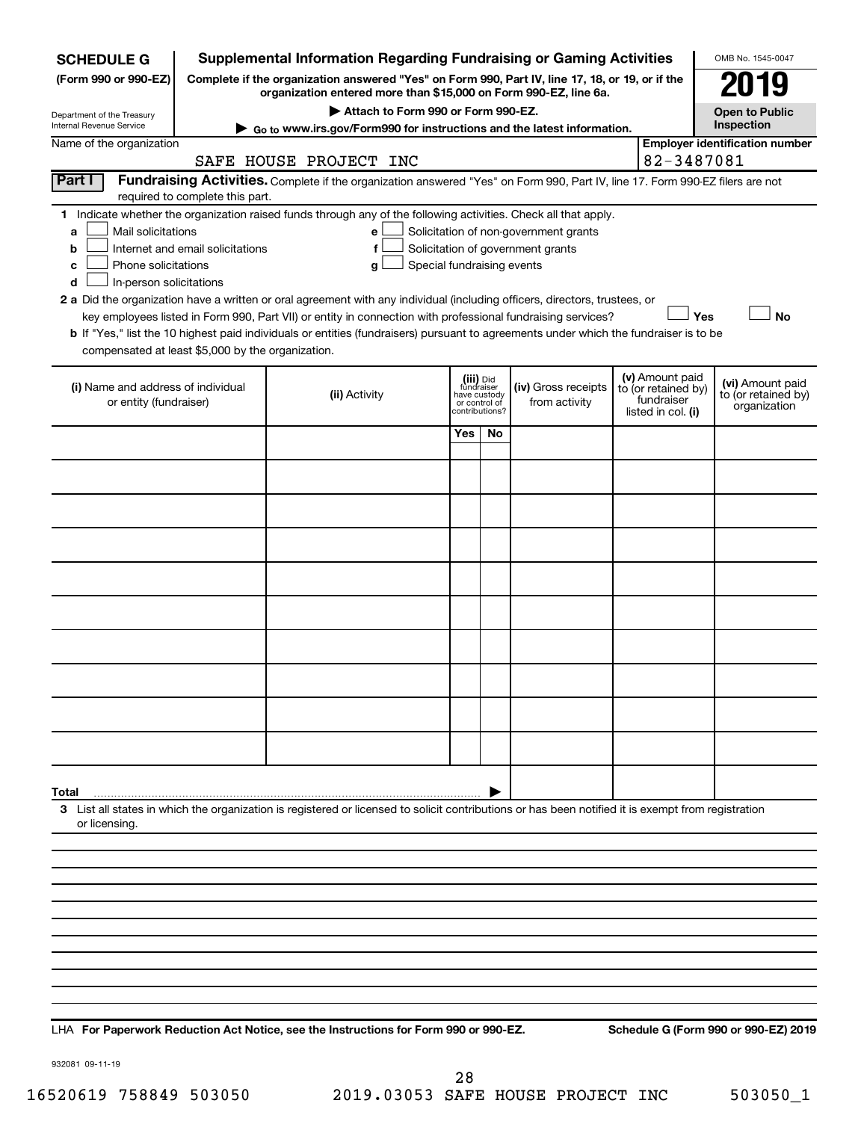| <b>SCHEDULE G</b>                                                                                                                                                          |                                                                                                                                                                     | <b>Supplemental Information Regarding Fundraising or Gaming Activities</b>                                                                                                                                                                                                                                                                                                                                                                                                                                                                       |                                                          |                |                                                                            |  |                                                                            | OMB No. 1545-0047                                       |
|----------------------------------------------------------------------------------------------------------------------------------------------------------------------------|---------------------------------------------------------------------------------------------------------------------------------------------------------------------|--------------------------------------------------------------------------------------------------------------------------------------------------------------------------------------------------------------------------------------------------------------------------------------------------------------------------------------------------------------------------------------------------------------------------------------------------------------------------------------------------------------------------------------------------|----------------------------------------------------------|----------------|----------------------------------------------------------------------------|--|----------------------------------------------------------------------------|---------------------------------------------------------|
| (Form 990 or 990-EZ)                                                                                                                                                       | Complete if the organization answered "Yes" on Form 990, Part IV, line 17, 18, or 19, or if the<br>organization entered more than \$15,000 on Form 990-EZ, line 6a. |                                                                                                                                                                                                                                                                                                                                                                                                                                                                                                                                                  |                                                          |                |                                                                            |  |                                                                            |                                                         |
| Department of the Treasury                                                                                                                                                 |                                                                                                                                                                     | Attach to Form 990 or Form 990-EZ.                                                                                                                                                                                                                                                                                                                                                                                                                                                                                                               |                                                          |                |                                                                            |  |                                                                            | <b>Open to Public</b>                                   |
| Internal Revenue Service<br>Name of the organization                                                                                                                       |                                                                                                                                                                     | Go to www.irs.gov/Form990 for instructions and the latest information.                                                                                                                                                                                                                                                                                                                                                                                                                                                                           |                                                          |                |                                                                            |  |                                                                            | Inspection<br><b>Employer identification number</b>     |
|                                                                                                                                                                            |                                                                                                                                                                     | SAFE HOUSE PROJECT INC                                                                                                                                                                                                                                                                                                                                                                                                                                                                                                                           |                                                          |                |                                                                            |  | 82-3487081                                                                 |                                                         |
| Part I<br>Fundraising Activities. Complete if the organization answered "Yes" on Form 990, Part IV, line 17. Form 990-EZ filers are not<br>required to complete this part. |                                                                                                                                                                     |                                                                                                                                                                                                                                                                                                                                                                                                                                                                                                                                                  |                                                          |                |                                                                            |  |                                                                            |                                                         |
| 1.<br>Mail solicitations<br>а<br>b<br>Phone solicitations<br>с<br>In-person solicitations<br>d<br>compensated at least \$5,000 by the organization.                        | Internet and email solicitations                                                                                                                                    | Indicate whether the organization raised funds through any of the following activities. Check all that apply.<br>е<br>f<br>Special fundraising events<br>g<br>2 a Did the organization have a written or oral agreement with any individual (including officers, directors, trustees, or<br>key employees listed in Form 990, Part VII) or entity in connection with professional fundraising services?<br>b If "Yes," list the 10 highest paid individuals or entities (fundraisers) pursuant to agreements under which the fundraiser is to be |                                                          |                | Solicitation of non-government grants<br>Solicitation of government grants |  | Yes                                                                        | <b>No</b>                                               |
| (i) Name and address of individual<br>or entity (fundraiser)                                                                                                               |                                                                                                                                                                     | (ii) Activity                                                                                                                                                                                                                                                                                                                                                                                                                                                                                                                                    | (iii) Did<br>fundraiser<br>have custody<br>or control of | contributions? | (iv) Gross receipts<br>from activity                                       |  | (v) Amount paid<br>to (or retained by)<br>fundraiser<br>listed in col. (i) | (vi) Amount paid<br>to (or retained by)<br>organization |
|                                                                                                                                                                            |                                                                                                                                                                     |                                                                                                                                                                                                                                                                                                                                                                                                                                                                                                                                                  | Yes                                                      | No.            |                                                                            |  |                                                                            |                                                         |
|                                                                                                                                                                            |                                                                                                                                                                     |                                                                                                                                                                                                                                                                                                                                                                                                                                                                                                                                                  |                                                          |                |                                                                            |  |                                                                            |                                                         |
|                                                                                                                                                                            |                                                                                                                                                                     |                                                                                                                                                                                                                                                                                                                                                                                                                                                                                                                                                  |                                                          |                |                                                                            |  |                                                                            |                                                         |
|                                                                                                                                                                            |                                                                                                                                                                     |                                                                                                                                                                                                                                                                                                                                                                                                                                                                                                                                                  |                                                          |                |                                                                            |  |                                                                            |                                                         |
|                                                                                                                                                                            |                                                                                                                                                                     |                                                                                                                                                                                                                                                                                                                                                                                                                                                                                                                                                  |                                                          |                |                                                                            |  |                                                                            |                                                         |
|                                                                                                                                                                            |                                                                                                                                                                     |                                                                                                                                                                                                                                                                                                                                                                                                                                                                                                                                                  |                                                          |                |                                                                            |  |                                                                            |                                                         |
|                                                                                                                                                                            |                                                                                                                                                                     |                                                                                                                                                                                                                                                                                                                                                                                                                                                                                                                                                  |                                                          |                |                                                                            |  |                                                                            |                                                         |
|                                                                                                                                                                            |                                                                                                                                                                     |                                                                                                                                                                                                                                                                                                                                                                                                                                                                                                                                                  |                                                          |                |                                                                            |  |                                                                            |                                                         |
|                                                                                                                                                                            |                                                                                                                                                                     |                                                                                                                                                                                                                                                                                                                                                                                                                                                                                                                                                  |                                                          |                |                                                                            |  |                                                                            |                                                         |
|                                                                                                                                                                            |                                                                                                                                                                     |                                                                                                                                                                                                                                                                                                                                                                                                                                                                                                                                                  |                                                          |                |                                                                            |  |                                                                            |                                                         |
| Total                                                                                                                                                                      |                                                                                                                                                                     |                                                                                                                                                                                                                                                                                                                                                                                                                                                                                                                                                  |                                                          |                |                                                                            |  |                                                                            |                                                         |
| or licensing.                                                                                                                                                              |                                                                                                                                                                     | 3 List all states in which the organization is registered or licensed to solicit contributions or has been notified it is exempt from registration                                                                                                                                                                                                                                                                                                                                                                                               |                                                          |                |                                                                            |  |                                                                            |                                                         |
|                                                                                                                                                                            |                                                                                                                                                                     |                                                                                                                                                                                                                                                                                                                                                                                                                                                                                                                                                  |                                                          |                |                                                                            |  |                                                                            |                                                         |
|                                                                                                                                                                            |                                                                                                                                                                     |                                                                                                                                                                                                                                                                                                                                                                                                                                                                                                                                                  |                                                          |                |                                                                            |  |                                                                            |                                                         |
|                                                                                                                                                                            |                                                                                                                                                                     |                                                                                                                                                                                                                                                                                                                                                                                                                                                                                                                                                  |                                                          |                |                                                                            |  |                                                                            |                                                         |
|                                                                                                                                                                            |                                                                                                                                                                     |                                                                                                                                                                                                                                                                                                                                                                                                                                                                                                                                                  |                                                          |                |                                                                            |  |                                                                            |                                                         |
|                                                                                                                                                                            |                                                                                                                                                                     |                                                                                                                                                                                                                                                                                                                                                                                                                                                                                                                                                  |                                                          |                |                                                                            |  |                                                                            |                                                         |
|                                                                                                                                                                            |                                                                                                                                                                     |                                                                                                                                                                                                                                                                                                                                                                                                                                                                                                                                                  |                                                          |                |                                                                            |  |                                                                            |                                                         |
|                                                                                                                                                                            |                                                                                                                                                                     |                                                                                                                                                                                                                                                                                                                                                                                                                                                                                                                                                  |                                                          |                |                                                                            |  |                                                                            |                                                         |
|                                                                                                                                                                            |                                                                                                                                                                     |                                                                                                                                                                                                                                                                                                                                                                                                                                                                                                                                                  |                                                          |                |                                                                            |  |                                                                            |                                                         |

**For Paperwork Reduction Act Notice, see the Instructions for Form 990 or 990-EZ. Schedule G (Form 990 or 990-EZ) 2019** LHA

932081 09-11-19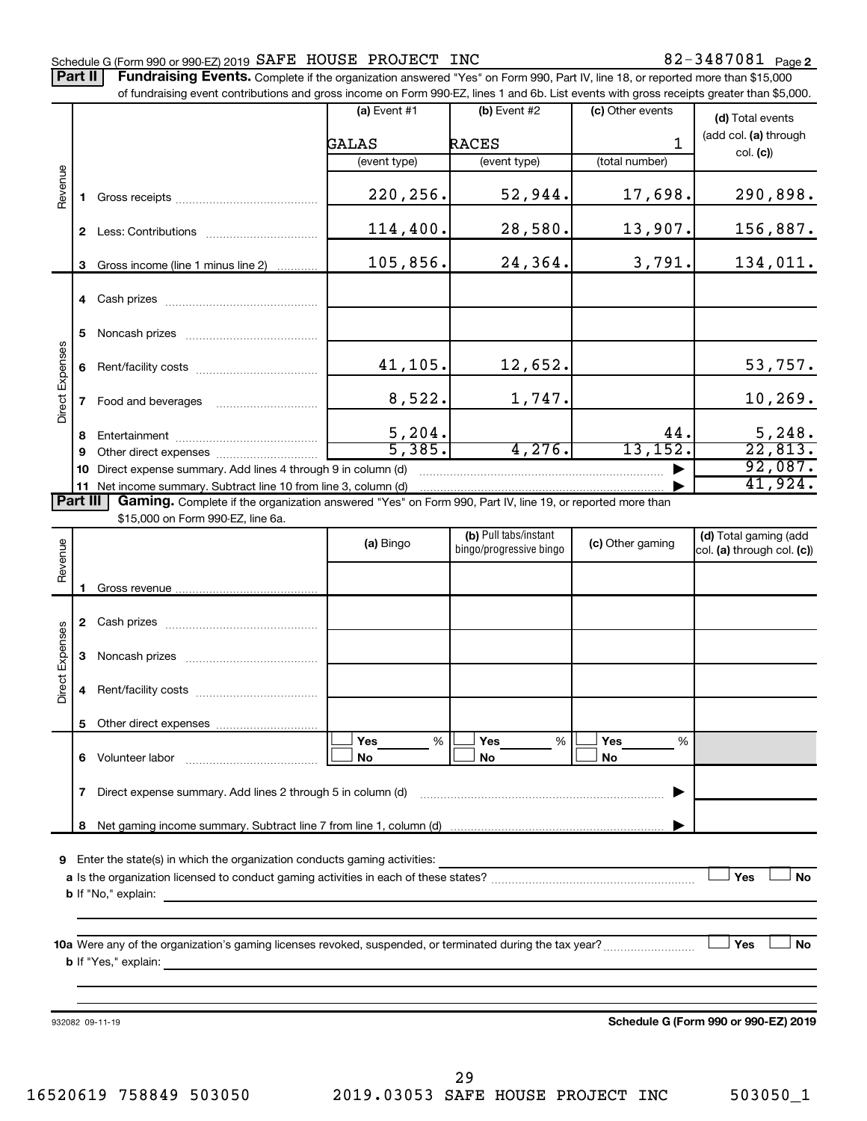## Schedule G (Form 990 or 990-EZ) 2019  $\mathtt{SAFE}$  HOUSE PROJECT INC  $82\text{--}3487081$  Page

Part II | Fundraising Events. Complete if the organization answered "Yes" on Form 990, Part IV, line 18, or reported more than \$15,000

|                 |    | of fundraising event contributions and gross income on Form 990-EZ, lines 1 and 6b. List events with gross receipts greater than \$5,000.      |                         |                                                            |                       |                                                     |
|-----------------|----|------------------------------------------------------------------------------------------------------------------------------------------------|-------------------------|------------------------------------------------------------|-----------------------|-----------------------------------------------------|
|                 |    |                                                                                                                                                | (a) Event #1            | $(b)$ Event #2                                             | (c) Other events      | (d) Total events                                    |
|                 |    |                                                                                                                                                | GALAS                   | <b>RACES</b>                                               | $\mathbf{1}$          | (add col. (a) through                               |
|                 |    |                                                                                                                                                | (event type)            | (event type)                                               | (total number)        | col. (c)                                            |
| Revenue         |    |                                                                                                                                                |                         |                                                            |                       |                                                     |
|                 | 1. |                                                                                                                                                | 220,256.                | 52,944.                                                    | 17,698.               | 290,898.                                            |
|                 |    |                                                                                                                                                | 114,400.                | 28,580.                                                    | 13,907.               | 156,887.                                            |
|                 | 3  | Gross income (line 1 minus line 2)                                                                                                             | 105,856.                | 24,364.                                                    | 3,791.                | 134,011.                                            |
|                 |    |                                                                                                                                                |                         |                                                            |                       |                                                     |
|                 | 5  |                                                                                                                                                |                         |                                                            |                       |                                                     |
| Direct Expenses | 6  |                                                                                                                                                | 41,105.                 | 12,652.                                                    |                       | 53,757.                                             |
|                 | 7  |                                                                                                                                                | 8,522.                  | 1,747.                                                     |                       | 10, 269.                                            |
|                 | 8  |                                                                                                                                                |                         |                                                            | 44.                   |                                                     |
|                 | 9  |                                                                                                                                                | $\frac{5,204.}{5,385.}$ | 4,276.                                                     | 13, 152.              | $\frac{5,248}{22,813}$                              |
|                 | 10 | Direct expense summary. Add lines 4 through 9 in column (d)                                                                                    |                         |                                                            |                       | 92,087.                                             |
|                 |    | 11 Net income summary. Subtract line 10 from line 3, column (d)                                                                                |                         |                                                            |                       | 41,924.                                             |
| Part III        |    | Gaming. Complete if the organization answered "Yes" on Form 990, Part IV, line 19, or reported more than<br>\$15,000 on Form 990-EZ, line 6a.  |                         |                                                            |                       |                                                     |
|                 |    |                                                                                                                                                | (a) Bingo               | (b) Pull tabs/instant<br>bingo/progressive bingo           | (c) Other gaming      | (d) Total gaming (add<br>col. (a) through col. (c)) |
| Revenue         |    |                                                                                                                                                |                         |                                                            |                       |                                                     |
|                 |    |                                                                                                                                                |                         |                                                            |                       |                                                     |
|                 |    |                                                                                                                                                |                         |                                                            |                       |                                                     |
| Direct Expenses | 3  |                                                                                                                                                |                         |                                                            |                       |                                                     |
|                 | 4  |                                                                                                                                                |                         |                                                            |                       |                                                     |
|                 | 5  | Other direct expenses                                                                                                                          |                         |                                                            |                       |                                                     |
|                 | 6  |                                                                                                                                                | %<br>Yes<br>No          | %<br>Yes<br>No                                             | <b>Yes</b><br>%<br>No |                                                     |
|                 | 7  | Direct expense summary. Add lines 2 through 5 in column (d)                                                                                    |                         |                                                            |                       |                                                     |
|                 | 8  |                                                                                                                                                |                         |                                                            |                       |                                                     |
|                 |    |                                                                                                                                                |                         |                                                            |                       |                                                     |
| 9               |    | Enter the state(s) in which the organization conducts gaming activities:                                                                       |                         | <u> 1989 - Johann Stein, mars an de Brasilia (b. 1989)</u> |                       |                                                     |
|                 |    |                                                                                                                                                |                         |                                                            |                       | Yes<br>No                                           |
|                 |    | <b>b</b> If "No," explain:<br>and the control of the control of the control of the control of the control of the control of the control of the |                         |                                                            |                       |                                                     |
|                 |    |                                                                                                                                                |                         |                                                            |                       |                                                     |
|                 |    |                                                                                                                                                |                         |                                                            |                       | Yes<br>No                                           |
|                 |    |                                                                                                                                                |                         |                                                            |                       |                                                     |
|                 |    |                                                                                                                                                |                         |                                                            |                       |                                                     |
|                 |    | 932082 09-11-19                                                                                                                                |                         |                                                            |                       | Schedule G (Form 990 or 990-EZ) 2019                |
|                 |    |                                                                                                                                                |                         |                                                            |                       |                                                     |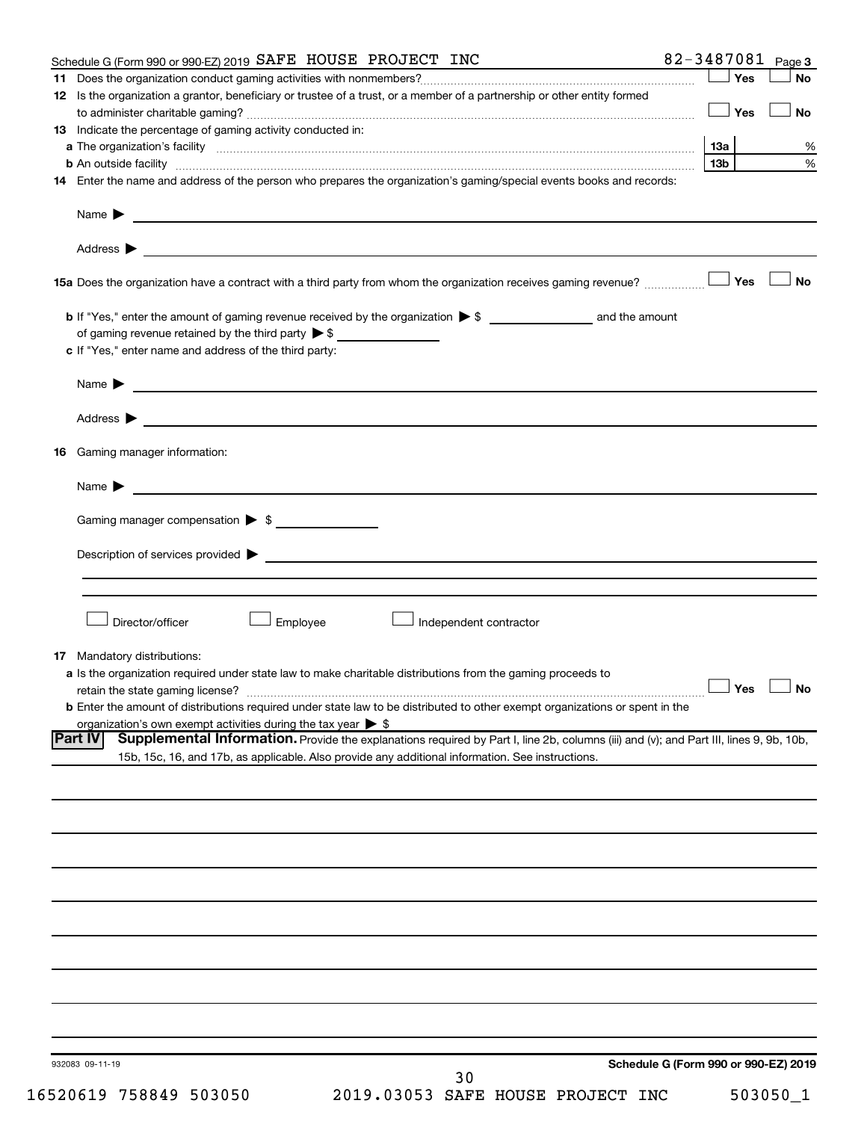|    | Schedule G (Form 990 or 990-EZ) 2019 SAFE HOUSE PROJECT INC                                                                                              |                 | 82-3487081 Page 3                    |
|----|----------------------------------------------------------------------------------------------------------------------------------------------------------|-----------------|--------------------------------------|
|    |                                                                                                                                                          | Yes             | <b>No</b>                            |
|    | 12 Is the organization a grantor, beneficiary or trustee of a trust, or a member of a partnership or other entity formed                                 |                 |                                      |
|    |                                                                                                                                                          | Yes             | <b>No</b>                            |
|    | 13 Indicate the percentage of gaming activity conducted in:                                                                                              |                 |                                      |
|    |                                                                                                                                                          | 13а             | %                                    |
|    | <b>b</b> An outside facility <i>www.communicality.communicality.communicality www.communicality.communicality.communicality</i>                          | 13 <sub>b</sub> | %                                    |
|    | 14 Enter the name and address of the person who prepares the organization's gaming/special events books and records:                                     |                 |                                      |
|    | Name $\blacktriangleright$<br><u> 1989 - Johann Barn, fransk politik formuler (d. 1989)</u>                                                              |                 |                                      |
|    |                                                                                                                                                          |                 |                                      |
|    |                                                                                                                                                          |                 | <b>No</b>                            |
|    |                                                                                                                                                          |                 |                                      |
|    |                                                                                                                                                          |                 |                                      |
|    | c If "Yes," enter name and address of the third party:                                                                                                   |                 |                                      |
|    | <u>and the control of the control of the control of the control of the control of the control of the control of</u><br>Name $\blacktriangleright$        |                 |                                      |
|    |                                                                                                                                                          |                 |                                      |
| 16 | Gaming manager information:                                                                                                                              |                 |                                      |
|    |                                                                                                                                                          |                 |                                      |
|    | <u> 1989 - Johann Barbara, martin da basar a shekara 1989 - An tsara 1989 - An tsara 1989 - An tsara 1989 - An tsa</u><br>Name $\blacktriangleright$     |                 |                                      |
|    | Gaming manager compensation > \$                                                                                                                         |                 |                                      |
|    |                                                                                                                                                          |                 |                                      |
|    |                                                                                                                                                          |                 |                                      |
|    |                                                                                                                                                          |                 |                                      |
|    | Director/officer<br><b>Employee</b><br>Independent contractor                                                                                            |                 |                                      |
|    |                                                                                                                                                          |                 |                                      |
|    | <b>17</b> Mandatory distributions:                                                                                                                       |                 |                                      |
|    | a Is the organization required under state law to make charitable distributions from the gaming proceeds to                                              |                 |                                      |
|    |                                                                                                                                                          |                 | $\Box$ Yes $\Box$ No                 |
|    | <b>b</b> Enter the amount of distributions required under state law to be distributed to other exempt organizations or spent in the                      |                 |                                      |
|    | organization's own exempt activities during the tax year $\triangleright$ \$                                                                             |                 |                                      |
|    | <b>Part IV</b><br>Supplemental Information. Provide the explanations required by Part I, line 2b, columns (iii) and (v); and Part III, lines 9, 9b, 10b, |                 |                                      |
|    | 15b, 15c, 16, and 17b, as applicable. Also provide any additional information. See instructions.                                                         |                 |                                      |
|    |                                                                                                                                                          |                 |                                      |
|    |                                                                                                                                                          |                 |                                      |
|    |                                                                                                                                                          |                 |                                      |
|    |                                                                                                                                                          |                 |                                      |
|    |                                                                                                                                                          |                 |                                      |
|    |                                                                                                                                                          |                 |                                      |
|    |                                                                                                                                                          |                 |                                      |
|    |                                                                                                                                                          |                 |                                      |
|    |                                                                                                                                                          |                 |                                      |
|    |                                                                                                                                                          |                 |                                      |
|    |                                                                                                                                                          |                 |                                      |
|    |                                                                                                                                                          |                 |                                      |
|    |                                                                                                                                                          |                 |                                      |
|    |                                                                                                                                                          |                 |                                      |
|    |                                                                                                                                                          |                 |                                      |
|    | 932083 09-11-19                                                                                                                                          |                 | Schedule G (Form 990 or 990-EZ) 2019 |
|    | 30                                                                                                                                                       |                 |                                      |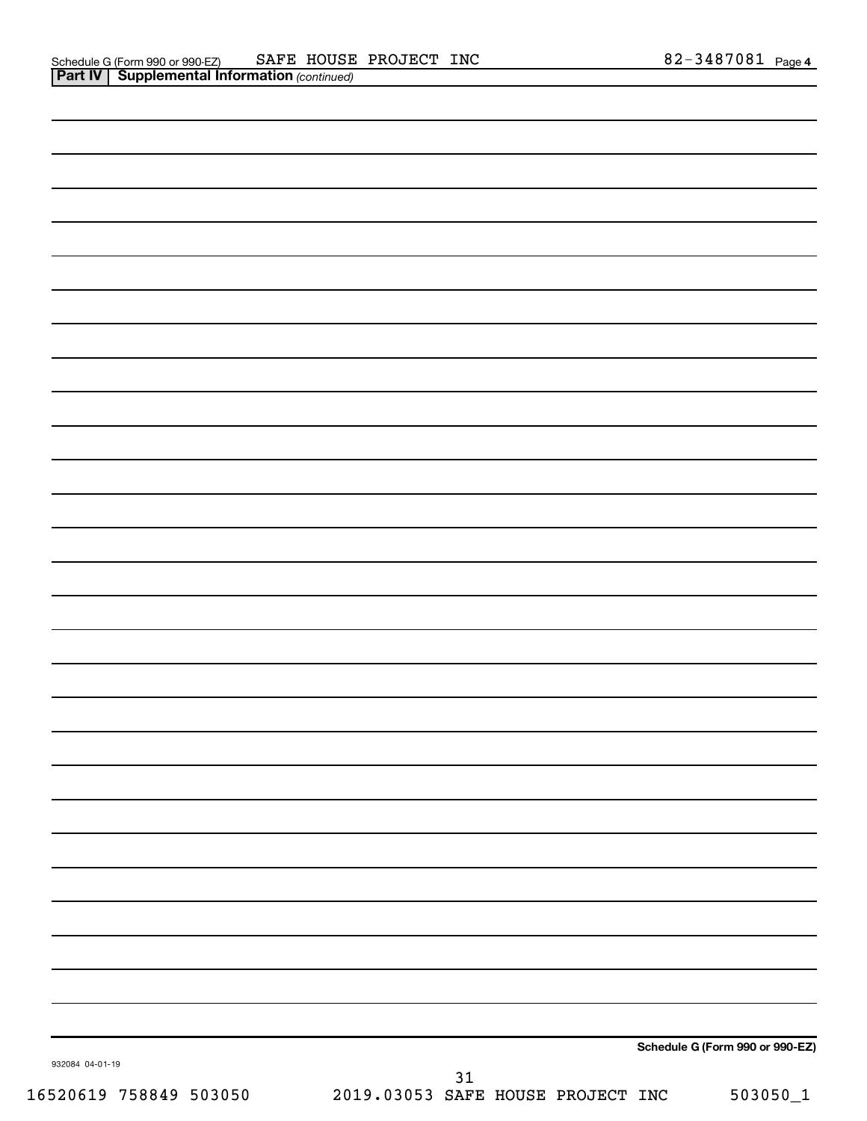|                 |    | Schedule G (Form 990 or 990-EZ) |
|-----------------|----|---------------------------------|
| 932084 04-01-19 | 31 |                                 |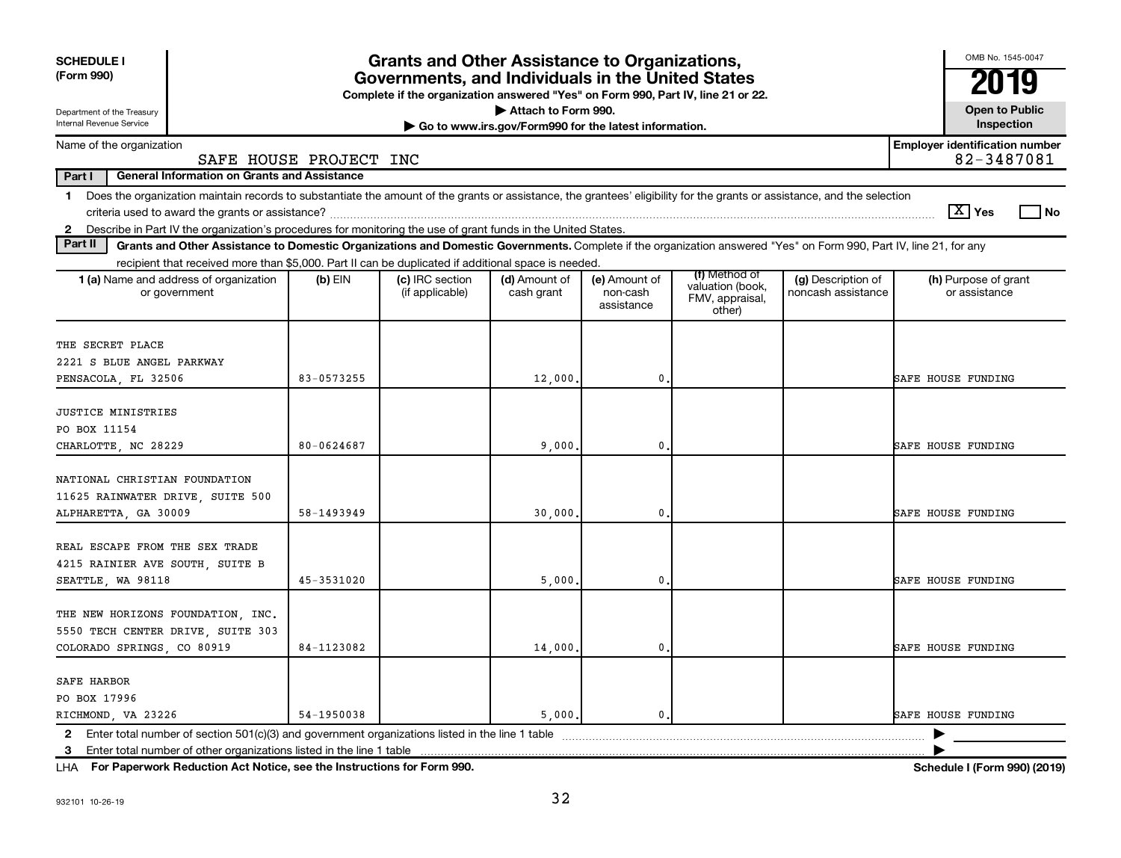| <b>SCHEDULE I</b><br>(Form 990)<br>Department of the Treasury<br>Internal Revenue Service                                                                                               |                        | <b>Grants and Other Assistance to Organizations,</b><br>Governments, and Individuals in the United States<br>Complete if the organization answered "Yes" on Form 990, Part IV, line 21 or 22. | Attach to Form 990.<br>Go to www.irs.gov/Form990 for the latest information. |                                         |                                                                |                                          | OMB No. 1545-0047<br>2019<br><b>Open to Public</b><br>Inspection |
|-----------------------------------------------------------------------------------------------------------------------------------------------------------------------------------------|------------------------|-----------------------------------------------------------------------------------------------------------------------------------------------------------------------------------------------|------------------------------------------------------------------------------|-----------------------------------------|----------------------------------------------------------------|------------------------------------------|------------------------------------------------------------------|
| Name of the organization                                                                                                                                                                |                        |                                                                                                                                                                                               |                                                                              |                                         |                                                                |                                          | <b>Employer identification number</b>                            |
|                                                                                                                                                                                         | SAFE HOUSE PROJECT INC |                                                                                                                                                                                               |                                                                              |                                         |                                                                |                                          | 82-3487081                                                       |
| Part I<br><b>General Information on Grants and Assistance</b>                                                                                                                           |                        |                                                                                                                                                                                               |                                                                              |                                         |                                                                |                                          |                                                                  |
| Does the organization maintain records to substantiate the amount of the grants or assistance, the grantees' eligibility for the grants or assistance, and the selection<br>$\mathbf 1$ |                        |                                                                                                                                                                                               |                                                                              |                                         |                                                                |                                          | $\boxed{\text{X}}$ Yes<br>No                                     |
| Describe in Part IV the organization's procedures for monitoring the use of grant funds in the United States.<br>$\mathbf{2}$                                                           |                        |                                                                                                                                                                                               |                                                                              |                                         |                                                                |                                          |                                                                  |
| Part II<br>Grants and Other Assistance to Domestic Organizations and Domestic Governments. Complete if the organization answered "Yes" on Form 990, Part IV, line 21, for any           |                        |                                                                                                                                                                                               |                                                                              |                                         |                                                                |                                          |                                                                  |
| recipient that received more than \$5,000. Part II can be duplicated if additional space is needed                                                                                      |                        |                                                                                                                                                                                               |                                                                              |                                         |                                                                |                                          |                                                                  |
| 1 (a) Name and address of organization<br>or government                                                                                                                                 | $(b)$ EIN              | (c) IRC section<br>(if applicable)                                                                                                                                                            | (d) Amount of<br>cash grant                                                  | (e) Amount of<br>non-cash<br>assistance | (f) Method of<br>valuation (book,<br>FMV, appraisal,<br>other) | (g) Description of<br>noncash assistance | (h) Purpose of grant<br>or assistance                            |
| THE SECRET PLACE                                                                                                                                                                        |                        |                                                                                                                                                                                               |                                                                              |                                         |                                                                |                                          |                                                                  |
| 2221 S BLUE ANGEL PARKWAY                                                                                                                                                               |                        |                                                                                                                                                                                               |                                                                              |                                         |                                                                |                                          |                                                                  |
| PENSACOLA, FL 32506                                                                                                                                                                     | 83-0573255             |                                                                                                                                                                                               | 12,000.                                                                      | 0.                                      |                                                                |                                          | <b>SAFE HOUSE FUNDING</b>                                        |
| <b>JUSTICE MINISTRIES</b><br>PO BOX 11154<br>CHARLOTTE, NC 28229                                                                                                                        | 80-0624687             |                                                                                                                                                                                               | 9,000                                                                        | 0.                                      |                                                                |                                          | <b>SAFE HOUSE FUNDING</b>                                        |
| NATIONAL CHRISTIAN FOUNDATION<br>11625 RAINWATER DRIVE, SUITE 500<br>ALPHARETTA, GA 30009                                                                                               | 58-1493949             |                                                                                                                                                                                               | 30,000                                                                       | $\mathbf 0$                             |                                                                |                                          | <b>SAFE HOUSE FUNDING</b>                                        |
| REAL ESCAPE FROM THE SEX TRADE<br>4215 RAINIER AVE SOUTH, SUITE B<br>SEATTLE, WA 98118                                                                                                  | 45-3531020             |                                                                                                                                                                                               | 5,000                                                                        | $\mathbf 0$                             |                                                                |                                          | <b>SAFE HOUSE FUNDING</b>                                        |
| THE NEW HORIZONS FOUNDATION, INC.<br>5550 TECH CENTER DRIVE, SUITE 303<br>COLORADO SPRINGS, CO 80919                                                                                    | 84-1123082             |                                                                                                                                                                                               | 14,000                                                                       | $\mathbf 0$                             |                                                                |                                          | <b>SAFE HOUSE FUNDING</b>                                        |
| <b>SAFE HARBOR</b><br>PO BOX 17996<br>RICHMOND, VA 23226<br>$\mathbf{2}$                                                                                                                | 54-1950038             |                                                                                                                                                                                               | 5,000.                                                                       | $\mathbf 0$                             |                                                                |                                          | <b>SAFE HOUSE FUNDING</b>                                        |
| 3                                                                                                                                                                                       |                        |                                                                                                                                                                                               |                                                                              |                                         |                                                                |                                          |                                                                  |

**For Paperwork Reduction Act Notice, see the Instructions for Form 990. Schedule I (Form 990) (2019)** LHA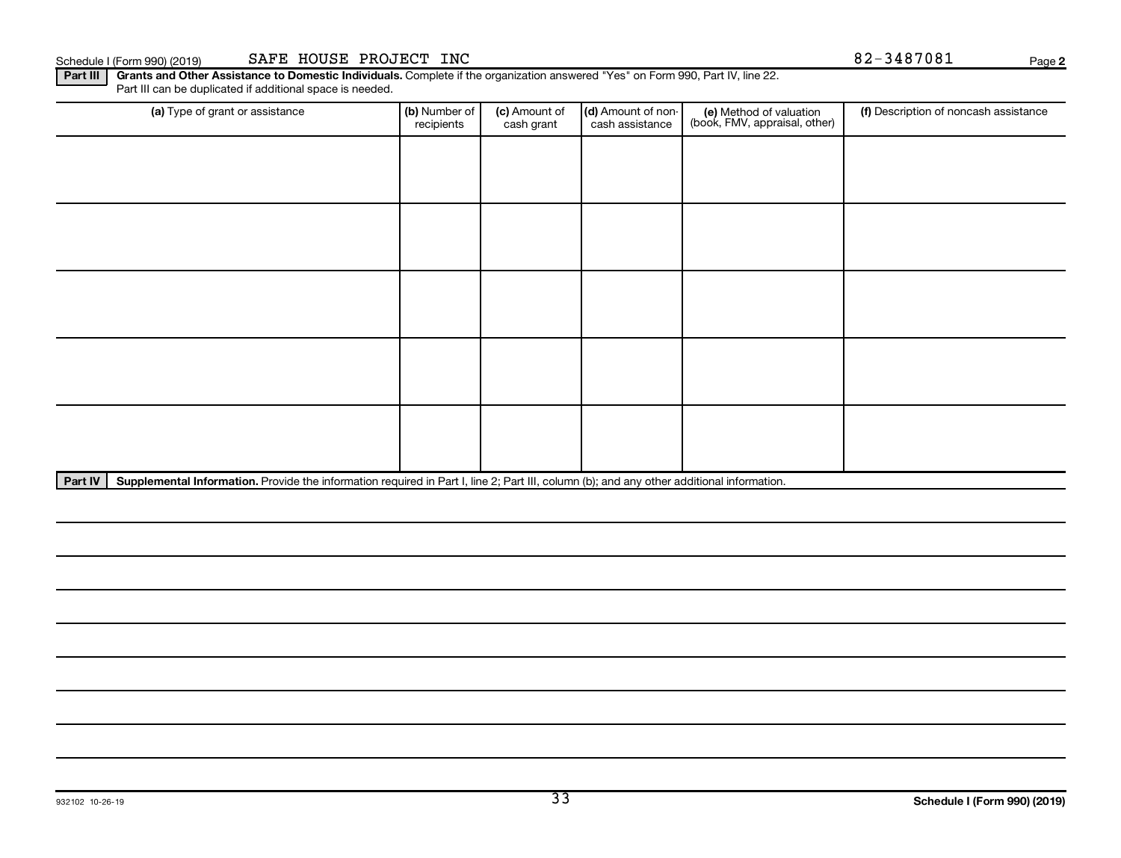**2**

Part III | Grants and Other Assistance to Domestic Individuals. Complete if the organization answered "Yes" on Form 990, Part IV, line 22. Part III can be duplicated if additional space is needed.

| (a) Type of grant or assistance | (b) Number of<br>recipients                                                                                                               | (c) Amount of<br>cash grant | (d) Amount of non-<br>cash assistance | (e) Method of valuation<br>(book, FMV, appraisal, other) | (f) Description of noncash assistance |  |  |  |  |  |
|---------------------------------|-------------------------------------------------------------------------------------------------------------------------------------------|-----------------------------|---------------------------------------|----------------------------------------------------------|---------------------------------------|--|--|--|--|--|
|                                 |                                                                                                                                           |                             |                                       |                                                          |                                       |  |  |  |  |  |
|                                 |                                                                                                                                           |                             |                                       |                                                          |                                       |  |  |  |  |  |
|                                 |                                                                                                                                           |                             |                                       |                                                          |                                       |  |  |  |  |  |
|                                 |                                                                                                                                           |                             |                                       |                                                          |                                       |  |  |  |  |  |
|                                 |                                                                                                                                           |                             |                                       |                                                          |                                       |  |  |  |  |  |
|                                 |                                                                                                                                           |                             |                                       |                                                          |                                       |  |  |  |  |  |
|                                 |                                                                                                                                           |                             |                                       |                                                          |                                       |  |  |  |  |  |
|                                 |                                                                                                                                           |                             |                                       |                                                          |                                       |  |  |  |  |  |
|                                 |                                                                                                                                           |                             |                                       |                                                          |                                       |  |  |  |  |  |
|                                 |                                                                                                                                           |                             |                                       |                                                          |                                       |  |  |  |  |  |
| Part IV                         | Supplemental Information. Provide the information required in Part I, line 2; Part III, column (b); and any other additional information. |                             |                                       |                                                          |                                       |  |  |  |  |  |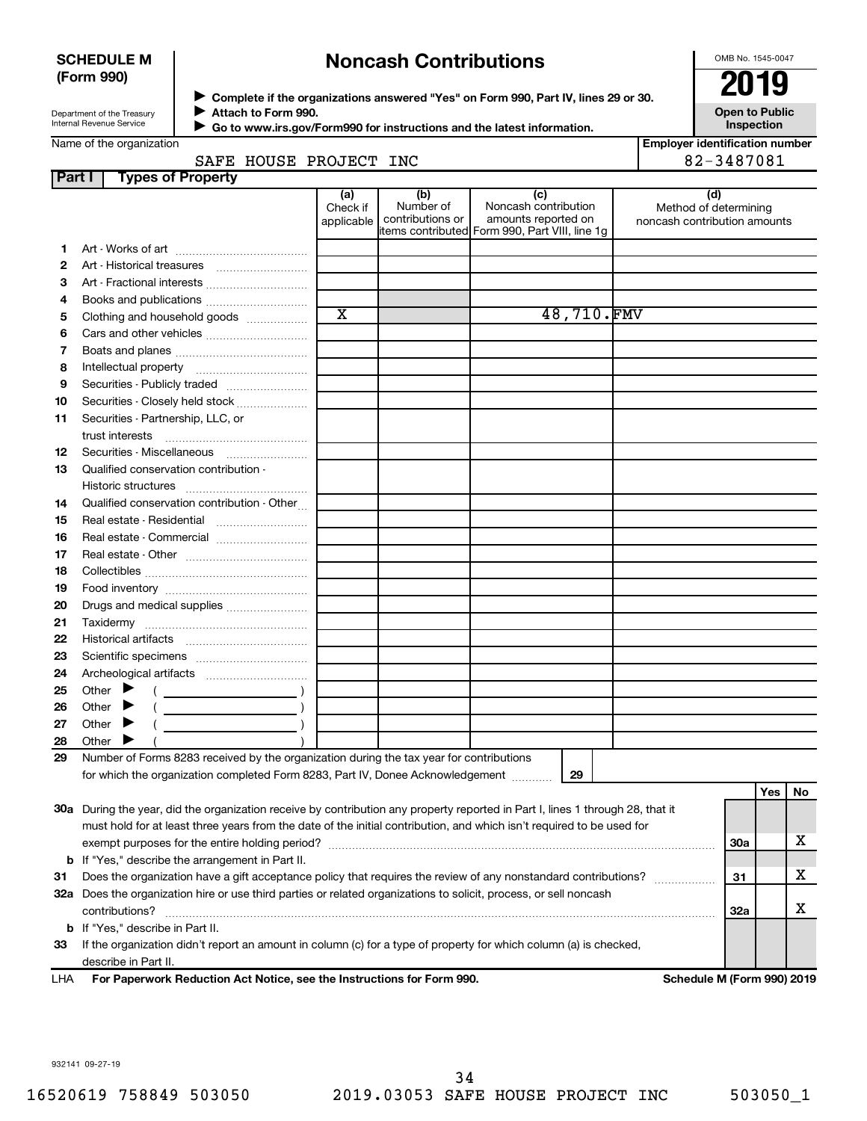# **SCHEDULE M (Form 990)**

# **Noncash Contributions**

OMB No. 1545-0047

| Department of the Treasury |  |
|----------------------------|--|
| Internal Revenue Service   |  |

◆ Complete if the organizations answered "Yes" on Form 990, Part IV, lines 29 or 30.<br>▶ Complete if the organizations answered "Yes" on Form 990, Part IV, lines 29 or 30. **Attach to Form 990.**  $\blacktriangleright$ 

**Open to Public Inspection**

|  | Name of the organization |  |
|--|--------------------------|--|
|--|--------------------------|--|

 **Go to www.irs.gov/Form990 for instructions and the latest information.** J

|               | Name of the organization                                                                                                       |                               |                                                                                        |                                                    |            | <b>Employer identification number</b>                 |            |     |    |
|---------------|--------------------------------------------------------------------------------------------------------------------------------|-------------------------------|----------------------------------------------------------------------------------------|----------------------------------------------------|------------|-------------------------------------------------------|------------|-----|----|
|               | SAFE HOUSE PROJECT INC                                                                                                         |                               |                                                                                        |                                                    |            |                                                       | 82-3487081 |     |    |
| <b>Part I</b> | <b>Types of Property</b>                                                                                                       |                               |                                                                                        |                                                    |            |                                                       |            |     |    |
|               |                                                                                                                                | (a)<br>Check if<br>applicable | (b)<br>Number of<br>contributions or<br>items contributed Form 990, Part VIII, line 1g | (c)<br>Noncash contribution<br>amounts reported on |            | Method of determining<br>noncash contribution amounts | (d)        |     |    |
| 1.            |                                                                                                                                |                               |                                                                                        |                                                    |            |                                                       |            |     |    |
| 2             |                                                                                                                                |                               |                                                                                        |                                                    |            |                                                       |            |     |    |
| з             |                                                                                                                                |                               |                                                                                        |                                                    |            |                                                       |            |     |    |
| 4             |                                                                                                                                |                               |                                                                                        |                                                    |            |                                                       |            |     |    |
| 5             | Clothing and household goods                                                                                                   | $\overline{\text{x}}$         |                                                                                        |                                                    | 48,710.FMV |                                                       |            |     |    |
| 6             |                                                                                                                                |                               |                                                                                        |                                                    |            |                                                       |            |     |    |
| 7             |                                                                                                                                |                               |                                                                                        |                                                    |            |                                                       |            |     |    |
| 8             |                                                                                                                                |                               |                                                                                        |                                                    |            |                                                       |            |     |    |
| 9             | Securities - Publicly traded                                                                                                   |                               |                                                                                        |                                                    |            |                                                       |            |     |    |
| 10            | Securities - Closely held stock                                                                                                |                               |                                                                                        |                                                    |            |                                                       |            |     |    |
| 11            | Securities - Partnership, LLC, or                                                                                              |                               |                                                                                        |                                                    |            |                                                       |            |     |    |
|               |                                                                                                                                |                               |                                                                                        |                                                    |            |                                                       |            |     |    |
| 12            |                                                                                                                                |                               |                                                                                        |                                                    |            |                                                       |            |     |    |
| 13            | Qualified conservation contribution -                                                                                          |                               |                                                                                        |                                                    |            |                                                       |            |     |    |
|               |                                                                                                                                |                               |                                                                                        |                                                    |            |                                                       |            |     |    |
| 14            | Qualified conservation contribution - Other                                                                                    |                               |                                                                                        |                                                    |            |                                                       |            |     |    |
| 15            | Real estate - Residential                                                                                                      |                               |                                                                                        |                                                    |            |                                                       |            |     |    |
| 16            |                                                                                                                                |                               |                                                                                        |                                                    |            |                                                       |            |     |    |
| 17            |                                                                                                                                |                               |                                                                                        |                                                    |            |                                                       |            |     |    |
| 18            |                                                                                                                                |                               |                                                                                        |                                                    |            |                                                       |            |     |    |
| 19            |                                                                                                                                |                               |                                                                                        |                                                    |            |                                                       |            |     |    |
| 20            | Drugs and medical supplies                                                                                                     |                               |                                                                                        |                                                    |            |                                                       |            |     |    |
| 21            |                                                                                                                                |                               |                                                                                        |                                                    |            |                                                       |            |     |    |
| 22            |                                                                                                                                |                               |                                                                                        |                                                    |            |                                                       |            |     |    |
| 23            |                                                                                                                                |                               |                                                                                        |                                                    |            |                                                       |            |     |    |
| 24            |                                                                                                                                |                               |                                                                                        |                                                    |            |                                                       |            |     |    |
| 25            | Other $\blacktriangleright$<br>$\left(\begin{array}{ccc}\n&\quad&\quad&\quad\end{array}\right)$                                |                               |                                                                                        |                                                    |            |                                                       |            |     |    |
| 26            | Other $\blacktriangleright$<br>$($ $)$                                                                                         |                               |                                                                                        |                                                    |            |                                                       |            |     |    |
| 27            | Other $\blacktriangleright$                                                                                                    |                               |                                                                                        |                                                    |            |                                                       |            |     |    |
| 28            | Other<br>▶                                                                                                                     |                               |                                                                                        |                                                    |            |                                                       |            |     |    |
| 29            | Number of Forms 8283 received by the organization during the tax year for contributions                                        |                               |                                                                                        |                                                    |            |                                                       |            |     |    |
|               | for which the organization completed Form 8283, Part IV, Donee Acknowledgement  29                                             |                               |                                                                                        |                                                    |            |                                                       |            |     |    |
|               |                                                                                                                                |                               |                                                                                        |                                                    |            |                                                       |            | Yes | No |
|               | 30a During the year, did the organization receive by contribution any property reported in Part I, lines 1 through 28, that it |                               |                                                                                        |                                                    |            |                                                       |            |     |    |
|               | must hold for at least three years from the date of the initial contribution, and which isn't required to be used for          |                               |                                                                                        |                                                    |            |                                                       |            |     |    |
|               |                                                                                                                                |                               |                                                                                        |                                                    |            |                                                       | 30a        |     | х  |
|               | <b>b</b> If "Yes," describe the arrangement in Part II.                                                                        |                               |                                                                                        |                                                    |            |                                                       |            |     |    |
| 31            | Does the organization have a gift acceptance policy that requires the review of any nonstandard contributions?                 |                               |                                                                                        |                                                    |            |                                                       | 31         |     | х  |
|               | 32a Does the organization hire or use third parties or related organizations to solicit, process, or sell noncash              |                               |                                                                                        |                                                    |            |                                                       |            |     |    |
|               | contributions?                                                                                                                 |                               |                                                                                        |                                                    |            |                                                       | 32a        |     | х  |
|               | <b>b</b> If "Yes," describe in Part II.                                                                                        |                               |                                                                                        |                                                    |            |                                                       |            |     |    |
| 33            | If the organization didn't report an amount in column (c) for a type of property for which column (a) is checked,              |                               |                                                                                        |                                                    |            |                                                       |            |     |    |
|               | describe in Part II.                                                                                                           |                               |                                                                                        |                                                    |            |                                                       |            |     |    |
|               |                                                                                                                                |                               |                                                                                        |                                                    |            |                                                       |            |     |    |

**For Paperwork Reduction Act Notice, see the Instructions for Form 990. Schedule M (Form 990) 2019** LHA

932141 09-27-19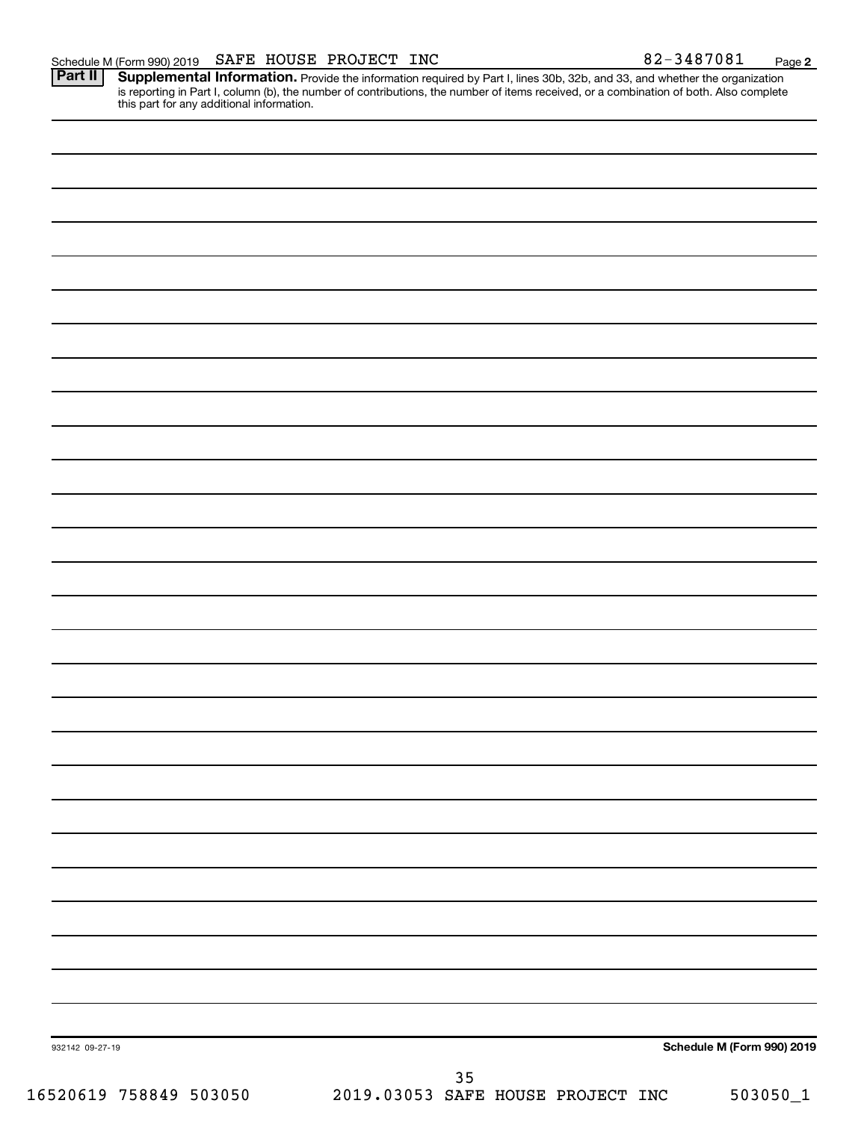Provide the information required by Part I, lines 30b, 32b, and 33, and whether the organization is reporting in Part I, column (b), the number of contributions, the number of items received, or a combination of both. Also complete this part for any additional information. **Part II Supplemental Information.** 

| 932142 09-27-19      |       |                                       |                    | Schedule M (Form 990) 2019 |
|----------------------|-------|---------------------------------------|--------------------|----------------------------|
| ESACIA PESAIA ESSAEA | 0.010 | $35\,$<br>$0.2052$ $0.2777$ $10.7777$ | DDQTQm<br>$T^*T^*$ | $F$ $0.20F$ $0.4$          |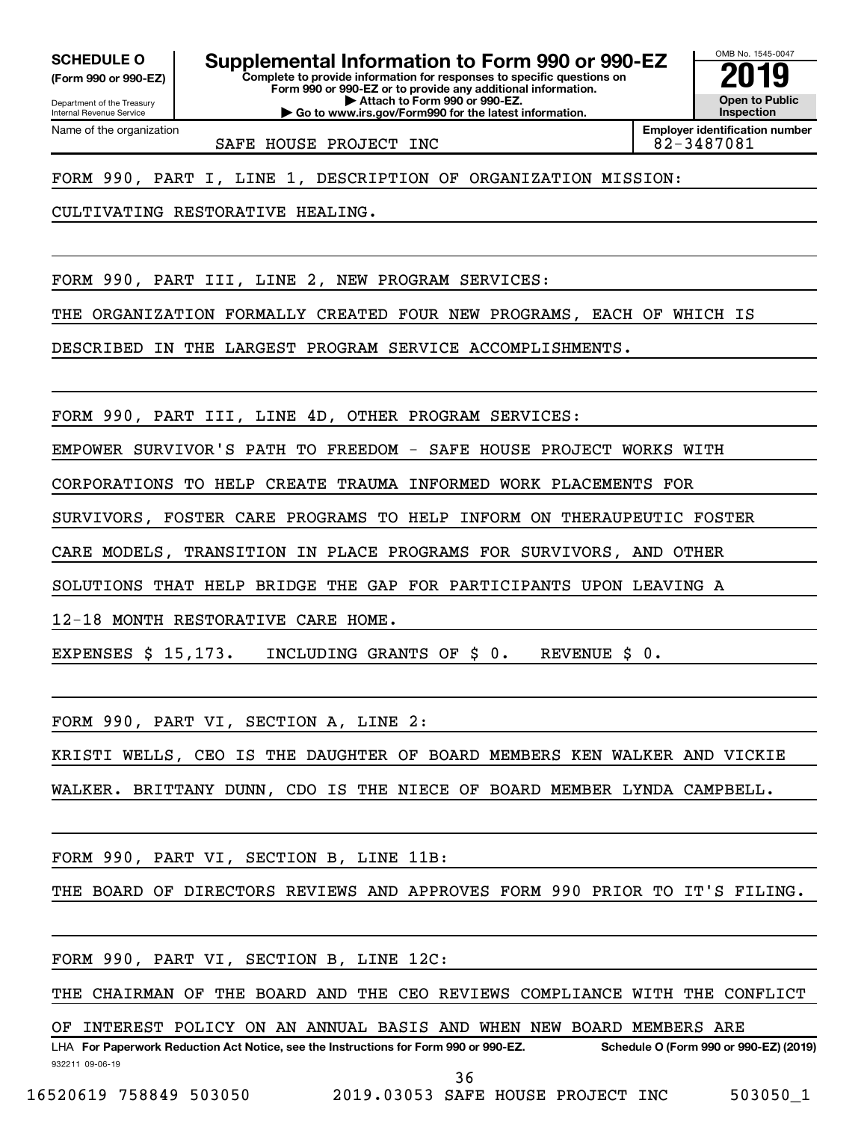**(Form 990 or 990-EZ)**

Department of the Treasury Internal Revenue Service

**Complete to provide information for responses to specific questions on Form 990 or 990-EZ or to provide any additional information. | Attach to Form 990 or 990-EZ. SCHEDULE O Supplemental Information to Form 990 or 990-EZ 2019** 

**| Go to www.irs.gov/Form990 for the latest information.**

**Open to Public Inspection Employer identification number**

OMB No. 1545-0047

Name of the organization

SAFE HOUSE PROJECT INC **82-3487081** 

FORM 990, PART I, LINE 1, DESCRIPTION OF ORGANIZATION MISSION:

CULTIVATING RESTORATIVE HEALING.

FORM 990, PART III, LINE 2, NEW PROGRAM SERVICES:

THE ORGANIZATION FORMALLY CREATED FOUR NEW PROGRAMS, EACH OF WHICH IS

DESCRIBED IN THE LARGEST PROGRAM SERVICE ACCOMPLISHMENTS.

FORM 990, PART III, LINE 4D, OTHER PROGRAM SERVICES:

EMPOWER SURVIVOR'S PATH TO FREEDOM - SAFE HOUSE PROJECT WORKS WITH

CORPORATIONS TO HELP CREATE TRAUMA INFORMED WORK PLACEMENTS FOR

SURVIVORS, FOSTER CARE PROGRAMS TO HELP INFORM ON THERAUPEUTIC FOSTER

CARE MODELS, TRANSITION IN PLACE PROGRAMS FOR SURVIVORS, AND OTHER

SOLUTIONS THAT HELP BRIDGE THE GAP FOR PARTICIPANTS UPON LEAVING A

12-18 MONTH RESTORATIVE CARE HOME.

EXPENSES \$ 15,173. INCLUDING GRANTS OF \$ 0. REVENUE \$ 0.

FORM 990, PART VI, SECTION A, LINE 2:

KRISTI WELLS, CEO IS THE DAUGHTER OF BOARD MEMBERS KEN WALKER AND VICKIE

WALKER. BRITTANY DUNN, CDO IS THE NIECE OF BOARD MEMBER LYNDA CAMPBELL.

FORM 990, PART VI, SECTION B, LINE 11B:

THE BOARD OF DIRECTORS REVIEWS AND APPROVES FORM 990 PRIOR TO IT'S FILING.

FORM 990, PART VI, SECTION B, LINE 12C:

THE CHAIRMAN OF THE BOARD AND THE CEO REVIEWS COMPLIANCE WITH THE CONFLICT

OF INTEREST POLICY ON AN ANNUAL BASIS AND WHEN NEW BOARD MEMBERS ARE

932211 09-06-19 LHA For Paperwork Reduction Act Notice, see the Instructions for Form 990 or 990-EZ. Schedule O (Form 990 or 990-EZ) (2019) 36